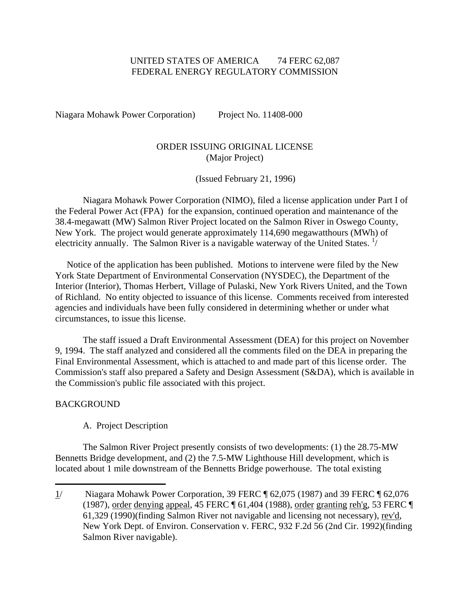# UNITED STATES OF AMERICA 74 FERC 62,087 FEDERAL ENERGY REGULATORY COMMISSION

Niagara Mohawk Power Corporation) Project No. 11408-000

# ORDER ISSUING ORIGINAL LICENSE (Major Project)

(Issued February 21, 1996)

 Niagara Mohawk Power Corporation (NIMO), filed a license application under Part I of the Federal Power Act (FPA) for the expansion, continued operation and maintenance of the 38.4-megawatt (MW) Salmon River Project located on the Salmon River in Oswego County, New York. The project would generate approximately 114,690 megawatthours (MWh) of electricity annually. The Salmon River is a navigable waterway of the United States.  $\frac{1}{4}$  $\frac{1}{4}$  $\frac{1}{4}$ 

 Notice of the application has been published. Motions to intervene were filed by the New York State Department of Environmental Conservation (NYSDEC), the Department of the Interior (Interior), Thomas Herbert, Village of Pulaski, New York Rivers United, and the Town of Richland. No entity objected to issuance of this license. Comments received from interested agencies and individuals have been fully considered in determining whether or under what circumstances, to issue this license.

 The staff issued a Draft Environmental Assessment (DEA) for this project on November 9, 1994. The staff analyzed and considered all the comments filed on the DEA in preparing the Final Environmental Assessment, which is attached to and made part of this license order. The Commission's staff also prepared a Safety and Design Assessment (S&DA), which is available in the Commission's public file associated with this project.

## BACKGROUND

.

## A. Project Description

 The Salmon River Project presently consists of two developments: (1) the 28.75-MW Bennetts Bridge development, and (2) the 7.5-MW Lighthouse Hill development, which is located about 1 mile downstream of the Bennetts Bridge powerhouse. The total existing

<span id="page-0-0"></span><sup>1/</sup> Niagara Mohawk Power Corporation, 39 FERC ¶ 62,075 (1987) and 39 FERC ¶ 62,076 (1987), order denying appeal, 45 FERC  $\P$  61,404 (1988), order granting reh'g, 53 FERC  $\P$ 61,329 (1990)(finding Salmon River not navigable and licensing not necessary), rev'd, New York Dept. of Environ. Conservation v. FERC, 932 F.2d 56 (2nd Cir. 1992)(finding Salmon River navigable).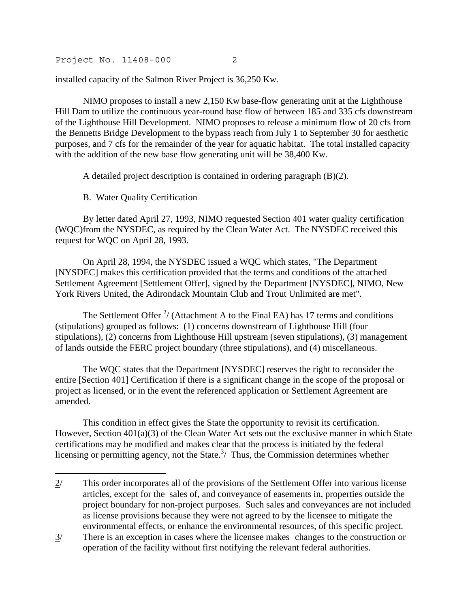installed capacity of the Salmon River Project is 36,250 Kw.

 NIMO proposes to install a new 2,150 Kw base-flow generating unit at the Lighthouse Hill Dam to utilize the continuous year-round base flow of between 185 and 335 cfs downstream of the Lighthouse Hill Development. NIMO proposes to release a minimum flow of 20 cfs from the Bennetts Bridge Development to the bypass reach from July 1 to September 30 for aesthetic purposes, and 7 cfs for the remainder of the year for aquatic habitat. The total installed capacity with the addition of the new base flow generating unit will be 38,400 Kw.

A detailed project description is contained in ordering paragraph (B)(2).

B. Water Quality Certification

.

 By letter dated April 27, 1993, NIMO requested Section 401 water quality certification (WQC)from the NYSDEC, as required by the Clean Water Act. The NYSDEC received this request for WQC on April 28, 1993.

 On April 28, 1994, the NYSDEC issued a WQC which states, "The Department [NYSDEC] makes this certification provided that the terms and conditions of the attached Settlement Agreement [Settlement Offer], signed by the Department [NYSDEC], NIMO, New York Rivers United, the Adirondack Mountain Club and Trout Unlimited are met".

The Settlement Offer  $\frac{2}{7}$  $\frac{2}{7}$  $\frac{2}{7}$  (Attachment A to the Final EA) has 17 terms and conditions (stipulations) grouped as follows: (1) concerns downstream of Lighthouse Hill (four stipulations), (2) concerns from Lighthouse Hill upstream (seven stipulations), (3) management of lands outside the FERC project boundary (three stipulations), and (4) miscellaneous.

 The WQC states that the Department [NYSDEC] reserves the right to reconsider the entire [Section 401] Certification if there is a significant change in the scope of the proposal or project as licensed, or in the event the referenced application or Settlement Agreement are amended.

 This condition in effect gives the State the opportunity to revisit its certification. However, Section 401(a)(3) of the Clean Water Act sets out the exclusive manner in which State certifications may be modified and makes clear that the process is initiated by the federal licensing or permitting agency, not the State. $3/$  $3/$  Thus, the Commission determines whether

<span id="page-1-0"></span><sup>2/</sup> This order incorporates all of the provisions of the Settlement Offer into various license articles, except for the sales of, and conveyance of easements in, properties outside the project boundary for non-project purposes. Such sales and conveyances are not included as license provisions because they were not agreed to by the licensee to mitigate the environmental effects, or enhance the environmental resources, of this specific project.

<span id="page-1-1"></span><sup>3/</sup> There is an exception in cases where the licensee makes changes to the construction or operation of the facility without first notifying the relevant federal authorities.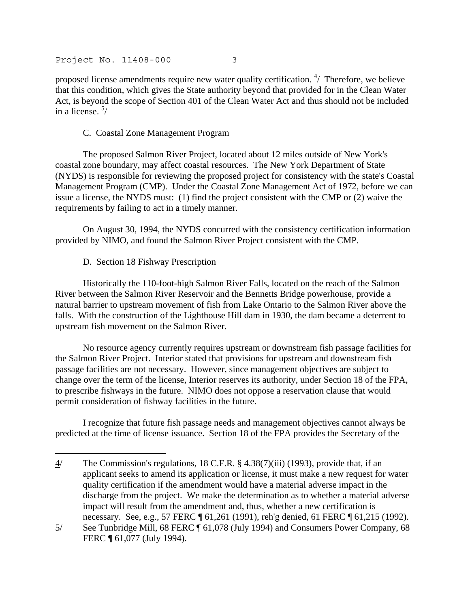proposed license amendments require new water quality certification.  $\frac{4}{1}$  $\frac{4}{1}$  $\frac{4}{1}$  Therefore, we believe that this condition, which gives the State authority beyond that provided for in the Clean Water Act, is beyond the scope of Section 401 of the Clean Water Act and thus should not be included in a license.  $\frac{5}{7}$ 

## C. Coastal Zone Management Program

 The proposed Salmon River Project, located about 12 miles outside of New York's coastal zone boundary, may affect coastal resources. The New York Department of State (NYDS) is responsible for reviewing the proposed project for consistency with the state's Coastal Management Program (CMP). Under the Coastal Zone Management Act of 1972, before we can issue a license, the NYDS must: (1) find the project consistent with the CMP or (2) waive the requirements by failing to act in a timely manner.

 On August 30, 1994, the NYDS concurred with the consistency certification information provided by NIMO, and found the Salmon River Project consistent with the CMP.

D. Section 18 Fishway Prescription

.

 Historically the 110-foot-high Salmon River Falls, located on the reach of the Salmon River between the Salmon River Reservoir and the Bennetts Bridge powerhouse, provide a natural barrier to upstream movement of fish from Lake Ontario to the Salmon River above the falls. With the construction of the Lighthouse Hill dam in 1930, the dam became a deterrent to upstream fish movement on the Salmon River.

 No resource agency currently requires upstream or downstream fish passage facilities for the Salmon River Project. Interior stated that provisions for upstream and downstream fish passage facilities are not necessary. However, since management objectives are subject to change over the term of the license, Interior reserves its authority, under Section 18 of the FPA, to prescribe fishways in the future. NIMO does not oppose a reservation clause that would permit consideration of fishway facilities in the future.

 I recognize that future fish passage needs and management objectives cannot always be predicted at the time of license issuance. Section 18 of the FPA provides the Secretary of the

<span id="page-2-0"></span><sup>4/</sup> The Commission's regulations, 18 C.F.R. § 4.38(7)(iii) (1993), provide that, if an applicant seeks to amend its application or license, it must make a new request for water quality certification if the amendment would have a material adverse impact in the discharge from the project. We make the determination as to whether a material adverse impact will result from the amendment and, thus, whether a new certification is necessary. See, e.g., 57 FERC ¶ 61,261 (1991), reh'g denied, 61 FERC ¶ 61,215 (1992).

<span id="page-2-1"></span><sup>5/</sup> See Tunbridge Mill, 68 FERC ¶ 61,078 (July 1994) and Consumers Power Company, 68 FERC ¶ 61,077 (July 1994).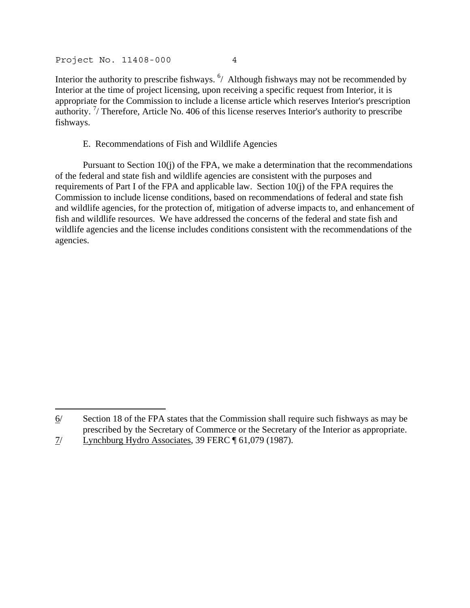Interior the authority to prescribe fishways.  $\frac{6}{1}$  $\frac{6}{1}$  $\frac{6}{1}$  Although fishways may not be recommended by Interior at the time of project licensing, upon receiving a specific request from Interior, it is appropriate for the Commission to include a license article which reserves Interior's prescription authority.<sup>[7](#page-3-1)</sup>/ Therefore, Article No. 406 of this license reserves Interior's authority to prescribe fishways.

### E. Recommendations of Fish and Wildlife Agencies

 Pursuant to Section 10(j) of the FPA, we make a determination that the recommendations of the federal and state fish and wildlife agencies are consistent with the purposes and requirements of Part I of the FPA and applicable law. Section 10(j) of the FPA requires the Commission to include license conditions, based on recommendations of federal and state fish and wildlife agencies, for the protection of, mitigation of adverse impacts to, and enhancement of fish and wildlife resources. We have addressed the concerns of the federal and state fish and wildlife agencies and the license includes conditions consistent with the recommendations of the agencies.

.

<span id="page-3-0"></span><sup>6/</sup> Section 18 of the FPA states that the Commission shall require such fishways as may be prescribed by the Secretary of Commerce or the Secretary of the Interior as appropriate.

<span id="page-3-1"></span><sup>7/</sup> Lynchburg Hydro Associates, 39 FERC ¶ 61,079 (1987).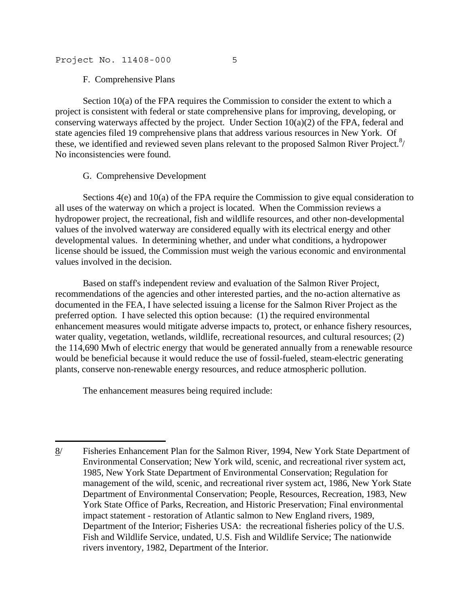F. Comprehensive Plans

 Section 10(a) of the FPA requires the Commission to consider the extent to which a project is consistent with federal or state comprehensive plans for improving, developing, or conserving waterways affected by the project. Under Section  $10(a)(2)$  of the FPA, federal and state agencies filed 19 comprehensive plans that address various resources in New York. Of these, we identified and reviewed seven plans relevant to the proposed Salmon River Project. $\frac{8}{10}$ No inconsistencies were found.

## G. Comprehensive Development

 Sections 4(e) and 10(a) of the FPA require the Commission to give equal consideration to all uses of the waterway on which a project is located. When the Commission reviews a hydropower project, the recreational, fish and wildlife resources, and other non-developmental values of the involved waterway are considered equally with its electrical energy and other developmental values. In determining whether, and under what conditions, a hydropower license should be issued, the Commission must weigh the various economic and environmental values involved in the decision.

 Based on staff's independent review and evaluation of the Salmon River Project, recommendations of the agencies and other interested parties, and the no-action alternative as documented in the FEA, I have selected issuing a license for the Salmon River Project as the preferred option. I have selected this option because: (1) the required environmental enhancement measures would mitigate adverse impacts to, protect, or enhance fishery resources, water quality, vegetation, wetlands, wildlife, recreational resources, and cultural resources; (2) the 114,690 Mwh of electric energy that would be generated annually from a renewable resource would be beneficial because it would reduce the use of fossil-fueled, steam-electric generating plants, conserve non-renewable energy resources, and reduce atmospheric pollution.

The enhancement measures being required include:

.

<span id="page-4-0"></span><sup>8/</sup> Fisheries Enhancement Plan for the Salmon River, 1994, New York State Department of Environmental Conservation; New York wild, scenic, and recreational river system act, 1985, New York State Department of Environmental Conservation; Regulation for management of the wild, scenic, and recreational river system act, 1986, New York State Department of Environmental Conservation; People, Resources, Recreation, 1983, New York State Office of Parks, Recreation, and Historic Preservation; Final environmental impact statement - restoration of Atlantic salmon to New England rivers, 1989, Department of the Interior; Fisheries USA: the recreational fisheries policy of the U.S. Fish and Wildlife Service, undated, U.S. Fish and Wildlife Service; The nationwide rivers inventory, 1982, Department of the Interior.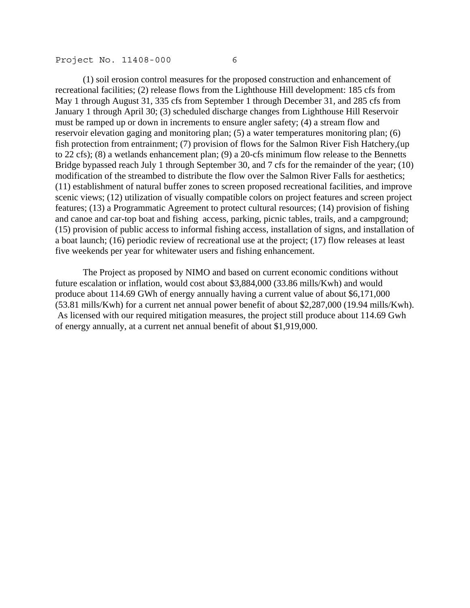(1) soil erosion control measures for the proposed construction and enhancement of recreational facilities; (2) release flows from the Lighthouse Hill development: 185 cfs from May 1 through August 31, 335 cfs from September 1 through December 31, and 285 cfs from January 1 through April 30; (3) scheduled discharge changes from Lighthouse Hill Reservoir must be ramped up or down in increments to ensure angler safety; (4) a stream flow and reservoir elevation gaging and monitoring plan; (5) a water temperatures monitoring plan; (6) fish protection from entrainment; (7) provision of flows for the Salmon River Fish Hatchery,(up to 22 cfs); (8) a wetlands enhancement plan; (9) a 20-cfs minimum flow release to the Bennetts Bridge bypassed reach July 1 through September 30, and 7 cfs for the remainder of the year; (10) modification of the streambed to distribute the flow over the Salmon River Falls for aesthetics; (11) establishment of natural buffer zones to screen proposed recreational facilities, and improve scenic views; (12) utilization of visually compatible colors on project features and screen project features; (13) a Programmatic Agreement to protect cultural resources; (14) provision of fishing and canoe and car-top boat and fishing access, parking, picnic tables, trails, and a campground; (15) provision of public access to informal fishing access, installation of signs, and installation of a boat launch; (16) periodic review of recreational use at the project; (17) flow releases at least five weekends per year for whitewater users and fishing enhancement.

 The Project as proposed by NIMO and based on current economic conditions without future escalation or inflation, would cost about \$3,884,000 (33.86 mills/Kwh) and would produce about 114.69 GWh of energy annually having a current value of about \$6,171,000 (53.81 mills/Kwh) for a current net annual power benefit of about \$2,287,000 (19.94 mills/Kwh). As licensed with our required mitigation measures, the project still produce about 114.69 Gwh of energy annually, at a current net annual benefit of about \$1,919,000.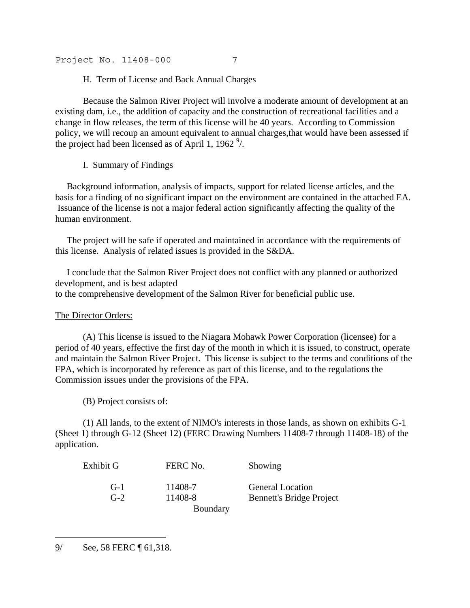H. Term of License and Back Annual Charges

 Because the Salmon River Project will involve a moderate amount of development at an existing dam, i.e., the addition of capacity and the construction of recreational facilities and a change in flow releases, the term of this license will be 40 years. According to Commission policy, we will recoup an amount equivalent to annual charges,that would have been assessed if the project had been licensed as of April 1, 1[9](#page-6-0)62 $\frac{9}{2}$ .

I. Summary of Findings

 Background information, analysis of impacts, support for related license articles, and the basis for a finding of no significant impact on the environment are contained in the attached EA. Issuance of the license is not a major federal action significantly affecting the quality of the human environment.

 The project will be safe if operated and maintained in accordance with the requirements of this license. Analysis of related issues is provided in the S&DA.

 I conclude that the Salmon River Project does not conflict with any planned or authorized development, and is best adapted to the comprehensive development of the Salmon River for beneficial public use.

## The Director Orders:

 (A) This license is issued to the Niagara Mohawk Power Corporation (licensee) for a period of 40 years, effective the first day of the month in which it is issued, to construct, operate and maintain the Salmon River Project. This license is subject to the terms and conditions of the FPA, which is incorporated by reference as part of this license, and to the regulations the Commission issues under the provisions of the FPA.

(B) Project consists of:

 (1) All lands, to the extent of NIMO's interests in those lands, as shown on exhibits G-1 (Sheet 1) through G-12 (Sheet 12) (FERC Drawing Numbers 11408-7 through 11408-18) of the application.

| Exhibit G | FERC No. | <b>Showing</b>                  |
|-----------|----------|---------------------------------|
| $G-1$     | 11408-7  | <b>General Location</b>         |
| $G-2$     | 11408-8  | <b>Bennett's Bridge Project</b> |
|           | Boundary |                                 |

<span id="page-6-0"></span><sup>9/</sup> See, 58 FERC ¶ 61,318.

j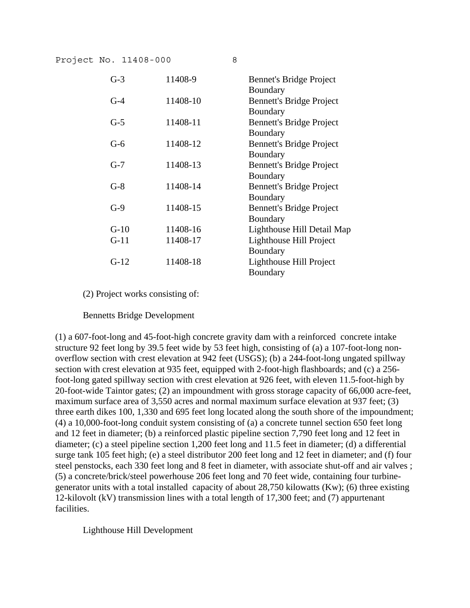| $G-3$  | 11408-9  | <b>Bennet's Bridge Project</b>  |
|--------|----------|---------------------------------|
|        |          | Boundary                        |
| $G-4$  | 11408-10 | <b>Bennett's Bridge Project</b> |
|        |          | Boundary                        |
| $G-5$  | 11408-11 | <b>Bennett's Bridge Project</b> |
|        |          | Boundary                        |
| $G-6$  | 11408-12 | <b>Bennett's Bridge Project</b> |
|        |          | Boundary                        |
| $G-7$  | 11408-13 | <b>Bennett's Bridge Project</b> |
|        |          | Boundary                        |
| $G-8$  | 11408-14 | <b>Bennett's Bridge Project</b> |
|        |          | Boundary                        |
| $G-9$  | 11408-15 | <b>Bennett's Bridge Project</b> |
|        |          | Boundary                        |
| $G-10$ | 11408-16 | Lighthouse Hill Detail Map      |
| $G-11$ | 11408-17 | Lighthouse Hill Project         |
|        |          | Boundary                        |
| $G-12$ | 11408-18 | Lighthouse Hill Project         |
|        |          | Boundary                        |

(2) Project works consisting of:

Bennetts Bridge Development

(1) a 607-foot-long and 45-foot-high concrete gravity dam with a reinforced concrete intake structure 92 feet long by 39.5 feet wide by 53 feet high, consisting of (a) a 107-foot-long nonoverflow section with crest elevation at 942 feet (USGS); (b) a 244-foot-long ungated spillway section with crest elevation at 935 feet, equipped with 2-foot-high flashboards; and (c) a 256 foot-long gated spillway section with crest elevation at 926 feet, with eleven 11.5-foot-high by 20-foot-wide Taintor gates; (2) an impoundment with gross storage capacity of 66,000 acre-feet, maximum surface area of 3,550 acres and normal maximum surface elevation at 937 feet; (3) three earth dikes 100, 1,330 and 695 feet long located along the south shore of the impoundment; (4) a 10,000-foot-long conduit system consisting of (a) a concrete tunnel section 650 feet long and 12 feet in diameter; (b) a reinforced plastic pipeline section 7,790 feet long and 12 feet in diameter; (c) a steel pipeline section 1,200 feet long and 11.5 feet in diameter; (d) a differential surge tank 105 feet high; (e) a steel distributor 200 feet long and 12 feet in diameter; and (f) four steel penstocks, each 330 feet long and 8 feet in diameter, with associate shut-off and air valves ; (5) a concrete/brick/steel powerhouse 206 feet long and 70 feet wide, containing four turbinegenerator units with a total installed capacity of about 28,750 kilowatts (Kw); (6) three existing 12-kilovolt (kV) transmission lines with a total length of 17,300 feet; and (7) appurtenant facilities.

Lighthouse Hill Development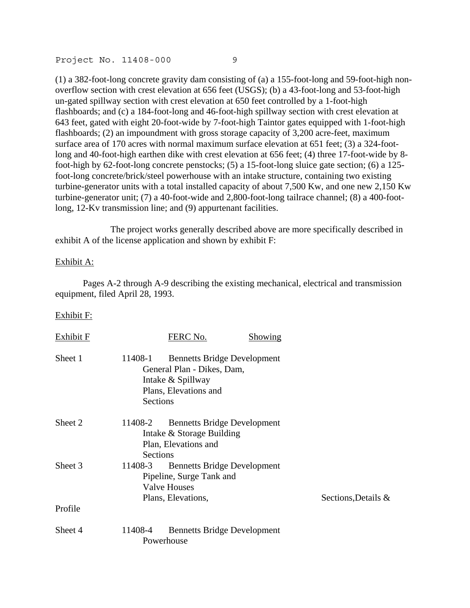(1) a 382-foot-long concrete gravity dam consisting of (a) a 155-foot-long and 59-foot-high nonoverflow section with crest elevation at 656 feet (USGS); (b) a 43-foot-long and 53-foot-high un-gated spillway section with crest elevation at 650 feet controlled by a 1-foot-high flashboards; and (c) a 184-foot-long and 46-foot-high spillway section with crest elevation at 643 feet, gated with eight 20-foot-wide by 7-foot-high Taintor gates equipped with 1-foot-high flashboards; (2) an impoundment with gross storage capacity of 3,200 acre-feet, maximum surface area of 170 acres with normal maximum surface elevation at 651 feet; (3) a 324-footlong and 40-foot-high earthen dike with crest elevation at 656 feet; (4) three 17-foot-wide by 8foot-high by 62-foot-long concrete penstocks; (5) a 15-foot-long sluice gate section; (6) a 125 foot-long concrete/brick/steel powerhouse with an intake structure, containing two existing turbine-generator units with a total installed capacity of about 7,500 Kw, and one new 2,150 Kw turbine-generator unit; (7) a 40-foot-wide and 2,800-foot-long tailrace channel; (8) a 400-footlong, 12-Kv transmission line; and (9) appurtenant facilities.

 The project works generally described above are more specifically described in exhibit A of the license application and shown by exhibit F:

### Exhibit A:

 Pages A-2 through A-9 describing the existing mechanical, electrical and transmission equipment, filed April 28, 1993.

### Exhibit F:

| Exhibit F |                     | FERC No.                                                                                                       | <b>Showing</b> |                     |
|-----------|---------------------|----------------------------------------------------------------------------------------------------------------|----------------|---------------------|
| Sheet 1   | 11408-1<br>Sections | <b>Bennetts Bridge Development</b><br>General Plan - Dikes, Dam,<br>Intake & Spillway<br>Plans, Elevations and |                |                     |
| Sheet 2   | 11408-2<br>Sections | <b>Bennetts Bridge Development</b><br>Intake & Storage Building<br>Plan, Elevations and                        |                |                     |
| Sheet 3   | 11408-3             | <b>Bennetts Bridge Development</b><br>Pipeline, Surge Tank and<br><b>Valve Houses</b><br>Plans, Elevations,    |                | Sections, Details & |
| Profile   |                     |                                                                                                                |                |                     |
| Sheet 4   | 11408-4             | <b>Bennetts Bridge Development</b><br>Powerhouse                                                               |                |                     |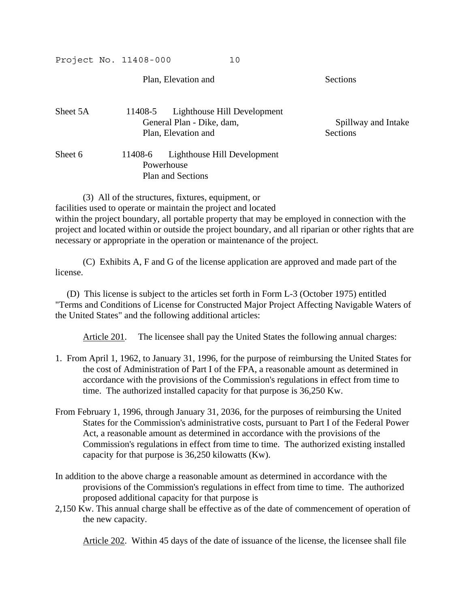Plan, Elevation and Sections

| Sheet 5A |                           | 11408-5 Lighthouse Hill Development |                     |
|----------|---------------------------|-------------------------------------|---------------------|
|          | General Plan - Dike, dam, |                                     | Spillway and Intake |
|          |                           | Plan, Elevation and                 | <b>Sections</b>     |
| Sheet 6  | 11408-6                   | Lighthouse Hill Development         |                     |
|          |                           | Powerhouse                          |                     |
|          |                           | <b>Plan and Sections</b>            |                     |

(3) All of the structures, fixtures, equipment, or

facilities used to operate or maintain the project and located within the project boundary, all portable property that may be employed in connection with the project and located within or outside the project boundary, and all riparian or other rights that are necessary or appropriate in the operation or maintenance of the project.

 (C) Exhibits A, F and G of the license application are approved and made part of the license.

 (D) This license is subject to the articles set forth in Form L-3 (October 1975) entitled "Terms and Conditions of License for Constructed Major Project Affecting Navigable Waters of the United States" and the following additional articles:

Article 201. The licensee shall pay the United States the following annual charges:

- 1. From April 1, 1962, to January 31, 1996, for the purpose of reimbursing the United States for the cost of Administration of Part I of the FPA, a reasonable amount as determined in accordance with the provisions of the Commission's regulations in effect from time to time. The authorized installed capacity for that purpose is 36,250 Kw.
- From February 1, 1996, through January 31, 2036, for the purposes of reimbursing the United States for the Commission's administrative costs, pursuant to Part I of the Federal Power Act, a reasonable amount as determined in accordance with the provisions of the Commission's regulations in effect from time to time. The authorized existing installed capacity for that purpose is 36,250 kilowatts (Kw).
- In addition to the above charge a reasonable amount as determined in accordance with the provisions of the Commission's regulations in effect from time to time. The authorized proposed additional capacity for that purpose is
- 2,150 Kw. This annual charge shall be effective as of the date of commencement of operation of the new capacity.

Article 202. Within 45 days of the date of issuance of the license, the licensee shall file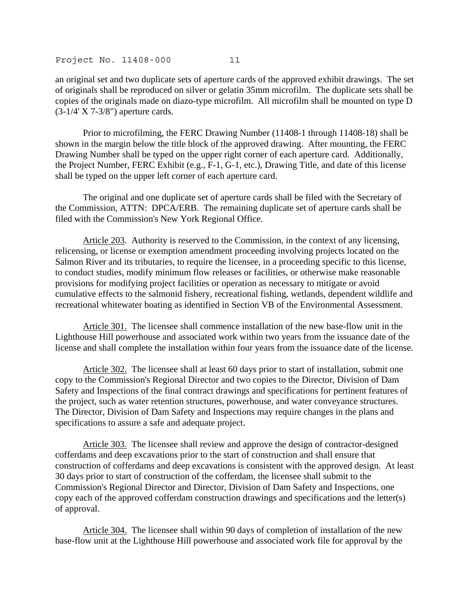an original set and two duplicate sets of aperture cards of the approved exhibit drawings. The set of originals shall be reproduced on silver or gelatin 35mm microfilm. The duplicate sets shall be copies of the originals made on diazo-type microfilm. All microfilm shall be mounted on type D (3-1/4' X 7-3/8") aperture cards.

 Prior to microfilming, the FERC Drawing Number (11408-1 through 11408-18) shall be shown in the margin below the title block of the approved drawing. After mounting, the FERC Drawing Number shall be typed on the upper right corner of each aperture card. Additionally, the Project Number, FERC Exhibit (e.g., F-1, G-1, etc.), Drawing Title, and date of this license shall be typed on the upper left corner of each aperture card.

 The original and one duplicate set of aperture cards shall be filed with the Secretary of the Commission, ATTN: DPCA/ERB. The remaining duplicate set of aperture cards shall be filed with the Commission's New York Regional Office.

Article 203. Authority is reserved to the Commission, in the context of any licensing, relicensing, or license or exemption amendment proceeding involving projects located on the Salmon River and its tributaries, to require the licensee, in a proceeding specific to this license, to conduct studies, modify minimum flow releases or facilities, or otherwise make reasonable provisions for modifying project facilities or operation as necessary to mitigate or avoid cumulative effects to the salmonid fishery, recreational fishing, wetlands, dependent wildlife and recreational whitewater boating as identified in Section VB of the Environmental Assessment.

Article 301. The licensee shall commence installation of the new base-flow unit in the Lighthouse Hill powerhouse and associated work within two years from the issuance date of the license and shall complete the installation within four years from the issuance date of the license.

Article 302. The licensee shall at least 60 days prior to start of installation, submit one copy to the Commission's Regional Director and two copies to the Director, Division of Dam Safety and Inspections of the final contract drawings and specifications for pertinent features of the project, such as water retention structures, powerhouse, and water conveyance structures. The Director, Division of Dam Safety and Inspections may require changes in the plans and specifications to assure a safe and adequate project.

Article 303. The licensee shall review and approve the design of contractor-designed cofferdams and deep excavations prior to the start of construction and shall ensure that construction of cofferdams and deep excavations is consistent with the approved design. At least 30 days prior to start of construction of the cofferdam, the licensee shall submit to the Commission's Regional Director and Director, Division of Dam Safety and Inspections, one copy each of the approved cofferdam construction drawings and specifications and the letter(s) of approval.

Article 304. The licensee shall within 90 days of completion of installation of the new base-flow unit at the Lighthouse Hill powerhouse and associated work file for approval by the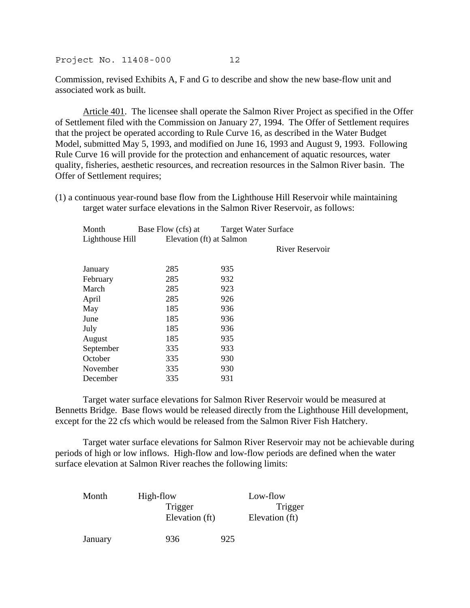Commission, revised Exhibits A, F and G to describe and show the new base-flow unit and associated work as built.

Article 401. The licensee shall operate the Salmon River Project as specified in the Offer of Settlement filed with the Commission on January 27, 1994. The Offer of Settlement requires that the project be operated according to Rule Curve 16, as described in the Water Budget Model, submitted May 5, 1993, and modified on June 16, 1993 and August 9, 1993. Following Rule Curve 16 will provide for the protection and enhancement of aquatic resources, water quality, fisheries, aesthetic resources, and recreation resources in the Salmon River basin. The Offer of Settlement requires;

(1) a continuous year-round base flow from the Lighthouse Hill Reservoir while maintaining target water surface elevations in the Salmon River Reservoir, as follows:

| Month           | Base Flow (cfs) at       | <b>Target Water Surface</b> |  |
|-----------------|--------------------------|-----------------------------|--|
| Lighthouse Hill | Elevation (ft) at Salmon |                             |  |
|                 |                          | River Reservoir             |  |
| January         | 285                      | 935                         |  |
| February        | 285                      | 932                         |  |
| March           | 285                      | 923                         |  |
| April           | 285                      | 926                         |  |
| May             | 185                      | 936                         |  |
| June            | 185                      | 936                         |  |
| July            | 185                      | 936                         |  |
| August          | 185                      | 935                         |  |
| September       | 335                      | 933                         |  |
| October         | 335                      | 930                         |  |
| November        | 335                      | 930                         |  |
| December        | 335                      | 931                         |  |

 Target water surface elevations for Salmon River Reservoir would be measured at Bennetts Bridge. Base flows would be released directly from the Lighthouse Hill development, except for the 22 cfs which would be released from the Salmon River Fish Hatchery.

 Target water surface elevations for Salmon River Reservoir may not be achievable during periods of high or low inflows. High-flow and low-flow periods are defined when the water surface elevation at Salmon River reaches the following limits:

| Month   | High-flow      | Low-flow       |
|---------|----------------|----------------|
|         | Trigger        | Trigger        |
|         | Elevation (ft) | Elevation (ft) |
|         |                |                |
| January | 936            | 925            |
|         |                |                |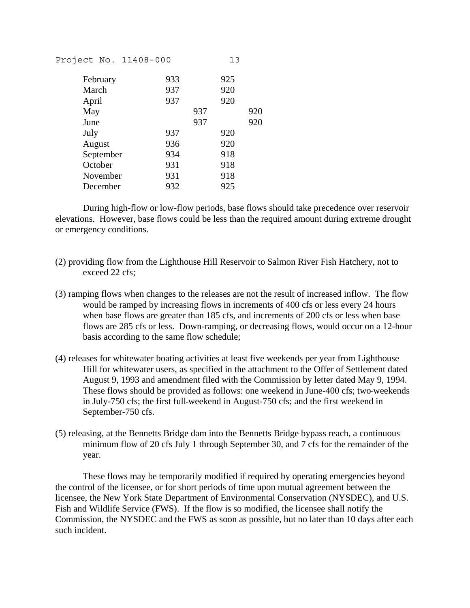| Project No. 11408-000 |     | 13         |
|-----------------------|-----|------------|
| February              | 933 | 925        |
| March                 | 937 | 920        |
| April                 | 937 | 920        |
| May                   |     | 937<br>920 |
| June                  |     | 937<br>920 |
| July                  | 937 | 920        |
| August                | 936 | 920        |
| September             | 934 | 918        |
| October               | 931 | 918        |
| November              | 931 | 918        |
| December              | 932 | 925        |
|                       |     |            |

 During high-flow or low-flow periods, base flows should take precedence over reservoir elevations. However, base flows could be less than the required amount during extreme drought or emergency conditions.

- (2) providing flow from the Lighthouse Hill Reservoir to Salmon River Fish Hatchery, not to exceed 22 cfs;
- (3) ramping flows when changes to the releases are not the result of increased inflow. The flow would be ramped by increasing flows in increments of 400 cfs or less every 24 hours when base flows are greater than 185 cfs, and increments of 200 cfs or less when base flows are 285 cfs or less. Down-ramping, or decreasing flows, would occur on a 12-hour basis according to the same flow schedule;
- (4) releases for whitewater boating activities at least five weekends per year from Lighthouse Hill for whitewater users, as specified in the attachment to the Offer of Settlement dated August 9, 1993 and amendment filed with the Commission by letter dated May 9, 1994. These flows should be provided as follows: one weekend in June-400 cfs; two weekends in July-750 cfs; the first full weekend in August-750 cfs; and the first weekend in September-750 cfs.
- (5) releasing, at the Bennetts Bridge dam into the Bennetts Bridge bypass reach, a continuous minimum flow of 20 cfs July 1 through September 30, and 7 cfs for the remainder of the year.

 These flows may be temporarily modified if required by operating emergencies beyond the control of the licensee, or for short periods of time upon mutual agreement between the licensee, the New York State Department of Environmental Conservation (NYSDEC), and U.S. Fish and Wildlife Service (FWS). If the flow is so modified, the licensee shall notify the Commission, the NYSDEC and the FWS as soon as possible, but no later than 10 days after each such incident.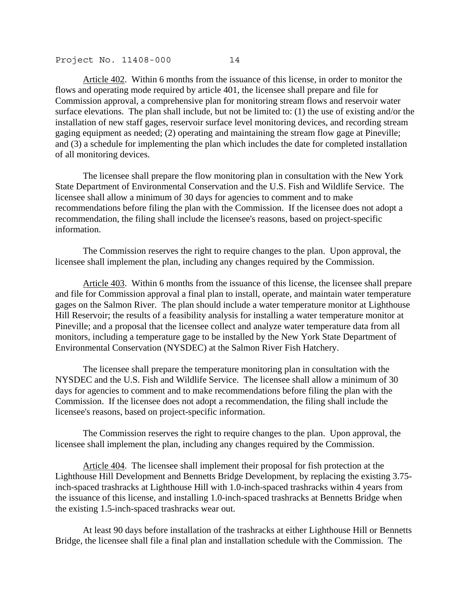Article 402. Within 6 months from the issuance of this license, in order to monitor the flows and operating mode required by article 401, the licensee shall prepare and file for Commission approval, a comprehensive plan for monitoring stream flows and reservoir water surface elevations. The plan shall include, but not be limited to: (1) the use of existing and/or the installation of new staff gages, reservoir surface level monitoring devices, and recording stream gaging equipment as needed; (2) operating and maintaining the stream flow gage at Pineville; and (3) a schedule for implementing the plan which includes the date for completed installation of all monitoring devices.

 The licensee shall prepare the flow monitoring plan in consultation with the New York State Department of Environmental Conservation and the U.S. Fish and Wildlife Service. The licensee shall allow a minimum of 30 days for agencies to comment and to make recommendations before filing the plan with the Commission. If the licensee does not adopt a recommendation, the filing shall include the licensee's reasons, based on project-specific information.

 The Commission reserves the right to require changes to the plan. Upon approval, the licensee shall implement the plan, including any changes required by the Commission.

Article 403. Within 6 months from the issuance of this license, the licensee shall prepare and file for Commission approval a final plan to install, operate, and maintain water temperature gages on the Salmon River. The plan should include a water temperature monitor at Lighthouse Hill Reservoir; the results of a feasibility analysis for installing a water temperature monitor at Pineville; and a proposal that the licensee collect and analyze water temperature data from all monitors, including a temperature gage to be installed by the New York State Department of Environmental Conservation (NYSDEC) at the Salmon River Fish Hatchery.

 The licensee shall prepare the temperature monitoring plan in consultation with the NYSDEC and the U.S. Fish and Wildlife Service. The licensee shall allow a minimum of 30 days for agencies to comment and to make recommendations before filing the plan with the Commission. If the licensee does not adopt a recommendation, the filing shall include the licensee's reasons, based on project-specific information.

 The Commission reserves the right to require changes to the plan. Upon approval, the licensee shall implement the plan, including any changes required by the Commission.

Article 404. The licensee shall implement their proposal for fish protection at the Lighthouse Hill Development and Bennetts Bridge Development, by replacing the existing 3.75 inch-spaced trashracks at Lighthouse Hill with 1.0-inch-spaced trashracks within 4 years from the issuance of this license, and installing 1.0-inch-spaced trashracks at Bennetts Bridge when the existing 1.5-inch-spaced trashracks wear out.

 At least 90 days before installation of the trashracks at either Lighthouse Hill or Bennetts Bridge, the licensee shall file a final plan and installation schedule with the Commission. The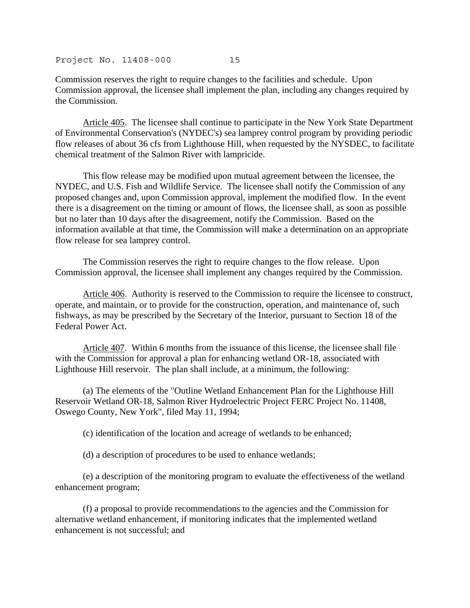Commission reserves the right to require changes to the facilities and schedule. Upon Commission approval, the licensee shall implement the plan, including any changes required by the Commission.

Article 405. The licensee shall continue to participate in the New York State Department of Environmental Conservation's (NYDEC's) sea lamprey control program by providing periodic flow releases of about 36 cfs from Lighthouse Hill, when requested by the NYSDEC, to facilitate chemical treatment of the Salmon River with lampricide.

 This flow release may be modified upon mutual agreement between the licensee, the NYDEC, and U.S. Fish and Wildlife Service. The licensee shall notify the Commission of any proposed changes and, upon Commission approval, implement the modified flow. In the event there is a disagreement on the timing or amount of flows, the licensee shall, as soon as possible but no later than 10 days after the disagreement, notify the Commission. Based on the information available at that time, the Commission will make a determination on an appropriate flow release for sea lamprey control.

 The Commission reserves the right to require changes to the flow release. Upon Commission approval, the licensee shall implement any changes required by the Commission.

Article 406. Authority is reserved to the Commission to require the licensee to construct, operate, and maintain, or to provide for the construction, operation, and maintenance of, such fishways, as may be prescribed by the Secretary of the Interior, pursuant to Section 18 of the Federal Power Act.

Article 407. Within 6 months from the issuance of this license, the licensee shall file with the Commission for approval a plan for enhancing wetland OR-18, associated with Lighthouse Hill reservoir. The plan shall include, at a minimum, the following:

 (a) The elements of the "Outline Wetland Enhancement Plan for the Lighthouse Hill Reservoir Wetland OR-18, Salmon River Hydroelectric Project FERC Project No. 11408, Oswego County, New York", filed May 11, 1994;

(c) identification of the location and acreage of wetlands to be enhanced;

(d) a description of procedures to be used to enhance wetlands;

 (e) a description of the monitoring program to evaluate the effectiveness of the wetland enhancement program;

 (f) a proposal to provide recommendations to the agencies and the Commission for alternative wetland enhancement, if monitoring indicates that the implemented wetland enhancement is not successful; and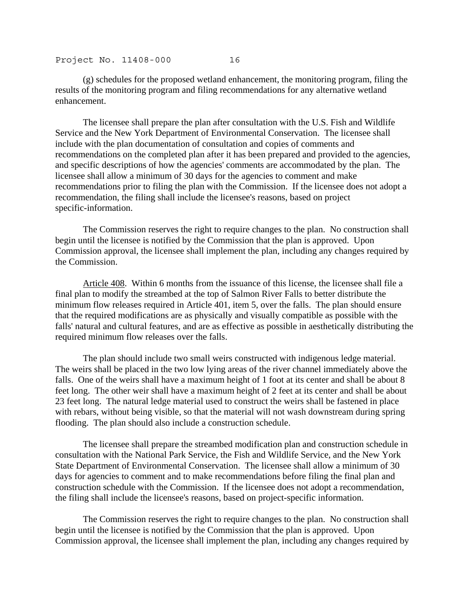(g) schedules for the proposed wetland enhancement, the monitoring program, filing the results of the monitoring program and filing recommendations for any alternative wetland enhancement.

 The licensee shall prepare the plan after consultation with the U.S. Fish and Wildlife Service and the New York Department of Environmental Conservation. The licensee shall include with the plan documentation of consultation and copies of comments and recommendations on the completed plan after it has been prepared and provided to the agencies, and specific descriptions of how the agencies' comments are accommodated by the plan. The licensee shall allow a minimum of 30 days for the agencies to comment and make recommendations prior to filing the plan with the Commission. If the licensee does not adopt a recommendation, the filing shall include the licensee's reasons, based on project specific-information.

 The Commission reserves the right to require changes to the plan. No construction shall begin until the licensee is notified by the Commission that the plan is approved. Upon Commission approval, the licensee shall implement the plan, including any changes required by the Commission.

Article 408. Within 6 months from the issuance of this license, the licensee shall file a final plan to modify the streambed at the top of Salmon River Falls to better distribute the minimum flow releases required in Article 401, item 5, over the falls. The plan should ensure that the required modifications are as physically and visually compatible as possible with the falls' natural and cultural features, and are as effective as possible in aesthetically distributing the required minimum flow releases over the falls.

 The plan should include two small weirs constructed with indigenous ledge material. The weirs shall be placed in the two low lying areas of the river channel immediately above the falls. One of the weirs shall have a maximum height of 1 foot at its center and shall be about 8 feet long. The other weir shall have a maximum height of 2 feet at its center and shall be about 23 feet long. The natural ledge material used to construct the weirs shall be fastened in place with rebars, without being visible, so that the material will not wash downstream during spring flooding. The plan should also include a construction schedule.

 The licensee shall prepare the streambed modification plan and construction schedule in consultation with the National Park Service, the Fish and Wildlife Service, and the New York State Department of Environmental Conservation. The licensee shall allow a minimum of 30 days for agencies to comment and to make recommendations before filing the final plan and construction schedule with the Commission. If the licensee does not adopt a recommendation, the filing shall include the licensee's reasons, based on project-specific information.

 The Commission reserves the right to require changes to the plan. No construction shall begin until the licensee is notified by the Commission that the plan is approved. Upon Commission approval, the licensee shall implement the plan, including any changes required by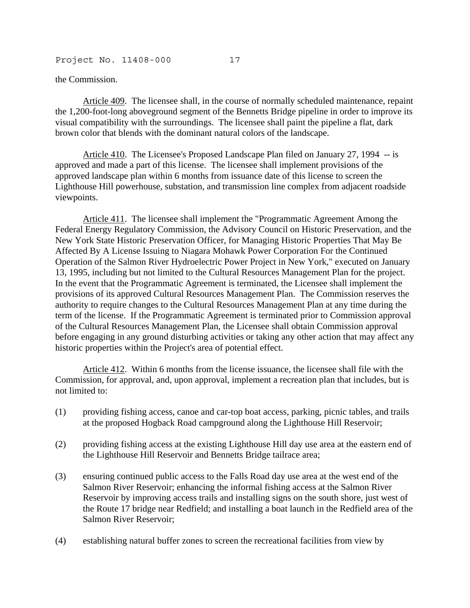the Commission.

Article 409. The licensee shall, in the course of normally scheduled maintenance, repaint the 1,200-foot-long aboveground segment of the Bennetts Bridge pipeline in order to improve its visual compatibility with the surroundings. The licensee shall paint the pipeline a flat, dark brown color that blends with the dominant natural colors of the landscape.

Article 410. The Licensee's Proposed Landscape Plan filed on January 27, 1994 -- is approved and made a part of this license. The licensee shall implement provisions of the approved landscape plan within 6 months from issuance date of this license to screen the Lighthouse Hill powerhouse, substation, and transmission line complex from adjacent roadside viewpoints.

Article 411. The licensee shall implement the "Programmatic Agreement Among the Federal Energy Regulatory Commission, the Advisory Council on Historic Preservation, and the New York State Historic Preservation Officer, for Managing Historic Properties That May Be Affected By A License Issuing to Niagara Mohawk Power Corporation For the Continued Operation of the Salmon River Hydroelectric Power Project in New York," executed on January 13, 1995, including but not limited to the Cultural Resources Management Plan for the project. In the event that the Programmatic Agreement is terminated, the Licensee shall implement the provisions of its approved Cultural Resources Management Plan. The Commission reserves the authority to require changes to the Cultural Resources Management Plan at any time during the term of the license. If the Programmatic Agreement is terminated prior to Commission approval of the Cultural Resources Management Plan, the Licensee shall obtain Commission approval before engaging in any ground disturbing activities or taking any other action that may affect any historic properties within the Project's area of potential effect.

Article 412. Within 6 months from the license issuance, the licensee shall file with the Commission, for approval, and, upon approval, implement a recreation plan that includes, but is not limited to:

- (1) providing fishing access, canoe and car-top boat access, parking, picnic tables, and trails at the proposed Hogback Road campground along the Lighthouse Hill Reservoir;
- (2) providing fishing access at the existing Lighthouse Hill day use area at the eastern end of the Lighthouse Hill Reservoir and Bennetts Bridge tailrace area;
- (3) ensuring continued public access to the Falls Road day use area at the west end of the Salmon River Reservoir; enhancing the informal fishing access at the Salmon River Reservoir by improving access trails and installing signs on the south shore, just west of the Route 17 bridge near Redfield; and installing a boat launch in the Redfield area of the Salmon River Reservoir;
- (4) establishing natural buffer zones to screen the recreational facilities from view by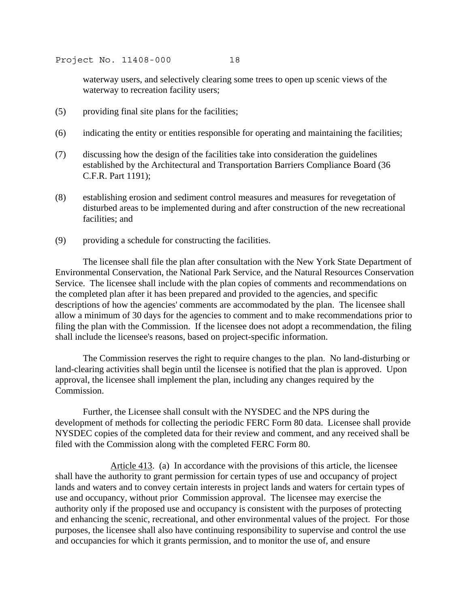waterway users, and selectively clearing some trees to open up scenic views of the waterway to recreation facility users;

- (5) providing final site plans for the facilities;
- (6) indicating the entity or entities responsible for operating and maintaining the facilities;
- (7) discussing how the design of the facilities take into consideration the guidelines established by the Architectural and Transportation Barriers Compliance Board (36 C.F.R. Part 1191);
- (8) establishing erosion and sediment control measures and measures for revegetation of disturbed areas to be implemented during and after construction of the new recreational facilities; and
- (9) providing a schedule for constructing the facilities.

 The licensee shall file the plan after consultation with the New York State Department of Environmental Conservation, the National Park Service, and the Natural Resources Conservation Service. The licensee shall include with the plan copies of comments and recommendations on the completed plan after it has been prepared and provided to the agencies, and specific descriptions of how the agencies' comments are accommodated by the plan. The licensee shall allow a minimum of 30 days for the agencies to comment and to make recommendations prior to filing the plan with the Commission. If the licensee does not adopt a recommendation, the filing shall include the licensee's reasons, based on project-specific information.

 The Commission reserves the right to require changes to the plan. No land-disturbing or land-clearing activities shall begin until the licensee is notified that the plan is approved. Upon approval, the licensee shall implement the plan, including any changes required by the Commission.

 Further, the Licensee shall consult with the NYSDEC and the NPS during the development of methods for collecting the periodic FERC Form 80 data. Licensee shall provide NYSDEC copies of the completed data for their review and comment, and any received shall be filed with the Commission along with the completed FERC Form 80.

 Article 413. (a) In accordance with the provisions of this article, the licensee shall have the authority to grant permission for certain types of use and occupancy of project lands and waters and to convey certain interests in project lands and waters for certain types of use and occupancy, without prior Commission approval. The licensee may exercise the authority only if the proposed use and occupancy is consistent with the purposes of protecting and enhancing the scenic, recreational, and other environmental values of the project. For those purposes, the licensee shall also have continuing responsibility to supervise and control the use and occupancies for which it grants permission, and to monitor the use of, and ensure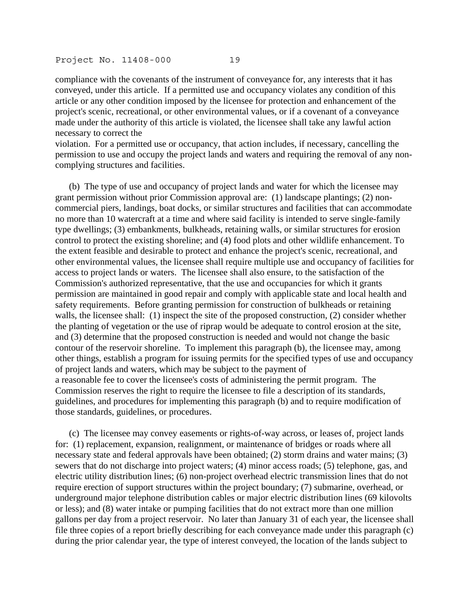compliance with the covenants of the instrument of conveyance for, any interests that it has conveyed, under this article. If a permitted use and occupancy violates any condition of this article or any other condition imposed by the licensee for protection and enhancement of the project's scenic, recreational, or other environmental values, or if a covenant of a conveyance made under the authority of this article is violated, the licensee shall take any lawful action necessary to correct the

violation. For a permitted use or occupancy, that action includes, if necessary, cancelling the permission to use and occupy the project lands and waters and requiring the removal of any noncomplying structures and facilities.

 (b) The type of use and occupancy of project lands and water for which the licensee may grant permission without prior Commission approval are: (1) landscape plantings; (2) noncommercial piers, landings, boat docks, or similar structures and facilities that can accommodate no more than 10 watercraft at a time and where said facility is intended to serve single-family type dwellings; (3) embankments, bulkheads, retaining walls, or similar structures for erosion control to protect the existing shoreline; and (4) food plots and other wildlife enhancement. To the extent feasible and desirable to protect and enhance the project's scenic, recreational, and other environmental values, the licensee shall require multiple use and occupancy of facilities for access to project lands or waters. The licensee shall also ensure, to the satisfaction of the Commission's authorized representative, that the use and occupancies for which it grants permission are maintained in good repair and comply with applicable state and local health and safety requirements. Before granting permission for construction of bulkheads or retaining walls, the licensee shall: (1) inspect the site of the proposed construction, (2) consider whether the planting of vegetation or the use of riprap would be adequate to control erosion at the site, and (3) determine that the proposed construction is needed and would not change the basic contour of the reservoir shoreline. To implement this paragraph (b), the licensee may, among other things, establish a program for issuing permits for the specified types of use and occupancy of project lands and waters, which may be subject to the payment of a reasonable fee to cover the licensee's costs of administering the permit program. The Commission reserves the right to require the licensee to file a description of its standards, guidelines, and procedures for implementing this paragraph (b) and to require modification of those standards, guidelines, or procedures.

 (c) The licensee may convey easements or rights-of-way across, or leases of, project lands for: (1) replacement, expansion, realignment, or maintenance of bridges or roads where all necessary state and federal approvals have been obtained; (2) storm drains and water mains; (3) sewers that do not discharge into project waters; (4) minor access roads; (5) telephone, gas, and electric utility distribution lines; (6) non-project overhead electric transmission lines that do not require erection of support structures within the project boundary; (7) submarine, overhead, or underground major telephone distribution cables or major electric distribution lines (69 kilovolts or less); and (8) water intake or pumping facilities that do not extract more than one million gallons per day from a project reservoir. No later than January 31 of each year, the licensee shall file three copies of a report briefly describing for each conveyance made under this paragraph (c) during the prior calendar year, the type of interest conveyed, the location of the lands subject to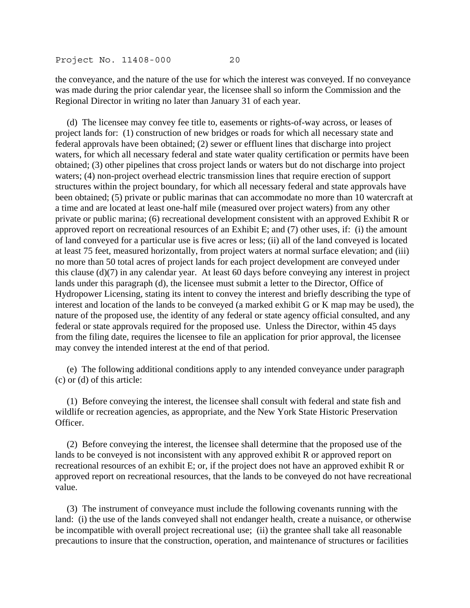the conveyance, and the nature of the use for which the interest was conveyed. If no conveyance was made during the prior calendar year, the licensee shall so inform the Commission and the Regional Director in writing no later than January 31 of each year.

 (d) The licensee may convey fee title to, easements or rights-of-way across, or leases of project lands for: (1) construction of new bridges or roads for which all necessary state and federal approvals have been obtained; (2) sewer or effluent lines that discharge into project waters, for which all necessary federal and state water quality certification or permits have been obtained; (3) other pipelines that cross project lands or waters but do not discharge into project waters; (4) non-project overhead electric transmission lines that require erection of support structures within the project boundary, for which all necessary federal and state approvals have been obtained; (5) private or public marinas that can accommodate no more than 10 watercraft at a time and are located at least one-half mile (measured over project waters) from any other private or public marina; (6) recreational development consistent with an approved Exhibit R or approved report on recreational resources of an Exhibit E; and (7) other uses, if: (i) the amount of land conveyed for a particular use is five acres or less; (ii) all of the land conveyed is located at least 75 feet, measured horizontally, from project waters at normal surface elevation; and (iii) no more than 50 total acres of project lands for each project development are conveyed under this clause (d)(7) in any calendar year. At least 60 days before conveying any interest in project lands under this paragraph (d), the licensee must submit a letter to the Director, Office of Hydropower Licensing, stating its intent to convey the interest and briefly describing the type of interest and location of the lands to be conveyed (a marked exhibit G or K map may be used), the nature of the proposed use, the identity of any federal or state agency official consulted, and any federal or state approvals required for the proposed use. Unless the Director, within 45 days from the filing date, requires the licensee to file an application for prior approval, the licensee may convey the intended interest at the end of that period.

 (e) The following additional conditions apply to any intended conveyance under paragraph (c) or (d) of this article:

 (1) Before conveying the interest, the licensee shall consult with federal and state fish and wildlife or recreation agencies, as appropriate, and the New York State Historic Preservation Officer.

 (2) Before conveying the interest, the licensee shall determine that the proposed use of the lands to be conveyed is not inconsistent with any approved exhibit R or approved report on recreational resources of an exhibit E; or, if the project does not have an approved exhibit R or approved report on recreational resources, that the lands to be conveyed do not have recreational value.

 (3) The instrument of conveyance must include the following covenants running with the land: (i) the use of the lands conveyed shall not endanger health, create a nuisance, or otherwise be incompatible with overall project recreational use; (ii) the grantee shall take all reasonable precautions to insure that the construction, operation, and maintenance of structures or facilities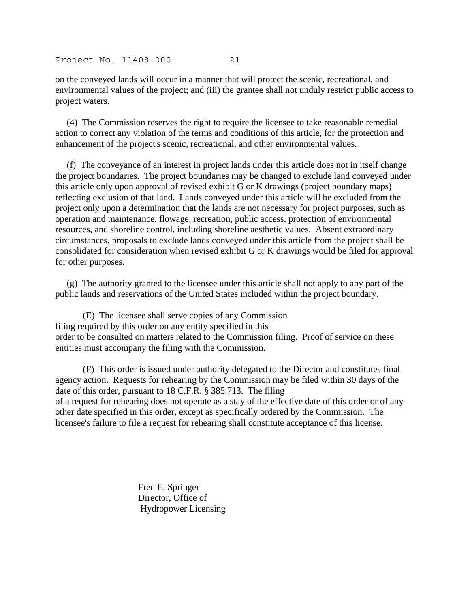on the conveyed lands will occur in a manner that will protect the scenic, recreational, and environmental values of the project; and (iii) the grantee shall not unduly restrict public access to project waters.

 (4) The Commission reserves the right to require the licensee to take reasonable remedial action to correct any violation of the terms and conditions of this article, for the protection and enhancement of the project's scenic, recreational, and other environmental values.

 (f) The conveyance of an interest in project lands under this article does not in itself change the project boundaries. The project boundaries may be changed to exclude land conveyed under this article only upon approval of revised exhibit G or K drawings (project boundary maps) reflecting exclusion of that land. Lands conveyed under this article will be excluded from the project only upon a determination that the lands are not necessary for project purposes, such as operation and maintenance, flowage, recreation, public access, protection of environmental resources, and shoreline control, including shoreline aesthetic values. Absent extraordinary circumstances, proposals to exclude lands conveyed under this article from the project shall be consolidated for consideration when revised exhibit G or K drawings would be filed for approval for other purposes.

 (g) The authority granted to the licensee under this article shall not apply to any part of the public lands and reservations of the United States included within the project boundary.

 (E) The licensee shall serve copies of any Commission filing required by this order on any entity specified in this order to be consulted on matters related to the Commission filing. Proof of service on these entities must accompany the filing with the Commission.

 (F) This order is issued under authority delegated to the Director and constitutes final agency action. Requests for rehearing by the Commission may be filed within 30 days of the date of this order, pursuant to 18 C.F.R. § 385.713. The filing of a request for rehearing does not operate as a stay of the effective date of this order or of any other date specified in this order, except as specifically ordered by the Commission. The licensee's failure to file a request for rehearing shall constitute acceptance of this license.

> Fred E. Springer Director, Office of Hydropower Licensing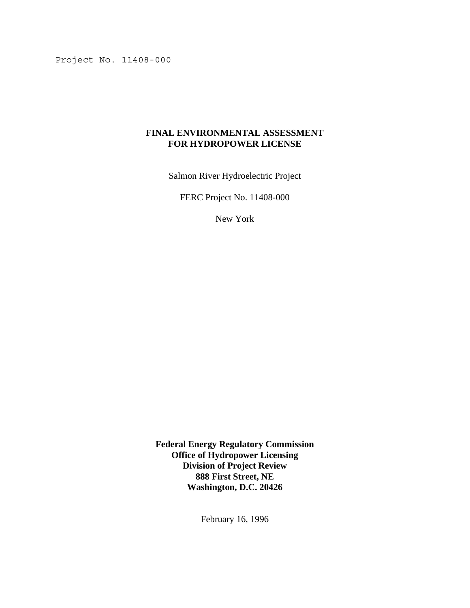## **FINAL ENVIRONMENTAL ASSESSMENT FOR HYDROPOWER LICENSE**

Salmon River Hydroelectric Project

FERC Project No. 11408-000

New York

**Federal Energy Regulatory Commission Office of Hydropower Licensing Division of Project Review 888 First Street, NE Washington, D.C. 20426**

February 16, 1996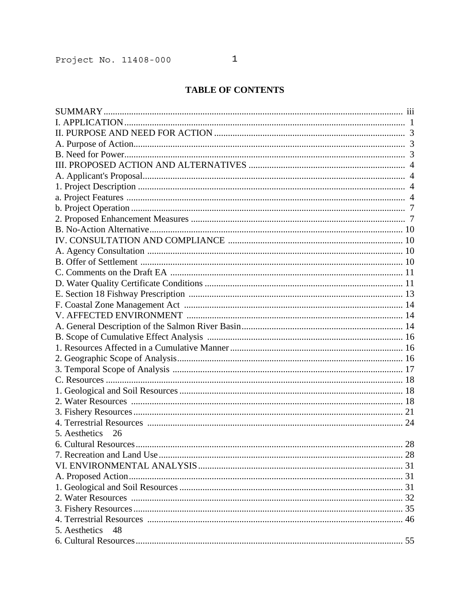# **TABLE OF CONTENTS**

| 5. Aesthetics 26 |    |
|------------------|----|
|                  | 28 |
|                  |    |
|                  |    |
|                  |    |
|                  |    |
|                  |    |
|                  |    |
|                  |    |
| 5. Aesthetics 48 |    |
|                  |    |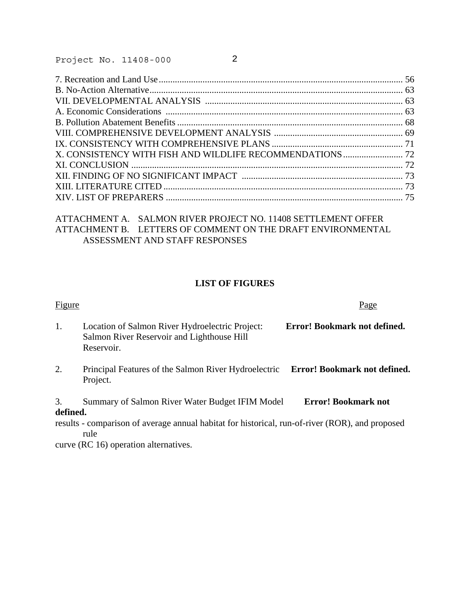| X. CONSISTENCY WITH FISH AND WILDLIFE RECOMMENDATIONS  72 |  |
|-----------------------------------------------------------|--|
|                                                           |  |
|                                                           |  |
|                                                           |  |
|                                                           |  |

# ATTACHMENT A. SALMON RIVER PROJECT NO. 11408 SETTLEMENT OFFER ATTACHMENT B. LETTERS OF COMMENT ON THE DRAFT ENVIRONMENTAL ASSESSMENT AND STAFF RESPONSES

## **LIST OF FIGURES**

| Figure                                                                                                      | Page                                                                                                                                                                      |
|-------------------------------------------------------------------------------------------------------------|---------------------------------------------------------------------------------------------------------------------------------------------------------------------------|
| Location of Salmon River Hydroelectric Project:<br>Salmon River Reservoir and Lighthouse Hill<br>Reservoir. | Error! Bookmark not defined.                                                                                                                                              |
| Project.                                                                                                    |                                                                                                                                                                           |
|                                                                                                             | <b>Error! Bookmark not</b>                                                                                                                                                |
| defined.                                                                                                    |                                                                                                                                                                           |
| results - comparison of average annual habitat for historical, run-of-river (ROR), and proposed<br>rule     |                                                                                                                                                                           |
|                                                                                                             | Principal Features of the Salmon River Hydroelectric Error! Bookmark not defined.<br>Summary of Salmon River Water Budget IFIM Model<br>$\sqrt{D} \cap 1 \cap$ $\sqrt{2}$ |

curve (RC 16) operation alternatives.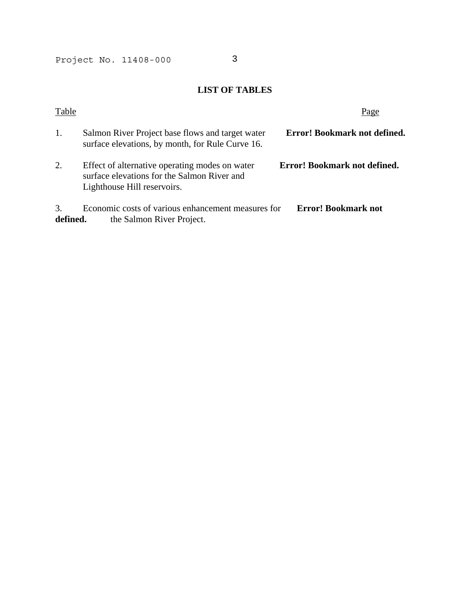# **LIST OF TABLES**

| Table          |                                                                                                                              | Page                         |
|----------------|------------------------------------------------------------------------------------------------------------------------------|------------------------------|
| 1.             | Salmon River Project base flows and target water<br>surface elevations, by month, for Rule Curve 16.                         | Error! Bookmark not defined. |
| 2.             | Effect of alternative operating modes on water<br>surface elevations for the Salmon River and<br>Lighthouse Hill reservoirs. | Error! Bookmark not defined. |
| 3.<br>defined. | Economic costs of various enhancement measures for<br>the Salmon River Project.                                              | <b>Error! Bookmark not</b>   |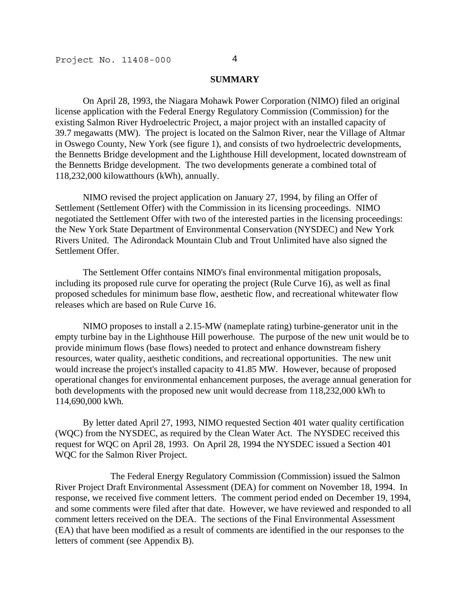#### **SUMMARY**

 On April 28, 1993, the Niagara Mohawk Power Corporation (NIMO) filed an original license application with the Federal Energy Regulatory Commission (Commission) for the existing Salmon River Hydroelectric Project, a major project with an installed capacity of 39.7 megawatts (MW). The project is located on the Salmon River, near the Village of Altmar in Oswego County, New York (see figure 1), and consists of two hydroelectric developments, the Bennetts Bridge development and the Lighthouse Hill development, located downstream of the Bennetts Bridge development. The two developments generate a combined total of 118,232,000 kilowatthours (kWh), annually.

 NIMO revised the project application on January 27, 1994, by filing an Offer of Settlement (Settlement Offer) with the Commission in its licensing proceedings. NIMO negotiated the Settlement Offer with two of the interested parties in the licensing proceedings: the New York State Department of Environmental Conservation (NYSDEC) and New York Rivers United. The Adirondack Mountain Club and Trout Unlimited have also signed the Settlement Offer.

 The Settlement Offer contains NIMO's final environmental mitigation proposals, including its proposed rule curve for operating the project (Rule Curve 16), as well as final proposed schedules for minimum base flow, aesthetic flow, and recreational whitewater flow releases which are based on Rule Curve 16.

 NIMO proposes to install a 2.15-MW (nameplate rating) turbine-generator unit in the empty turbine bay in the Lighthouse Hill powerhouse. The purpose of the new unit would be to provide minimum flows (base flows) needed to protect and enhance downstream fishery resources, water quality, aesthetic conditions, and recreational opportunities. The new unit would increase the project's installed capacity to 41.85 MW. However, because of proposed operational changes for environmental enhancement purposes, the average annual generation for both developments with the proposed new unit would decrease from 118,232,000 kWh to 114,690,000 kWh.

 By letter dated April 27, 1993, NIMO requested Section 401 water quality certification (WQC) from the NYSDEC, as required by the Clean Water Act. The NYSDEC received this request for WQC on April 28, 1993. On April 28, 1994 the NYSDEC issued a Section 401 WQC for the Salmon River Project.

 The Federal Energy Regulatory Commission (Commission) issued the Salmon River Project Draft Environmental Assessment (DEA) for comment on November 18, 1994. In response, we received five comment letters. The comment period ended on December 19, 1994, and some comments were filed after that date. However, we have reviewed and responded to all comment letters received on the DEA. The sections of the Final Environmental Assessment (EA) that have been modified as a result of comments are identified in the our responses to the letters of comment (see Appendix B).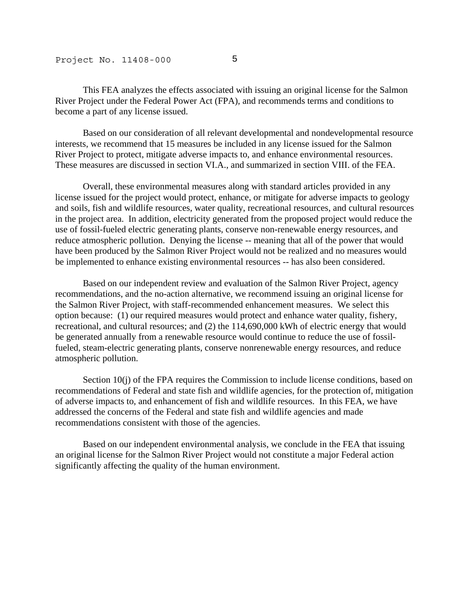This FEA analyzes the effects associated with issuing an original license for the Salmon River Project under the Federal Power Act (FPA), and recommends terms and conditions to become a part of any license issued.

 Based on our consideration of all relevant developmental and nondevelopmental resource interests, we recommend that 15 measures be included in any license issued for the Salmon River Project to protect, mitigate adverse impacts to, and enhance environmental resources. These measures are discussed in section VI.A., and summarized in section VIII. of the FEA.

 Overall, these environmental measures along with standard articles provided in any license issued for the project would protect, enhance, or mitigate for adverse impacts to geology and soils, fish and wildlife resources, water quality, recreational resources, and cultural resources in the project area. In addition, electricity generated from the proposed project would reduce the use of fossil-fueled electric generating plants, conserve non-renewable energy resources, and reduce atmospheric pollution. Denying the license -- meaning that all of the power that would have been produced by the Salmon River Project would not be realized and no measures would be implemented to enhance existing environmental resources -- has also been considered.

 Based on our independent review and evaluation of the Salmon River Project, agency recommendations, and the no-action alternative, we recommend issuing an original license for the Salmon River Project, with staff-recommended enhancement measures. We select this option because: (1) our required measures would protect and enhance water quality, fishery, recreational, and cultural resources; and (2) the 114,690,000 kWh of electric energy that would be generated annually from a renewable resource would continue to reduce the use of fossilfueled, steam-electric generating plants, conserve nonrenewable energy resources, and reduce atmospheric pollution.

Section 10(j) of the FPA requires the Commission to include license conditions, based on recommendations of Federal and state fish and wildlife agencies, for the protection of, mitigation of adverse impacts to, and enhancement of fish and wildlife resources. In this FEA, we have addressed the concerns of the Federal and state fish and wildlife agencies and made recommendations consistent with those of the agencies.

 Based on our independent environmental analysis, we conclude in the FEA that issuing an original license for the Salmon River Project would not constitute a major Federal action significantly affecting the quality of the human environment.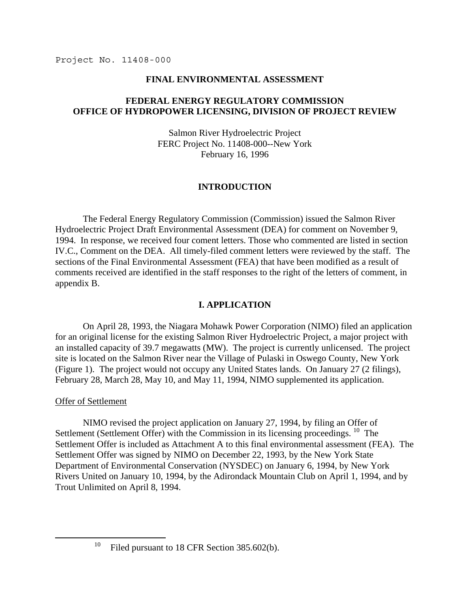### **FINAL ENVIRONMENTAL ASSESSMENT**

## **FEDERAL ENERGY REGULATORY COMMISSION OFFICE OF HYDROPOWER LICENSING, DIVISION OF PROJECT REVIEW**

Salmon River Hydroelectric Project FERC Project No. 11408-000--New York February 16, 1996

### **INTRODUCTION**

 The Federal Energy Regulatory Commission (Commission) issued the Salmon River Hydroelectric Project Draft Environmental Assessment (DEA) for comment on November 9, 1994. In response, we received four coment letters. Those who commented are listed in section IV.C., Comment on the DEA. All timely-filed comment letters were reviewed by the staff. The sections of the Final Environmental Assessment (FEA) that have been modified as a result of comments received are identified in the staff responses to the right of the letters of comment, in appendix B.

# **I. APPLICATION**

 On April 28, 1993, the Niagara Mohawk Power Corporation (NIMO) filed an application for an original license for the existing Salmon River Hydroelectric Project, a major project with an installed capacity of 39.7 megawatts (MW). The project is currently unlicensed. The project site is located on the Salmon River near the Village of Pulaski in Oswego County, New York (Figure 1). The project would not occupy any United States lands. On January 27 (2 filings), February 28, March 28, May 10, and May 11, 1994, NIMO supplemented its application.

### Offer of Settlement

.

 NIMO revised the project application on January 27, 1994, by filing an Offer of Settlement (Settlement Offer) with the Commission in its licensing proceedings. <sup>10</sup> The Settlement Offer is included as Attachment A to this final environmental assessment (FEA). The Settlement Offer was signed by NIMO on December 22, 1993, by the New York State Department of Environmental Conservation (NYSDEC) on January 6, 1994, by New York Rivers United on January 10, 1994, by the Adirondack Mountain Club on April 1, 1994, and by Trout Unlimited on April 8, 1994.

<span id="page-27-0"></span><sup>&</sup>lt;sup>10</sup> Filed pursuant to 18 CFR Section 385.602(b).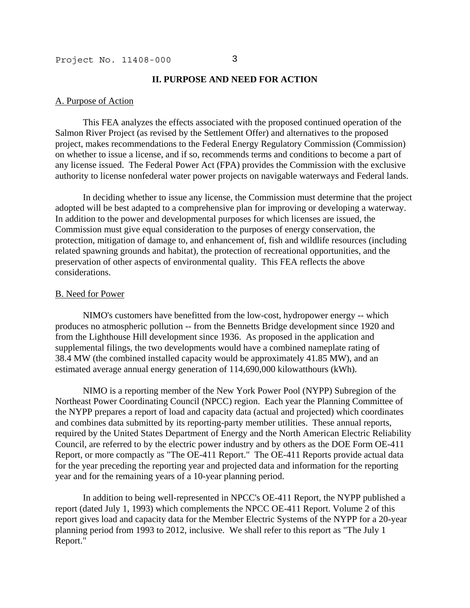#### **II. PURPOSE AND NEED FOR ACTION**

### A. Purpose of Action

 This FEA analyzes the effects associated with the proposed continued operation of the Salmon River Project (as revised by the Settlement Offer) and alternatives to the proposed project, makes recommendations to the Federal Energy Regulatory Commission (Commission) on whether to issue a license, and if so, recommends terms and conditions to become a part of any license issued. The Federal Power Act (FPA) provides the Commission with the exclusive authority to license nonfederal water power projects on navigable waterways and Federal lands.

 In deciding whether to issue any license, the Commission must determine that the project adopted will be best adapted to a comprehensive plan for improving or developing a waterway. In addition to the power and developmental purposes for which licenses are issued, the Commission must give equal consideration to the purposes of energy conservation, the protection, mitigation of damage to, and enhancement of, fish and wildlife resources (including related spawning grounds and habitat), the protection of recreational opportunities, and the preservation of other aspects of environmental quality. This FEA reflects the above considerations.

#### B. Need for Power

 NIMO's customers have benefitted from the low-cost, hydropower energy -- which produces no atmospheric pollution -- from the Bennetts Bridge development since 1920 and from the Lighthouse Hill development since 1936. As proposed in the application and supplemental filings, the two developments would have a combined nameplate rating of 38.4 MW (the combined installed capacity would be approximately 41.85 MW), and an estimated average annual energy generation of 114,690,000 kilowatthours (kWh).

 NIMO is a reporting member of the New York Power Pool (NYPP) Subregion of the Northeast Power Coordinating Council (NPCC) region. Each year the Planning Committee of the NYPP prepares a report of load and capacity data (actual and projected) which coordinates and combines data submitted by its reporting-party member utilities. These annual reports, required by the United States Department of Energy and the North American Electric Reliability Council, are referred to by the electric power industry and by others as the DOE Form OE-411 Report, or more compactly as "The OE-411 Report." The OE-411 Reports provide actual data for the year preceding the reporting year and projected data and information for the reporting year and for the remaining years of a 10-year planning period.

 In addition to being well-represented in NPCC's OE-411 Report, the NYPP published a report (dated July 1, 1993) which complements the NPCC OE-411 Report. Volume 2 of this report gives load and capacity data for the Member Electric Systems of the NYPP for a 20-year planning period from 1993 to 2012, inclusive. We shall refer to this report as "The July 1 Report."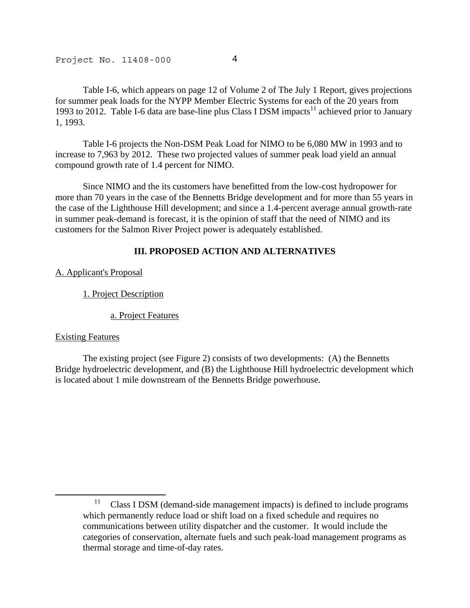Table I-6, which appears on page 12 of Volume 2 of The July 1 Report, gives projections for summer peak loads for the NYPP Member Electric Systems for each of the 20 years from 1993 to 2012. Table I-6 data are base-line plus Class I DSM impacts<sup>11</sup> achieved prior to January 1, 1993.

 Table I-6 projects the Non-DSM Peak Load for NIMO to be 6,080 MW in 1993 and to increase to 7,963 by 2012. These two projected values of summer peak load yield an annual compound growth rate of 1.4 percent for NIMO.

 Since NIMO and the its customers have benefitted from the low-cost hydropower for more than 70 years in the case of the Bennetts Bridge development and for more than 55 years in the case of the Lighthouse Hill development; and since a 1.4-percent average annual growth-rate in summer peak-demand is forecast, it is the opinion of staff that the need of NIMO and its customers for the Salmon River Project power is adequately established.

# **III. PROPOSED ACTION AND ALTERNATIVES**

## A. Applicant's Proposal

1. Project Description

a. Project Features

### Existing Features

j

 The existing project (see Figure 2) consists of two developments: (A) the Bennetts Bridge hydroelectric development, and (B) the Lighthouse Hill hydroelectric development which is located about 1 mile downstream of the Bennetts Bridge powerhouse.

<span id="page-30-0"></span><sup>&</sup>lt;sup>11</sup> Class I DSM (demand-side management impacts) is defined to include programs which permanently reduce load or shift load on a fixed schedule and requires no communications between utility dispatcher and the customer. It would include the categories of conservation, alternate fuels and such peak-load management programs as thermal storage and time-of-day rates.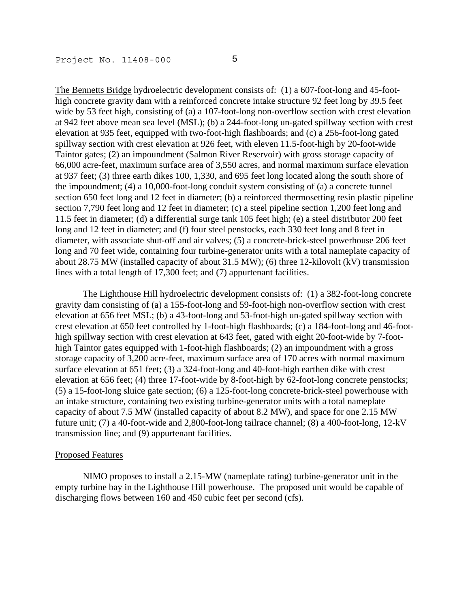The Bennetts Bridge hydroelectric development consists of: (1) a 607-foot-long and 45-foothigh concrete gravity dam with a reinforced concrete intake structure 92 feet long by 39.5 feet wide by 53 feet high, consisting of (a) a 107-foot-long non-overflow section with crest elevation at 942 feet above mean sea level (MSL); (b) a 244-foot-long un-gated spillway section with crest elevation at 935 feet, equipped with two-foot-high flashboards; and (c) a 256-foot-long gated spillway section with crest elevation at 926 feet, with eleven 11.5-foot-high by 20-foot-wide Taintor gates; (2) an impoundment (Salmon River Reservoir) with gross storage capacity of 66,000 acre-feet, maximum surface area of 3,550 acres, and normal maximum surface elevation at 937 feet; (3) three earth dikes 100, 1,330, and 695 feet long located along the south shore of the impoundment; (4) a 10,000-foot-long conduit system consisting of (a) a concrete tunnel section 650 feet long and 12 feet in diameter; (b) a reinforced thermosetting resin plastic pipeline section 7,790 feet long and 12 feet in diameter; (c) a steel pipeline section 1,200 feet long and 11.5 feet in diameter; (d) a differential surge tank 105 feet high; (e) a steel distributor 200 feet long and 12 feet in diameter; and (f) four steel penstocks, each 330 feet long and 8 feet in diameter, with associate shut-off and air valves; (5) a concrete-brick-steel powerhouse 206 feet long and 70 feet wide, containing four turbine-generator units with a total nameplate capacity of about 28.75 MW (installed capacity of about 31.5 MW); (6) three 12-kilovolt (kV) transmission lines with a total length of 17,300 feet; and (7) appurtenant facilities.

The Lighthouse Hill hydroelectric development consists of: (1) a 382-foot-long concrete gravity dam consisting of (a) a 155-foot-long and 59-foot-high non-overflow section with crest elevation at 656 feet MSL; (b) a 43-foot-long and 53-foot-high un-gated spillway section with crest elevation at 650 feet controlled by 1-foot-high flashboards; (c) a 184-foot-long and 46-foothigh spillway section with crest elevation at 643 feet, gated with eight 20-foot-wide by 7-foothigh Taintor gates equipped with 1-foot-high flashboards; (2) an impoundment with a gross storage capacity of 3,200 acre-feet, maximum surface area of 170 acres with normal maximum surface elevation at 651 feet; (3) a 324-foot-long and 40-foot-high earthen dike with crest elevation at 656 feet; (4) three 17-foot-wide by 8-foot-high by 62-foot-long concrete penstocks; (5) a 15-foot-long sluice gate section; (6) a 125-foot-long concrete-brick-steel powerhouse with an intake structure, containing two existing turbine-generator units with a total nameplate capacity of about 7.5 MW (installed capacity of about 8.2 MW), and space for one 2.15 MW future unit; (7) a 40-foot-wide and 2,800-foot-long tailrace channel; (8) a 400-foot-long, 12-kV transmission line; and (9) appurtenant facilities.

### Proposed Features

 NIMO proposes to install a 2.15-MW (nameplate rating) turbine-generator unit in the empty turbine bay in the Lighthouse Hill powerhouse. The proposed unit would be capable of discharging flows between 160 and 450 cubic feet per second (cfs).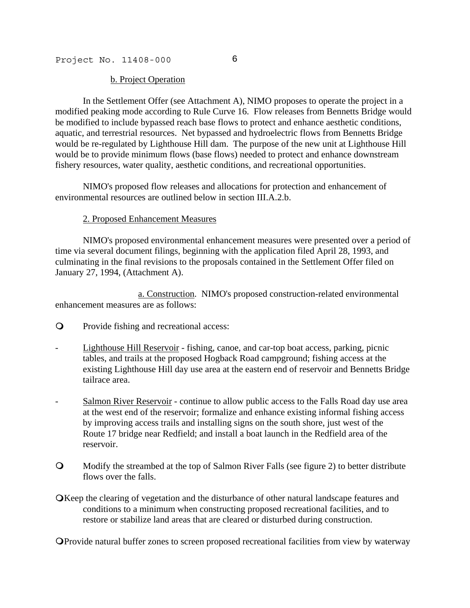### b. Project Operation

 In the Settlement Offer (see Attachment A), NIMO proposes to operate the project in a modified peaking mode according to Rule Curve 16. Flow releases from Bennetts Bridge would be modified to include bypassed reach base flows to protect and enhance aesthetic conditions, aquatic, and terrestrial resources. Net bypassed and hydroelectric flows from Bennetts Bridge would be re-regulated by Lighthouse Hill dam. The purpose of the new unit at Lighthouse Hill would be to provide minimum flows (base flows) needed to protect and enhance downstream fishery resources, water quality, aesthetic conditions, and recreational opportunities.

 NIMO's proposed flow releases and allocations for protection and enhancement of environmental resources are outlined below in section III.A.2.b.

### 2. Proposed Enhancement Measures

 NIMO's proposed environmental enhancement measures were presented over a period of time via several document filings, beginning with the application filed April 28, 1993, and culminating in the final revisions to the proposals contained in the Settlement Offer filed on January 27, 1994, (Attachment A).

 a. Construction. NIMO's proposed construction-related environmental enhancement measures are as follows:

- **Q** Provide fishing and recreational access:
- Lighthouse Hill Reservoir fishing, canoe, and car-top boat access, parking, picnic tables, and trails at the proposed Hogback Road campground; fishing access at the existing Lighthouse Hill day use area at the eastern end of reservoir and Bennetts Bridge tailrace area.
- Salmon River Reservoir continue to allow public access to the Falls Road day use area at the west end of the reservoir; formalize and enhance existing informal fishing access by improving access trails and installing signs on the south shore, just west of the Route 17 bridge near Redfield; and install a boat launch in the Redfield area of the reservoir.
- Modify the streambed at the top of Salmon River Falls (see figure 2) to better distribute flows over the falls.
- **O**Keep the clearing of vegetation and the disturbance of other natural landscape features and conditions to a minimum when constructing proposed recreational facilities, and to restore or stabilize land areas that are cleared or disturbed during construction.

Provide natural buffer zones to screen proposed recreational facilities from view by waterway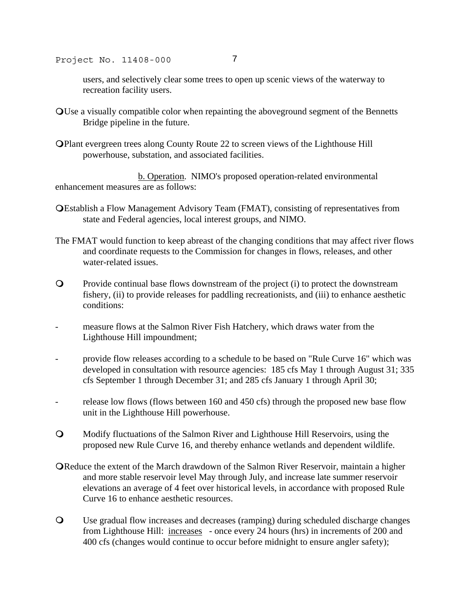users, and selectively clear some trees to open up scenic views of the waterway to recreation facility users.

- Use a visually compatible color when repainting the aboveground segment of the Bennetts Bridge pipeline in the future.
- Plant evergreen trees along County Route 22 to screen views of the Lighthouse Hill powerhouse, substation, and associated facilities.

 b. Operation. NIMO's proposed operation-related environmental enhancement measures are as follows:

- Establish a Flow Management Advisory Team (FMAT), consisting of representatives from state and Federal agencies, local interest groups, and NIMO.
- The FMAT would function to keep abreast of the changing conditions that may affect river flows and coordinate requests to the Commission for changes in flows, releases, and other water-related issues.
- Provide continual base flows downstream of the project (i) to protect the downstream fishery, (ii) to provide releases for paddling recreationists, and (iii) to enhance aesthetic conditions:
- measure flows at the Salmon River Fish Hatchery, which draws water from the Lighthouse Hill impoundment;
- provide flow releases according to a schedule to be based on "Rule Curve 16" which was developed in consultation with resource agencies: 185 cfs May 1 through August 31; 335 cfs September 1 through December 31; and 285 cfs January 1 through April 30;
- release low flows (flows between 160 and 450 cfs) through the proposed new base flow unit in the Lighthouse Hill powerhouse.
- Modify fluctuations of the Salmon River and Lighthouse Hill Reservoirs, using the proposed new Rule Curve 16, and thereby enhance wetlands and dependent wildlife.
- Reduce the extent of the March drawdown of the Salmon River Reservoir, maintain a higher and more stable reservoir level May through July, and increase late summer reservoir elevations an average of 4 feet over historical levels, in accordance with proposed Rule Curve 16 to enhance aesthetic resources.
- Use gradual flow increases and decreases (ramping) during scheduled discharge changes from Lighthouse Hill: increases - once every 24 hours (hrs) in increments of 200 and 400 cfs (changes would continue to occur before midnight to ensure angler safety);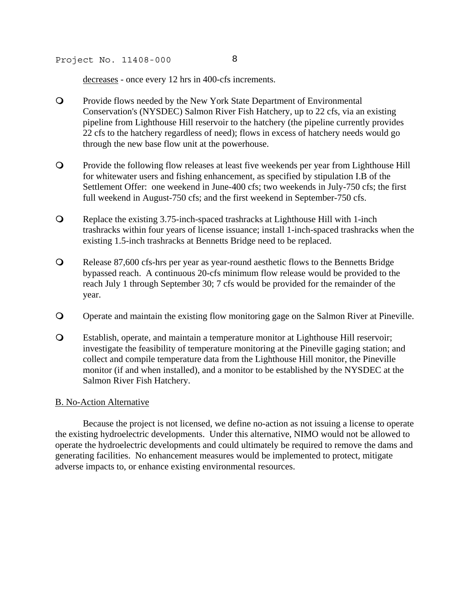decreases - once every 12 hrs in 400-cfs increments.

- Provide flows needed by the New York State Department of Environmental Conservation's (NYSDEC) Salmon River Fish Hatchery, up to 22 cfs, via an existing pipeline from Lighthouse Hill reservoir to the hatchery (the pipeline currently provides 22 cfs to the hatchery regardless of need); flows in excess of hatchery needs would go through the new base flow unit at the powerhouse.
- Provide the following flow releases at least five weekends per year from Lighthouse Hill for whitewater users and fishing enhancement, as specified by stipulation I.B of the Settlement Offer: one weekend in June-400 cfs; two weekends in July-750 cfs; the first full weekend in August-750 cfs; and the first weekend in September-750 cfs.
- Replace the existing 3.75-inch-spaced trashracks at Lighthouse Hill with 1-inch trashracks within four years of license issuance; install 1-inch-spaced trashracks when the existing 1.5-inch trashracks at Bennetts Bridge need to be replaced.
- Release 87,600 cfs-hrs per year as year-round aesthetic flows to the Bennetts Bridge bypassed reach. A continuous 20-cfs minimum flow release would be provided to the reach July 1 through September 30; 7 cfs would be provided for the remainder of the year.
- Operate and maintain the existing flow monitoring gage on the Salmon River at Pineville.
- Establish, operate, and maintain a temperature monitor at Lighthouse Hill reservoir; investigate the feasibility of temperature monitoring at the Pineville gaging station; and collect and compile temperature data from the Lighthouse Hill monitor, the Pineville monitor (if and when installed), and a monitor to be established by the NYSDEC at the Salmon River Fish Hatchery.

## B. No-Action Alternative

 Because the project is not licensed, we define no-action as not issuing a license to operate the existing hydroelectric developments. Under this alternative, NIMO would not be allowed to operate the hydroelectric developments and could ultimately be required to remove the dams and generating facilities. No enhancement measures would be implemented to protect, mitigate adverse impacts to, or enhance existing environmental resources.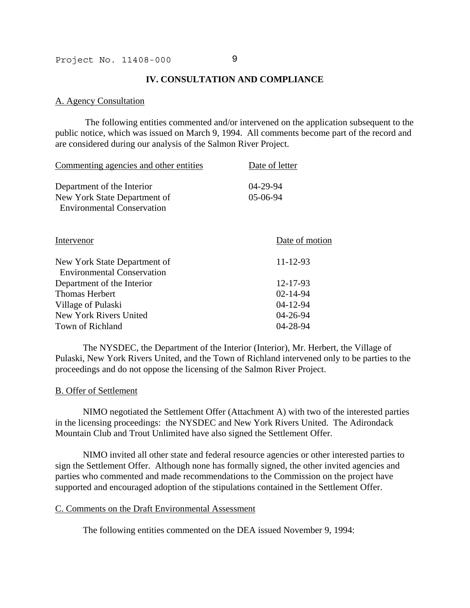### **IV. CONSULTATION AND COMPLIANCE**

### A. Agency Consultation

 The following entities commented and/or intervened on the application subsequent to the public notice, which was issued on March 9, 1994. All comments become part of the record and are considered during our analysis of the Salmon River Project.

| Date of letter       |
|----------------------|
| 04-29-94<br>05-06-94 |
| Date of motion       |
| $11 - 12 - 93$       |
| 12-17-93             |
| $02 - 14 - 94$       |
| $04 - 12 - 94$       |
| 04-26-94             |
| 04-28-94             |
|                      |

 The NYSDEC, the Department of the Interior (Interior), Mr. Herbert, the Village of Pulaski, New York Rivers United, and the Town of Richland intervened only to be parties to the proceedings and do not oppose the licensing of the Salmon River Project.

#### B. Offer of Settlement

 NIMO negotiated the Settlement Offer (Attachment A) with two of the interested parties in the licensing proceedings: the NYSDEC and New York Rivers United. The Adirondack Mountain Club and Trout Unlimited have also signed the Settlement Offer.

 NIMO invited all other state and federal resource agencies or other interested parties to sign the Settlement Offer. Although none has formally signed, the other invited agencies and parties who commented and made recommendations to the Commission on the project have supported and encouraged adoption of the stipulations contained in the Settlement Offer.

### C. Comments on the Draft Environmental Assessment

The following entities commented on the DEA issued November 9, 1994: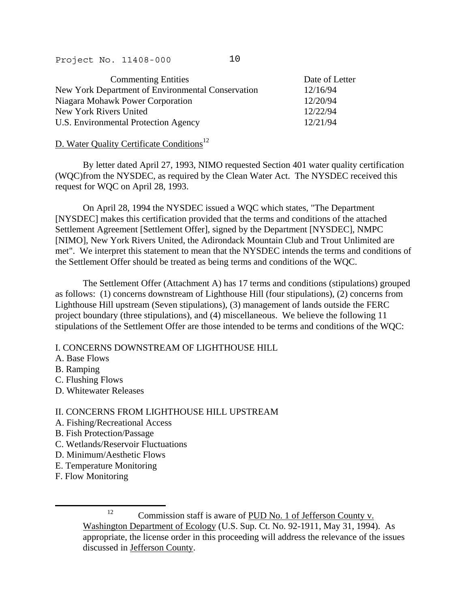| <b>Commenting Entities</b>                        | Date of Letter |
|---------------------------------------------------|----------------|
| New York Department of Environmental Conservation | 12/16/94       |
| Niagara Mohawk Power Corporation                  | 12/20/94       |
| New York Rivers United                            | 12/22/94       |
| U.S. Environmental Protection Agency              | 12/21/94       |

# D. Water Quality Certificate Conditions<sup>[12](#page-36-0)</sup>

 By letter dated April 27, 1993, NIMO requested Section 401 water quality certification (WQC)from the NYSDEC, as required by the Clean Water Act. The NYSDEC received this request for WQC on April 28, 1993.

 On April 28, 1994 the NYSDEC issued a WQC which states, "The Department [NYSDEC] makes this certification provided that the terms and conditions of the attached Settlement Agreement [Settlement Offer], signed by the Department [NYSDEC], NMPC [NIMO], New York Rivers United, the Adirondack Mountain Club and Trout Unlimited are met". We interpret this statement to mean that the NYSDEC intends the terms and conditions of the Settlement Offer should be treated as being terms and conditions of the WQC.

 The Settlement Offer (Attachment A) has 17 terms and conditions (stipulations) grouped as follows: (1) concerns downstream of Lighthouse Hill (four stipulations), (2) concerns from Lighthouse Hill upstream (Seven stipulations), (3) management of lands outside the FERC project boundary (three stipulations), and (4) miscellaneous. We believe the following 11 stipulations of the Settlement Offer are those intended to be terms and conditions of the WQC:

# I. CONCERNS DOWNSTREAM OF LIGHTHOUSE HILL

- A. Base Flows
- B. Ramping
- C. Flushing Flows
- D. Whitewater Releases

# II. CONCERNS FROM LIGHTHOUSE HILL UPSTREAM

- A. Fishing/Recreational Access
- B. Fish Protection/Passage
- C. Wetlands/Reservoir Fluctuations
- D. Minimum/Aesthetic Flows
- E. Temperature Monitoring
- F. Flow Monitoring

j

<span id="page-36-0"></span><sup>12</sup> Commission staff is aware of PUD No. 1 of Jefferson County v. Washington Department of Ecology (U.S. Sup. Ct. No. 92-1911, May 31, 1994). As appropriate, the license order in this proceeding will address the relevance of the issues discussed in Jefferson County.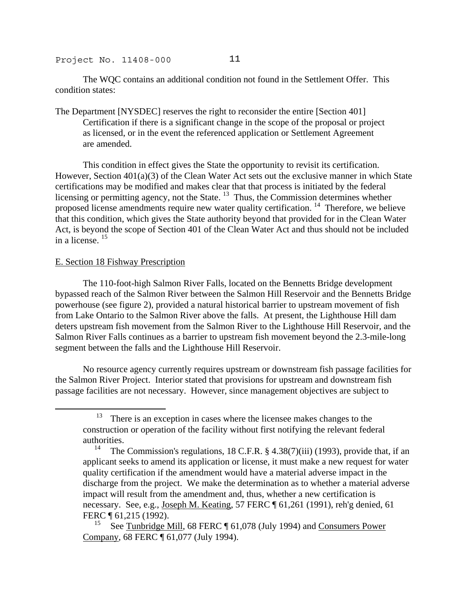The WQC contains an additional condition not found in the Settlement Offer. This condition states:

The Department [NYSDEC] reserves the right to reconsider the entire [Section 401] Certification if there is a significant change in the scope of the proposal or project as licensed, or in the event the referenced application or Settlement Agreement are amended.

 This condition in effect gives the State the opportunity to revisit its certification. However, Section 401(a)(3) of the Clean Water Act sets out the exclusive manner in which State certifications may be modified and makes clear that that process is initiated by the federal licensing or permitting agency, not the State.<sup>13</sup> Thus, the Commission determines whether proposed license amendments require new water quality certification. [14](#page-37-1) Therefore, we believe that this condition, which gives the State authority beyond that provided for in the Clean Water Act, is beyond the scope of Section 401 of the Clean Water Act and thus should not be included in a license. [15](#page-37-2)

## E. Section 18 Fishway Prescription

j

 The 110-foot-high Salmon River Falls, located on the Bennetts Bridge development bypassed reach of the Salmon River between the Salmon Hill Reservoir and the Bennetts Bridge powerhouse (see figure 2), provided a natural historical barrier to upstream movement of fish from Lake Ontario to the Salmon River above the falls. At present, the Lighthouse Hill dam deters upstream fish movement from the Salmon River to the Lighthouse Hill Reservoir, and the Salmon River Falls continues as a barrier to upstream fish movement beyond the 2.3-mile-long segment between the falls and the Lighthouse Hill Reservoir.

 No resource agency currently requires upstream or downstream fish passage facilities for the Salmon River Project. Interior stated that provisions for upstream and downstream fish passage facilities are not necessary. However, since management objectives are subject to

<span id="page-37-0"></span>There is an exception in cases where the licensee makes changes to the construction or operation of the facility without first notifying the relevant federal authorities.<br> $\frac{14}{\text{The}}$ 

<span id="page-37-1"></span>The Commission's regulations,  $18$  C.F.R.  $\S$  4.38(7)(iii) (1993), provide that, if an applicant seeks to amend its application or license, it must make a new request for water quality certification if the amendment would have a material adverse impact in the discharge from the project. We make the determination as to whether a material adverse impact will result from the amendment and, thus, whether a new certification is necessary. See, e.g., Joseph M. Keating, 57 FERC ¶ 61,261 (1991), reh'g denied, 61 FERC ¶ 61,215 (1992).

<span id="page-37-2"></span>See Tunbridge Mill, 68 FERC ¶ 61,078 (July 1994) and Consumers Power Company, 68 FERC ¶ 61,077 (July 1994).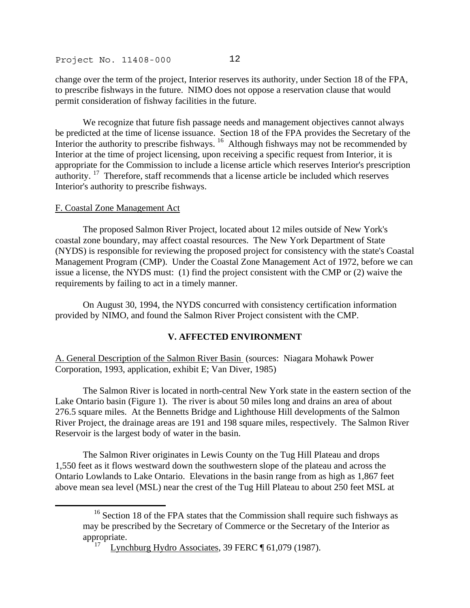change over the term of the project, Interior reserves its authority, under Section 18 of the FPA, to prescribe fishways in the future. NIMO does not oppose a reservation clause that would permit consideration of fishway facilities in the future.

 We recognize that future fish passage needs and management objectives cannot always be predicted at the time of license issuance. Section 18 of the FPA provides the Secretary of the Interior the authority to prescribe fishways. <sup>16</sup> Although fishways may not be recommended by Interior at the time of project licensing, upon receiving a specific request from Interior, it is appropriate for the Commission to include a license article which reserves Interior's prescription authority.<sup>17</sup> Therefore, staff recommends that a license article be included which reserves Interior's authority to prescribe fishways.

## F. Coastal Zone Management Act

.

 The proposed Salmon River Project, located about 12 miles outside of New York's coastal zone boundary, may affect coastal resources. The New York Department of State (NYDS) is responsible for reviewing the proposed project for consistency with the state's Coastal Management Program (CMP). Under the Coastal Zone Management Act of 1972, before we can issue a license, the NYDS must: (1) find the project consistent with the CMP or (2) waive the requirements by failing to act in a timely manner.

 On August 30, 1994, the NYDS concurred with consistency certification information provided by NIMO, and found the Salmon River Project consistent with the CMP.

# **V. AFFECTED ENVIRONMENT**

A. General Description of the Salmon River Basin (sources: Niagara Mohawk Power Corporation, 1993, application, exhibit E; Van Diver, 1985)

 The Salmon River is located in north-central New York state in the eastern section of the Lake Ontario basin (Figure 1). The river is about 50 miles long and drains an area of about 276.5 square miles. At the Bennetts Bridge and Lighthouse Hill developments of the Salmon River Project, the drainage areas are 191 and 198 square miles, respectively. The Salmon River Reservoir is the largest body of water in the basin.

 The Salmon River originates in Lewis County on the Tug Hill Plateau and drops 1,550 feet as it flows westward down the southwestern slope of the plateau and across the Ontario Lowlands to Lake Ontario. Elevations in the basin range from as high as 1,867 feet above mean sea level (MSL) near the crest of the Tug Hill Plateau to about 250 feet MSL at

<span id="page-38-0"></span><sup>&</sup>lt;sup>16</sup> Section 18 of the FPA states that the Commission shall require such fishways as may be prescribed by the Secretary of Commerce or the Secretary of the Interior as appropriate.

<span id="page-38-1"></span>Lynchburg Hydro Associates, 39 FERC ¶ 61,079 (1987).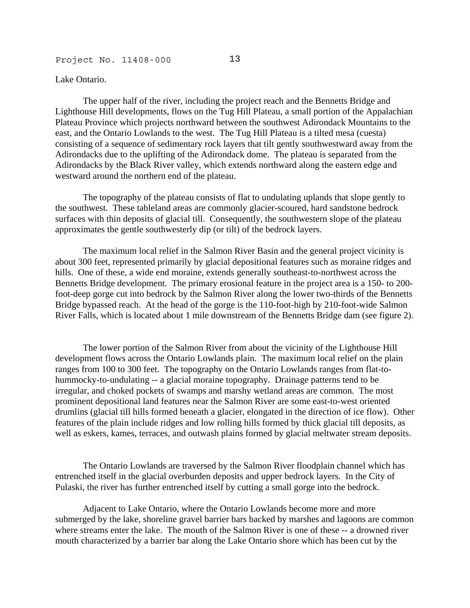#### Lake Ontario.

 The upper half of the river, including the project reach and the Bennetts Bridge and Lighthouse Hill developments, flows on the Tug Hill Plateau, a small portion of the Appalachian Plateau Province which projects northward between the southwest Adirondack Mountains to the east, and the Ontario Lowlands to the west. The Tug Hill Plateau is a tilted mesa (cuesta) consisting of a sequence of sedimentary rock layers that tilt gently southwestward away from the Adirondacks due to the uplifting of the Adirondack dome. The plateau is separated from the Adirondacks by the Black River valley, which extends northward along the eastern edge and westward around the northern end of the plateau.

 The topography of the plateau consists of flat to undulating uplands that slope gently to the southwest. These tableland areas are commonly glacier-scoured, hard sandstone bedrock surfaces with thin deposits of glacial till. Consequently, the southwestern slope of the plateau approximates the gentle southwesterly dip (or tilt) of the bedrock layers.

 The maximum local relief in the Salmon River Basin and the general project vicinity is about 300 feet, represented primarily by glacial depositional features such as moraine ridges and hills. One of these, a wide end moraine, extends generally southeast-to-northwest across the Bennetts Bridge development. The primary erosional feature in the project area is a 150- to 200 foot-deep gorge cut into bedrock by the Salmon River along the lower two-thirds of the Bennetts Bridge bypassed reach. At the head of the gorge is the 110-foot-high by 210-foot-wide Salmon River Falls, which is located about 1 mile downstream of the Bennetts Bridge dam (see figure 2).

 The lower portion of the Salmon River from about the vicinity of the Lighthouse Hill development flows across the Ontario Lowlands plain. The maximum local relief on the plain ranges from 100 to 300 feet. The topography on the Ontario Lowlands ranges from flat-tohummocky-to-undulating -- a glacial moraine topography. Drainage patterns tend to be irregular, and choked pockets of swamps and marshy wetland areas are common. The most prominent depositional land features near the Salmon River are some east-to-west oriented drumlins (glacial till hills formed beneath a glacier, elongated in the direction of ice flow). Other features of the plain include ridges and low rolling hills formed by thick glacial till deposits, as well as eskers, kames, terraces, and outwash plains formed by glacial meltwater stream deposits.

 The Ontario Lowlands are traversed by the Salmon River floodplain channel which has entrenched itself in the glacial overburden deposits and upper bedrock layers. In the City of Pulaski, the river has further entrenched itself by cutting a small gorge into the bedrock.

 Adjacent to Lake Ontario, where the Ontario Lowlands become more and more submerged by the lake, shoreline gravel barrier bars backed by marshes and lagoons are common where streams enter the lake. The mouth of the Salmon River is one of these -- a drowned river mouth characterized by a barrier bar along the Lake Ontario shore which has been cut by the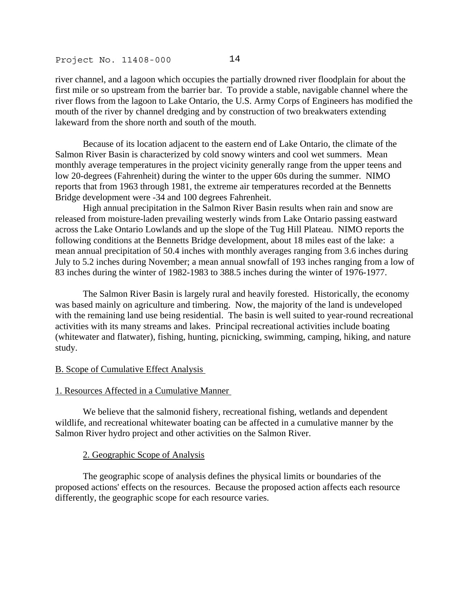river channel, and a lagoon which occupies the partially drowned river floodplain for about the first mile or so upstream from the barrier bar. To provide a stable, navigable channel where the river flows from the lagoon to Lake Ontario, the U.S. Army Corps of Engineers has modified the mouth of the river by channel dredging and by construction of two breakwaters extending lakeward from the shore north and south of the mouth.

 Because of its location adjacent to the eastern end of Lake Ontario, the climate of the Salmon River Basin is characterized by cold snowy winters and cool wet summers. Mean monthly average temperatures in the project vicinity generally range from the upper teens and low 20-degrees (Fahrenheit) during the winter to the upper 60s during the summer. NIMO reports that from 1963 through 1981, the extreme air temperatures recorded at the Bennetts Bridge development were -34 and 100 degrees Fahrenheit.

 High annual precipitation in the Salmon River Basin results when rain and snow are released from moisture-laden prevailing westerly winds from Lake Ontario passing eastward across the Lake Ontario Lowlands and up the slope of the Tug Hill Plateau. NIMO reports the following conditions at the Bennetts Bridge development, about 18 miles east of the lake: a mean annual precipitation of 50.4 inches with monthly averages ranging from 3.6 inches during July to 5.2 inches during November; a mean annual snowfall of 193 inches ranging from a low of 83 inches during the winter of 1982-1983 to 388.5 inches during the winter of 1976-1977.

 The Salmon River Basin is largely rural and heavily forested. Historically, the economy was based mainly on agriculture and timbering. Now, the majority of the land is undeveloped with the remaining land use being residential. The basin is well suited to year-round recreational activities with its many streams and lakes. Principal recreational activities include boating (whitewater and flatwater), fishing, hunting, picnicking, swimming, camping, hiking, and nature study.

#### B. Scope of Cumulative Effect Analysis

#### 1. Resources Affected in a Cumulative Manner

 We believe that the salmonid fishery, recreational fishing, wetlands and dependent wildlife, and recreational whitewater boating can be affected in a cumulative manner by the Salmon River hydro project and other activities on the Salmon River.

#### 2. Geographic Scope of Analysis

 The geographic scope of analysis defines the physical limits or boundaries of the proposed actions' effects on the resources. Because the proposed action affects each resource differently, the geographic scope for each resource varies.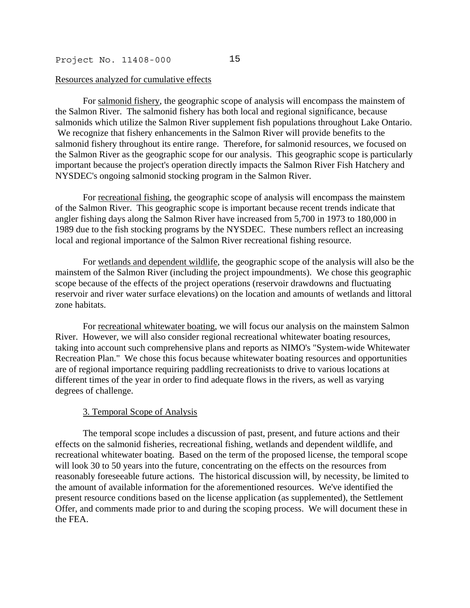#### Resources analyzed for cumulative effects

 For salmonid fishery, the geographic scope of analysis will encompass the mainstem of the Salmon River. The salmonid fishery has both local and regional significance, because salmonids which utilize the Salmon River supplement fish populations throughout Lake Ontario. We recognize that fishery enhancements in the Salmon River will provide benefits to the salmonid fishery throughout its entire range. Therefore, for salmonid resources, we focused on the Salmon River as the geographic scope for our analysis. This geographic scope is particularly important because the project's operation directly impacts the Salmon River Fish Hatchery and NYSDEC's ongoing salmonid stocking program in the Salmon River.

 For recreational fishing, the geographic scope of analysis will encompass the mainstem of the Salmon River. This geographic scope is important because recent trends indicate that angler fishing days along the Salmon River have increased from 5,700 in 1973 to 180,000 in 1989 due to the fish stocking programs by the NYSDEC. These numbers reflect an increasing local and regional importance of the Salmon River recreational fishing resource.

 For wetlands and dependent wildlife, the geographic scope of the analysis will also be the mainstem of the Salmon River (including the project impoundments). We chose this geographic scope because of the effects of the project operations (reservoir drawdowns and fluctuating reservoir and river water surface elevations) on the location and amounts of wetlands and littoral zone habitats.

 For recreational whitewater boating, we will focus our analysis on the mainstem Salmon River. However, we will also consider regional recreational whitewater boating resources, taking into account such comprehensive plans and reports as NIMO's "System-wide Whitewater Recreation Plan." We chose this focus because whitewater boating resources and opportunities are of regional importance requiring paddling recreationists to drive to various locations at different times of the year in order to find adequate flows in the rivers, as well as varying degrees of challenge.

#### 3. Temporal Scope of Analysis

 The temporal scope includes a discussion of past, present, and future actions and their effects on the salmonid fisheries, recreational fishing, wetlands and dependent wildlife, and recreational whitewater boating. Based on the term of the proposed license, the temporal scope will look 30 to 50 years into the future, concentrating on the effects on the resources from reasonably foreseeable future actions. The historical discussion will, by necessity, be limited to the amount of available information for the aforementioned resources. We've identified the present resource conditions based on the license application (as supplemented), the Settlement Offer, and comments made prior to and during the scoping process. We will document these in the FEA.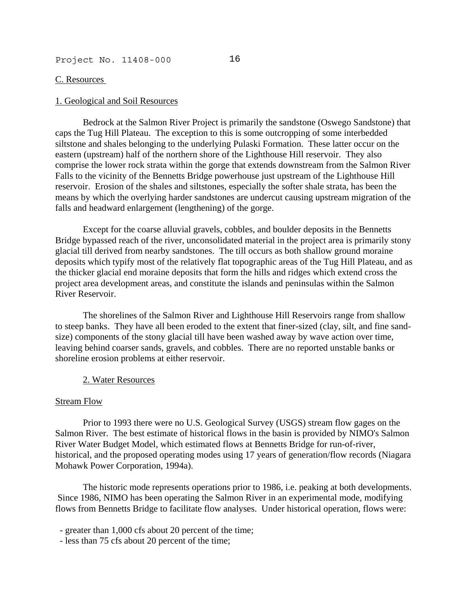## C. Resources

#### 1. Geological and Soil Resources

 Bedrock at the Salmon River Project is primarily the sandstone (Oswego Sandstone) that caps the Tug Hill Plateau. The exception to this is some outcropping of some interbedded siltstone and shales belonging to the underlying Pulaski Formation. These latter occur on the eastern (upstream) half of the northern shore of the Lighthouse Hill reservoir. They also comprise the lower rock strata within the gorge that extends downstream from the Salmon River Falls to the vicinity of the Bennetts Bridge powerhouse just upstream of the Lighthouse Hill reservoir. Erosion of the shales and siltstones, especially the softer shale strata, has been the means by which the overlying harder sandstones are undercut causing upstream migration of the falls and headward enlargement (lengthening) of the gorge.

 Except for the coarse alluvial gravels, cobbles, and boulder deposits in the Bennetts Bridge bypassed reach of the river, unconsolidated material in the project area is primarily stony glacial till derived from nearby sandstones. The till occurs as both shallow ground moraine deposits which typify most of the relatively flat topographic areas of the Tug Hill Plateau, and as the thicker glacial end moraine deposits that form the hills and ridges which extend cross the project area development areas, and constitute the islands and peninsulas within the Salmon River Reservoir.

 The shorelines of the Salmon River and Lighthouse Hill Reservoirs range from shallow to steep banks. They have all been eroded to the extent that finer-sized (clay, silt, and fine sandsize) components of the stony glacial till have been washed away by wave action over time, leaving behind coarser sands, gravels, and cobbles. There are no reported unstable banks or shoreline erosion problems at either reservoir.

#### 2. Water Resources

## Stream Flow

 Prior to 1993 there were no U.S. Geological Survey (USGS) stream flow gages on the Salmon River. The best estimate of historical flows in the basin is provided by NIMO's Salmon River Water Budget Model, which estimated flows at Bennetts Bridge for run-of-river, historical, and the proposed operating modes using 17 years of generation/flow records (Niagara Mohawk Power Corporation, 1994a).

 The historic mode represents operations prior to 1986, i.e. peaking at both developments. Since 1986, NIMO has been operating the Salmon River in an experimental mode, modifying flows from Bennetts Bridge to facilitate flow analyses. Under historical operation, flows were:

- greater than 1,000 cfs about 20 percent of the time;

- less than 75 cfs about 20 percent of the time;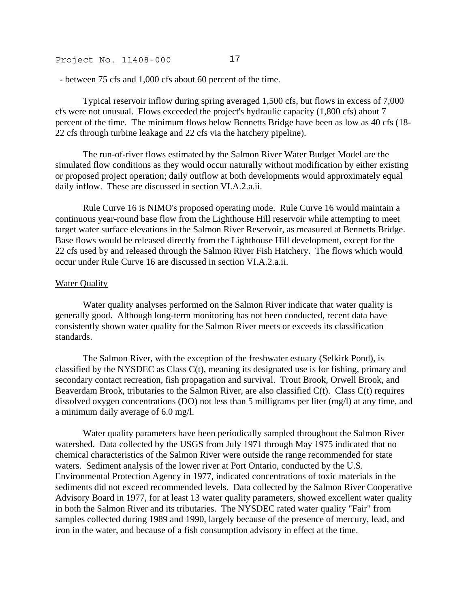- between 75 cfs and 1,000 cfs about 60 percent of the time.

 Typical reservoir inflow during spring averaged 1,500 cfs, but flows in excess of 7,000 cfs were not unusual. Flows exceeded the project's hydraulic capacity (1,800 cfs) about 7 percent of the time. The minimum flows below Bennetts Bridge have been as low as 40 cfs (18- 22 cfs through turbine leakage and 22 cfs via the hatchery pipeline).

 The run-of-river flows estimated by the Salmon River Water Budget Model are the simulated flow conditions as they would occur naturally without modification by either existing or proposed project operation; daily outflow at both developments would approximately equal daily inflow. These are discussed in section VI.A.2.a.ii.

 Rule Curve 16 is NIMO's proposed operating mode. Rule Curve 16 would maintain a continuous year-round base flow from the Lighthouse Hill reservoir while attempting to meet target water surface elevations in the Salmon River Reservoir, as measured at Bennetts Bridge. Base flows would be released directly from the Lighthouse Hill development, except for the 22 cfs used by and released through the Salmon River Fish Hatchery. The flows which would occur under Rule Curve 16 are discussed in section VI.A.2.a.ii.

## Water Quality

 Water quality analyses performed on the Salmon River indicate that water quality is generally good. Although long-term monitoring has not been conducted, recent data have consistently shown water quality for the Salmon River meets or exceeds its classification standards.

 The Salmon River, with the exception of the freshwater estuary (Selkirk Pond), is classified by the NYSDEC as Class C(t), meaning its designated use is for fishing, primary and secondary contact recreation, fish propagation and survival. Trout Brook, Orwell Brook, and Beaverdam Brook, tributaries to the Salmon River, are also classified C(t). Class C(t) requires dissolved oxygen concentrations (DO) not less than 5 milligrams per liter (mg/l) at any time, and a minimum daily average of 6.0 mg/l.

 Water quality parameters have been periodically sampled throughout the Salmon River watershed. Data collected by the USGS from July 1971 through May 1975 indicated that no chemical characteristics of the Salmon River were outside the range recommended for state waters. Sediment analysis of the lower river at Port Ontario, conducted by the U.S. Environmental Protection Agency in 1977, indicated concentrations of toxic materials in the sediments did not exceed recommended levels. Data collected by the Salmon River Cooperative Advisory Board in 1977, for at least 13 water quality parameters, showed excellent water quality in both the Salmon River and its tributaries. The NYSDEC rated water quality "Fair" from samples collected during 1989 and 1990, largely because of the presence of mercury, lead, and iron in the water, and because of a fish consumption advisory in effect at the time.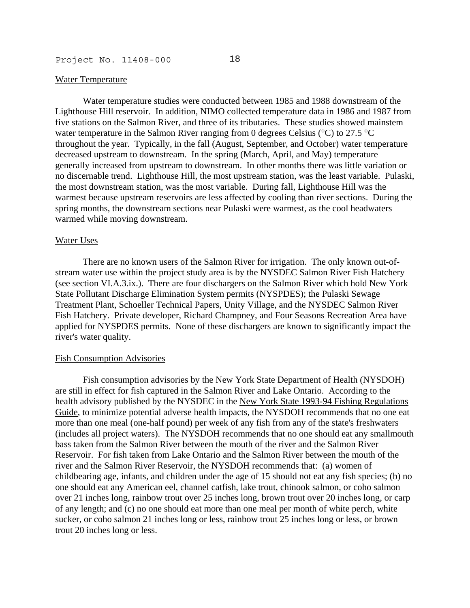#### Water Temperature

 Water temperature studies were conducted between 1985 and 1988 downstream of the Lighthouse Hill reservoir. In addition, NIMO collected temperature data in 1986 and 1987 from five stations on the Salmon River, and three of its tributaries. These studies showed mainstem water temperature in the Salmon River ranging from 0 degrees Celsius (°C) to 27.5 °C throughout the year. Typically, in the fall (August, September, and October) water temperature decreased upstream to downstream. In the spring (March, April, and May) temperature generally increased from upstream to downstream. In other months there was little variation or no discernable trend. Lighthouse Hill, the most upstream station, was the least variable. Pulaski, the most downstream station, was the most variable. During fall, Lighthouse Hill was the warmest because upstream reservoirs are less affected by cooling than river sections. During the spring months, the downstream sections near Pulaski were warmest, as the cool headwaters warmed while moving downstream.

#### Water Uses

 There are no known users of the Salmon River for irrigation. The only known out-ofstream water use within the project study area is by the NYSDEC Salmon River Fish Hatchery (see section VI.A.3.ix.). There are four dischargers on the Salmon River which hold New York State Pollutant Discharge Elimination System permits (NYSPDES); the Pulaski Sewage Treatment Plant, Schoeller Technical Papers, Unity Village, and the NYSDEC Salmon River Fish Hatchery. Private developer, Richard Champney, and Four Seasons Recreation Area have applied for NYSPDES permits. None of these dischargers are known to significantly impact the river's water quality.

#### Fish Consumption Advisories

 Fish consumption advisories by the New York State Department of Health (NYSDOH) are still in effect for fish captured in the Salmon River and Lake Ontario. According to the health advisory published by the NYSDEC in the New York State 1993-94 Fishing Regulations Guide, to minimize potential adverse health impacts, the NYSDOH recommends that no one eat more than one meal (one-half pound) per week of any fish from any of the state's freshwaters (includes all project waters). The NYSDOH recommends that no one should eat any smallmouth bass taken from the Salmon River between the mouth of the river and the Salmon River Reservoir. For fish taken from Lake Ontario and the Salmon River between the mouth of the river and the Salmon River Reservoir, the NYSDOH recommends that: (a) women of childbearing age, infants, and children under the age of 15 should not eat any fish species; (b) no one should eat any American eel, channel catfish, lake trout, chinook salmon, or coho salmon over 21 inches long, rainbow trout over 25 inches long, brown trout over 20 inches long, or carp of any length; and (c) no one should eat more than one meal per month of white perch, white sucker, or coho salmon 21 inches long or less, rainbow trout 25 inches long or less, or brown trout 20 inches long or less.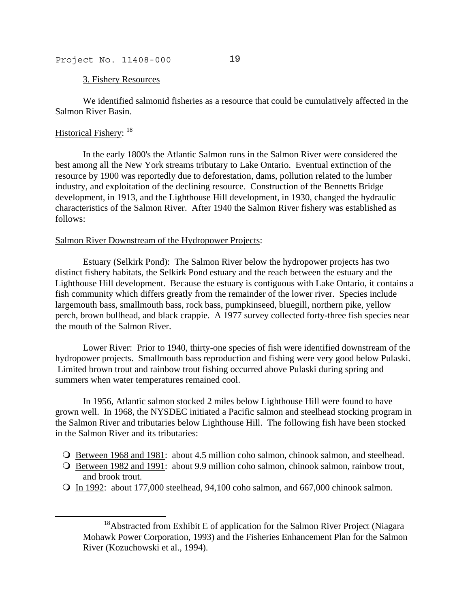#### 3. Fishery Resources

 We identified salmonid fisheries as a resource that could be cumulatively affected in the Salmon River Basin.

# Historical Fishery: <sup>[18](#page-45-0)</sup>

j

 In the early 1800's the Atlantic Salmon runs in the Salmon River were considered the best among all the New York streams tributary to Lake Ontario. Eventual extinction of the resource by 1900 was reportedly due to deforestation, dams, pollution related to the lumber industry, and exploitation of the declining resource. Construction of the Bennetts Bridge development, in 1913, and the Lighthouse Hill development, in 1930, changed the hydraulic characteristics of the Salmon River. After 1940 the Salmon River fishery was established as follows:

## Salmon River Downstream of the Hydropower Projects:

Estuary (Selkirk Pond): The Salmon River below the hydropower projects has two distinct fishery habitats, the Selkirk Pond estuary and the reach between the estuary and the Lighthouse Hill development. Because the estuary is contiguous with Lake Ontario, it contains a fish community which differs greatly from the remainder of the lower river. Species include largemouth bass, smallmouth bass, rock bass, pumpkinseed, bluegill, northern pike, yellow perch, brown bullhead, and black crappie. A 1977 survey collected forty-three fish species near the mouth of the Salmon River.

Lower River: Prior to 1940, thirty-one species of fish were identified downstream of the hydropower projects. Smallmouth bass reproduction and fishing were very good below Pulaski. Limited brown trout and rainbow trout fishing occurred above Pulaski during spring and summers when water temperatures remained cool.

 In 1956, Atlantic salmon stocked 2 miles below Lighthouse Hill were found to have grown well. In 1968, the NYSDEC initiated a Pacific salmon and steelhead stocking program in the Salmon River and tributaries below Lighthouse Hill. The following fish have been stocked in the Salmon River and its tributaries:

- Between 1968 and 1981: about 4.5 million coho salmon, chinook salmon, and steelhead.
- Between 1982 and 1991: about 9.9 million coho salmon, chinook salmon, rainbow trout, and brook trout.
- In 1992: about 177,000 steelhead, 94,100 coho salmon, and 667,000 chinook salmon.

<span id="page-45-0"></span> $18$ Abstracted from Exhibit E of application for the Salmon River Project (Niagara Mohawk Power Corporation, 1993) and the Fisheries Enhancement Plan for the Salmon River (Kozuchowski et al., 1994).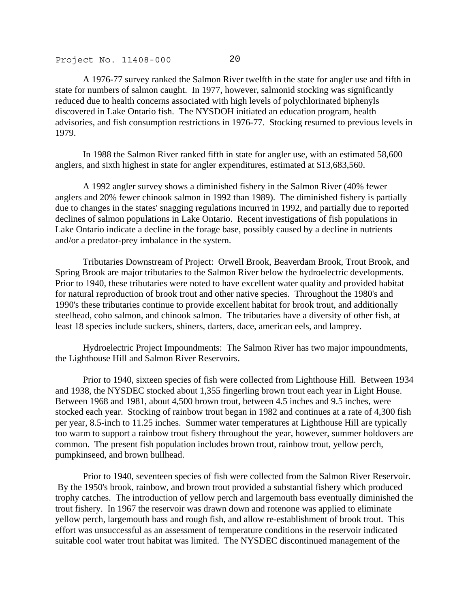A 1976-77 survey ranked the Salmon River twelfth in the state for angler use and fifth in state for numbers of salmon caught. In 1977, however, salmonid stocking was significantly reduced due to health concerns associated with high levels of polychlorinated biphenyls discovered in Lake Ontario fish. The NYSDOH initiated an education program, health advisories, and fish consumption restrictions in 1976-77. Stocking resumed to previous levels in 1979.

 In 1988 the Salmon River ranked fifth in state for angler use, with an estimated 58,600 anglers, and sixth highest in state for angler expenditures, estimated at \$13,683,560.

 A 1992 angler survey shows a diminished fishery in the Salmon River (40% fewer anglers and 20% fewer chinook salmon in 1992 than 1989). The diminished fishery is partially due to changes in the states' snagging regulations incurred in 1992, and partially due to reported declines of salmon populations in Lake Ontario. Recent investigations of fish populations in Lake Ontario indicate a decline in the forage base, possibly caused by a decline in nutrients and/or a predator-prey imbalance in the system.

Tributaries Downstream of Project: Orwell Brook, Beaverdam Brook, Trout Brook, and Spring Brook are major tributaries to the Salmon River below the hydroelectric developments. Prior to 1940, these tributaries were noted to have excellent water quality and provided habitat for natural reproduction of brook trout and other native species. Throughout the 1980's and 1990's these tributaries continue to provide excellent habitat for brook trout, and additionally steelhead, coho salmon, and chinook salmon. The tributaries have a diversity of other fish, at least 18 species include suckers, shiners, darters, dace, american eels, and lamprey.

Hydroelectric Project Impoundments: The Salmon River has two major impoundments, the Lighthouse Hill and Salmon River Reservoirs.

 Prior to 1940, sixteen species of fish were collected from Lighthouse Hill. Between 1934 and 1938, the NYSDEC stocked about 1,355 fingerling brown trout each year in Light House. Between 1968 and 1981, about 4,500 brown trout, between 4.5 inches and 9.5 inches, were stocked each year. Stocking of rainbow trout began in 1982 and continues at a rate of 4,300 fish per year, 8.5-inch to 11.25 inches. Summer water temperatures at Lighthouse Hill are typically too warm to support a rainbow trout fishery throughout the year, however, summer holdovers are common. The present fish population includes brown trout, rainbow trout, yellow perch, pumpkinseed, and brown bullhead.

 Prior to 1940, seventeen species of fish were collected from the Salmon River Reservoir. By the 1950's brook, rainbow, and brown trout provided a substantial fishery which produced trophy catches. The introduction of yellow perch and largemouth bass eventually diminished the trout fishery. In 1967 the reservoir was drawn down and rotenone was applied to eliminate yellow perch, largemouth bass and rough fish, and allow re-establishment of brook trout. This effort was unsuccessful as an assessment of temperature conditions in the reservoir indicated suitable cool water trout habitat was limited. The NYSDEC discontinued management of the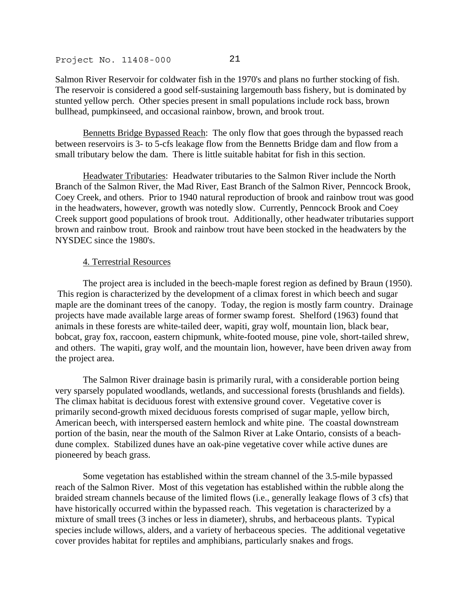Salmon River Reservoir for coldwater fish in the 1970's and plans no further stocking of fish. The reservoir is considered a good self-sustaining largemouth bass fishery, but is dominated by stunted yellow perch. Other species present in small populations include rock bass, brown bullhead, pumpkinseed, and occasional rainbow, brown, and brook trout.

Bennetts Bridge Bypassed Reach: The only flow that goes through the bypassed reach between reservoirs is 3- to 5-cfs leakage flow from the Bennetts Bridge dam and flow from a small tributary below the dam. There is little suitable habitat for fish in this section.

Headwater Tributaries: Headwater tributaries to the Salmon River include the North Branch of the Salmon River, the Mad River, East Branch of the Salmon River, Penncock Brook, Coey Creek, and others. Prior to 1940 natural reproduction of brook and rainbow trout was good in the headwaters, however, growth was notedly slow. Currently, Penncock Brook and Coey Creek support good populations of brook trout. Additionally, other headwater tributaries support brown and rainbow trout. Brook and rainbow trout have been stocked in the headwaters by the NYSDEC since the 1980's.

## 4. Terrestrial Resources

 The project area is included in the beech-maple forest region as defined by Braun (1950). This region is characterized by the development of a climax forest in which beech and sugar maple are the dominant trees of the canopy. Today, the region is mostly farm country. Drainage projects have made available large areas of former swamp forest. Shelford (1963) found that animals in these forests are white-tailed deer, wapiti, gray wolf, mountain lion, black bear, bobcat, gray fox, raccoon, eastern chipmunk, white-footed mouse, pine vole, short-tailed shrew, and others. The wapiti, gray wolf, and the mountain lion, however, have been driven away from the project area.

 The Salmon River drainage basin is primarily rural, with a considerable portion being very sparsely populated woodlands, wetlands, and successional forests (brushlands and fields). The climax habitat is deciduous forest with extensive ground cover. Vegetative cover is primarily second-growth mixed deciduous forests comprised of sugar maple, yellow birch, American beech, with interspersed eastern hemlock and white pine. The coastal downstream portion of the basin, near the mouth of the Salmon River at Lake Ontario, consists of a beachdune complex. Stabilized dunes have an oak-pine vegetative cover while active dunes are pioneered by beach grass.

 Some vegetation has established within the stream channel of the 3.5-mile bypassed reach of the Salmon River. Most of this vegetation has established within the rubble along the braided stream channels because of the limited flows (i.e., generally leakage flows of 3 cfs) that have historically occurred within the bypassed reach. This vegetation is characterized by a mixture of small trees (3 inches or less in diameter), shrubs, and herbaceous plants. Typical species include willows, alders, and a variety of herbaceous species. The additional vegetative cover provides habitat for reptiles and amphibians, particularly snakes and frogs.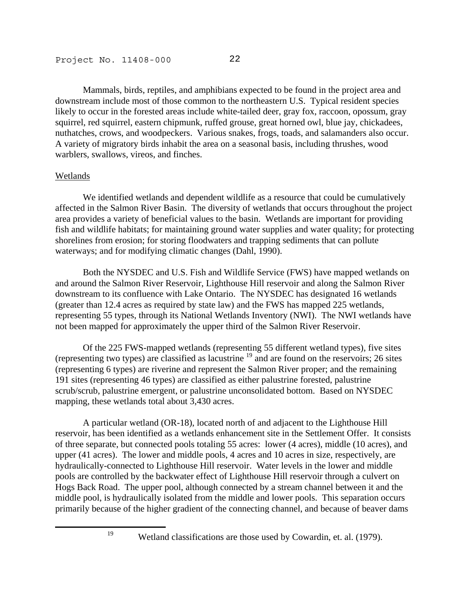Mammals, birds, reptiles, and amphibians expected to be found in the project area and downstream include most of those common to the northeastern U.S. Typical resident species likely to occur in the forested areas include white-tailed deer, gray fox, raccoon, opossum, gray squirrel, red squirrel, eastern chipmunk, ruffed grouse, great horned owl, blue jay, chickadees, nuthatches, crows, and woodpeckers. Various snakes, frogs, toads, and salamanders also occur. A variety of migratory birds inhabit the area on a seasonal basis, including thrushes, wood warblers, swallows, vireos, and finches.

#### Wetlands

 We identified wetlands and dependent wildlife as a resource that could be cumulatively affected in the Salmon River Basin. The diversity of wetlands that occurs throughout the project area provides a variety of beneficial values to the basin. Wetlands are important for providing fish and wildlife habitats; for maintaining ground water supplies and water quality; for protecting shorelines from erosion; for storing floodwaters and trapping sediments that can pollute waterways; and for modifying climatic changes (Dahl, 1990).

 Both the NYSDEC and U.S. Fish and Wildlife Service (FWS) have mapped wetlands on and around the Salmon River Reservoir, Lighthouse Hill reservoir and along the Salmon River downstream to its confluence with Lake Ontario. The NYSDEC has designated 16 wetlands (greater than 12.4 acres as required by state law) and the FWS has mapped 225 wetlands, representing 55 types, through its National Wetlands Inventory (NWI). The NWI wetlands have not been mapped for approximately the upper third of the Salmon River Reservoir.

 Of the 225 FWS-mapped wetlands (representing 55 different wetland types), five sites (representing two types) are classified as lacustrine  $19$  and are found on the reservoirs; 26 sites (representing 6 types) are riverine and represent the Salmon River proper; and the remaining 191 sites (representing 46 types) are classified as either palustrine forested, palustrine scrub/scrub, palustrine emergent, or palustrine unconsolidated bottom. Based on NYSDEC mapping, these wetlands total about 3,430 acres.

 A particular wetland (OR-18), located north of and adjacent to the Lighthouse Hill reservoir, has been identified as a wetlands enhancement site in the Settlement Offer. It consists of three separate, but connected pools totaling 55 acres: lower (4 acres), middle (10 acres), and upper (41 acres). The lower and middle pools, 4 acres and 10 acres in size, respectively, are hydraulically-connected to Lighthouse Hill reservoir. Water levels in the lower and middle pools are controlled by the backwater effect of Lighthouse Hill reservoir through a culvert on Hogs Back Road. The upper pool, although connected by a stream channel between it and the middle pool, is hydraulically isolated from the middle and lower pools. This separation occurs primarily because of the higher gradient of the connecting channel, and because of beaver dams

j

<span id="page-48-0"></span>

19 Wetland classifications are those used by Cowardin, et. al. (1979).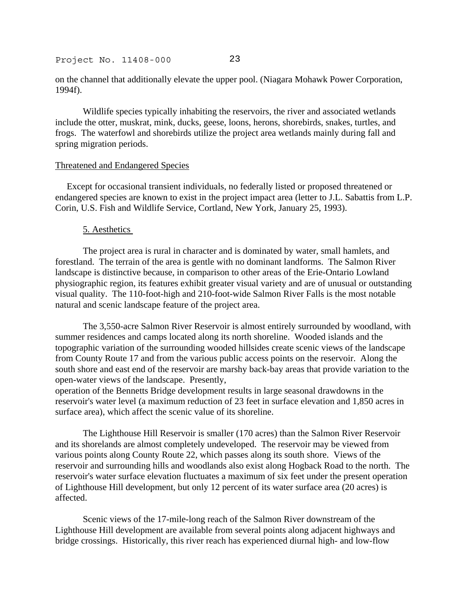on the channel that additionally elevate the upper pool. (Niagara Mohawk Power Corporation, 1994f).

 Wildlife species typically inhabiting the reservoirs, the river and associated wetlands include the otter, muskrat, mink, ducks, geese, loons, herons, shorebirds, snakes, turtles, and frogs. The waterfowl and shorebirds utilize the project area wetlands mainly during fall and spring migration periods.

#### Threatened and Endangered Species

 Except for occasional transient individuals, no federally listed or proposed threatened or endangered species are known to exist in the project impact area (letter to J.L. Sabattis from L.P. Corin, U.S. Fish and Wildlife Service, Cortland, New York, January 25, 1993).

#### 5. Aesthetics

 The project area is rural in character and is dominated by water, small hamlets, and forestland. The terrain of the area is gentle with no dominant landforms. The Salmon River landscape is distinctive because, in comparison to other areas of the Erie-Ontario Lowland physiographic region, its features exhibit greater visual variety and are of unusual or outstanding visual quality. The 110-foot-high and 210-foot-wide Salmon River Falls is the most notable natural and scenic landscape feature of the project area.

 The 3,550-acre Salmon River Reservoir is almost entirely surrounded by woodland, with summer residences and camps located along its north shoreline. Wooded islands and the topographic variation of the surrounding wooded hillsides create scenic views of the landscape from County Route 17 and from the various public access points on the reservoir. Along the south shore and east end of the reservoir are marshy back-bay areas that provide variation to the open-water views of the landscape. Presently,

operation of the Bennetts Bridge development results in large seasonal drawdowns in the reservoir's water level (a maximum reduction of 23 feet in surface elevation and 1,850 acres in surface area), which affect the scenic value of its shoreline.

 The Lighthouse Hill Reservoir is smaller (170 acres) than the Salmon River Reservoir and its shorelands are almost completely undeveloped. The reservoir may be viewed from various points along County Route 22, which passes along its south shore. Views of the reservoir and surrounding hills and woodlands also exist along Hogback Road to the north. The reservoir's water surface elevation fluctuates a maximum of six feet under the present operation of Lighthouse Hill development, but only 12 percent of its water surface area (20 acres) is affected.

 Scenic views of the 17-mile-long reach of the Salmon River downstream of the Lighthouse Hill development are available from several points along adjacent highways and bridge crossings. Historically, this river reach has experienced diurnal high- and low-flow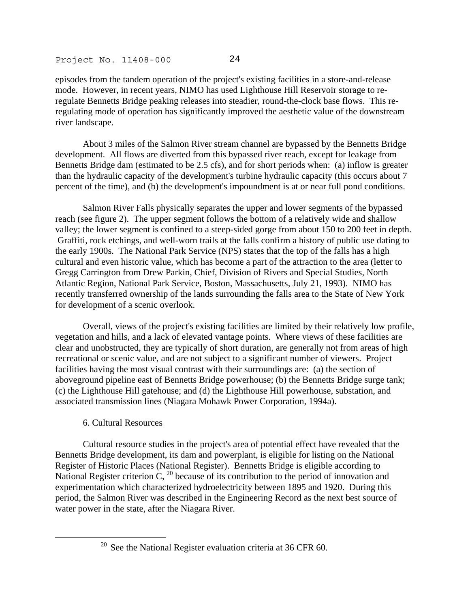episodes from the tandem operation of the project's existing facilities in a store-and-release mode. However, in recent years, NIMO has used Lighthouse Hill Reservoir storage to reregulate Bennetts Bridge peaking releases into steadier, round-the-clock base flows. This reregulating mode of operation has significantly improved the aesthetic value of the downstream river landscape.

 About 3 miles of the Salmon River stream channel are bypassed by the Bennetts Bridge development. All flows are diverted from this bypassed river reach, except for leakage from Bennetts Bridge dam (estimated to be 2.5 cfs), and for short periods when: (a) inflow is greater than the hydraulic capacity of the development's turbine hydraulic capacity (this occurs about 7 percent of the time), and (b) the development's impoundment is at or near full pond conditions.

 Salmon River Falls physically separates the upper and lower segments of the bypassed reach (see figure 2). The upper segment follows the bottom of a relatively wide and shallow valley; the lower segment is confined to a steep-sided gorge from about 150 to 200 feet in depth. Graffiti, rock etchings, and well-worn trails at the falls confirm a history of public use dating to the early 1900s. The National Park Service (NPS) states that the top of the falls has a high cultural and even historic value, which has become a part of the attraction to the area (letter to Gregg Carrington from Drew Parkin, Chief, Division of Rivers and Special Studies, North Atlantic Region, National Park Service, Boston, Massachusetts, July 21, 1993). NIMO has recently transferred ownership of the lands surrounding the falls area to the State of New York for development of a scenic overlook.

 Overall, views of the project's existing facilities are limited by their relatively low profile, vegetation and hills, and a lack of elevated vantage points. Where views of these facilities are clear and unobstructed, they are typically of short duration, are generally not from areas of high recreational or scenic value, and are not subject to a significant number of viewers. Project facilities having the most visual contrast with their surroundings are: (a) the section of aboveground pipeline east of Bennetts Bridge powerhouse; (b) the Bennetts Bridge surge tank; (c) the Lighthouse Hill gatehouse; and (d) the Lighthouse Hill powerhouse, substation, and associated transmission lines (Niagara Mohawk Power Corporation, 1994a).

# 6. Cultural Resources

j

 Cultural resource studies in the project's area of potential effect have revealed that the Bennetts Bridge development, its dam and powerplant, is eligible for listing on the National Register of Historic Places (National Register). Bennetts Bridge is eligible according to National Register criterion  $C<sub>1</sub>$ <sup>20</sup> because of its contribution to the period of innovation and experimentation which characterized hydroelectricity between 1895 and 1920. During this period, the Salmon River was described in the Engineering Record as the next best source of water power in the state, after the Niagara River.

<span id="page-50-0"></span><sup>&</sup>lt;sup>20</sup> See the National Register evaluation criteria at 36 CFR  $60$ .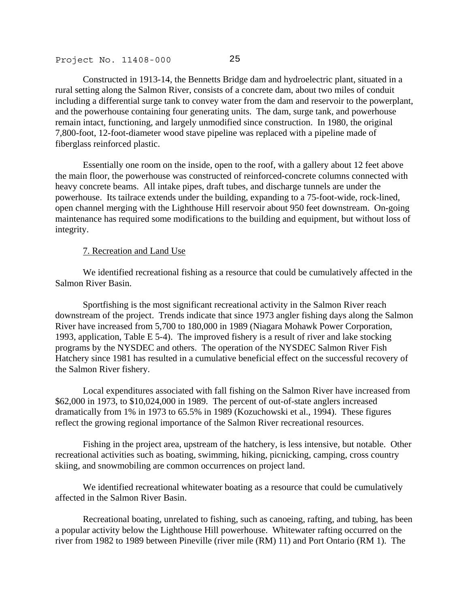Constructed in 1913-14, the Bennetts Bridge dam and hydroelectric plant, situated in a rural setting along the Salmon River, consists of a concrete dam, about two miles of conduit including a differential surge tank to convey water from the dam and reservoir to the powerplant, and the powerhouse containing four generating units. The dam, surge tank, and powerhouse remain intact, functioning, and largely unmodified since construction. In 1980, the original 7,800-foot, 12-foot-diameter wood stave pipeline was replaced with a pipeline made of fiberglass reinforced plastic.

 Essentially one room on the inside, open to the roof, with a gallery about 12 feet above the main floor, the powerhouse was constructed of reinforced-concrete columns connected with heavy concrete beams. All intake pipes, draft tubes, and discharge tunnels are under the powerhouse. Its tailrace extends under the building, expanding to a 75-foot-wide, rock-lined, open channel merging with the Lighthouse Hill reservoir about 950 feet downstream. On-going maintenance has required some modifications to the building and equipment, but without loss of integrity.

## 7. Recreation and Land Use

 We identified recreational fishing as a resource that could be cumulatively affected in the Salmon River Basin.

 Sportfishing is the most significant recreational activity in the Salmon River reach downstream of the project. Trends indicate that since 1973 angler fishing days along the Salmon River have increased from 5,700 to 180,000 in 1989 (Niagara Mohawk Power Corporation, 1993, application, Table E 5-4). The improved fishery is a result of river and lake stocking programs by the NYSDEC and others. The operation of the NYSDEC Salmon River Fish Hatchery since 1981 has resulted in a cumulative beneficial effect on the successful recovery of the Salmon River fishery.

 Local expenditures associated with fall fishing on the Salmon River have increased from \$62,000 in 1973, to \$10,024,000 in 1989. The percent of out-of-state anglers increased dramatically from 1% in 1973 to 65.5% in 1989 (Kozuchowski et al., 1994). These figures reflect the growing regional importance of the Salmon River recreational resources.

 Fishing in the project area, upstream of the hatchery, is less intensive, but notable. Other recreational activities such as boating, swimming, hiking, picnicking, camping, cross country skiing, and snowmobiling are common occurrences on project land.

We identified recreational whitewater boating as a resource that could be cumulatively affected in the Salmon River Basin.

 Recreational boating, unrelated to fishing, such as canoeing, rafting, and tubing, has been a popular activity below the Lighthouse Hill powerhouse. Whitewater rafting occurred on the river from 1982 to 1989 between Pineville (river mile (RM) 11) and Port Ontario (RM 1). The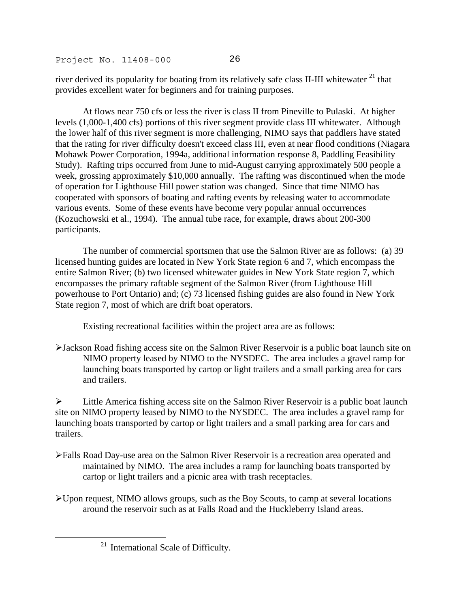river derived its popularity for boating from its relatively safe class II-III whitewater<sup>21</sup> that provides excellent water for beginners and for training purposes.

 At flows near 750 cfs or less the river is class II from Pineville to Pulaski. At higher levels (1,000-1,400 cfs) portions of this river segment provide class III whitewater. Although the lower half of this river segment is more challenging, NIMO says that paddlers have stated that the rating for river difficulty doesn't exceed class III, even at near flood conditions (Niagara Mohawk Power Corporation, 1994a, additional information response 8, Paddling Feasibility Study). Rafting trips occurred from June to mid-August carrying approximately 500 people a week, grossing approximately \$10,000 annually. The rafting was discontinued when the mode of operation for Lighthouse Hill power station was changed. Since that time NIMO has cooperated with sponsors of boating and rafting events by releasing water to accommodate various events. Some of these events have become very popular annual occurrences (Kozuchowski et al., 1994). The annual tube race, for example, draws about 200-300 participants.

 The number of commercial sportsmen that use the Salmon River are as follows: (a) 39 licensed hunting guides are located in New York State region 6 and 7, which encompass the entire Salmon River; (b) two licensed whitewater guides in New York State region 7, which encompasses the primary raftable segment of the Salmon River (from Lighthouse Hill powerhouse to Port Ontario) and; (c) 73 licensed fishing guides are also found in New York State region 7, most of which are drift boat operators.

Existing recreational facilities within the project area are as follows:

¾Jackson Road fishing access site on the Salmon River Reservoir is a public boat launch site on NIMO property leased by NIMO to the NYSDEC. The area includes a gravel ramp for launching boats transported by cartop or light trailers and a small parking area for cars and trailers.

 $\triangleright$  Little America fishing access site on the Salmon River Reservoir is a public boat launch site on NIMO property leased by NIMO to the NYSDEC. The area includes a gravel ramp for launching boats transported by cartop or light trailers and a small parking area for cars and trailers.

- ¾Falls Road Day-use area on the Salmon River Reservoir is a recreation area operated and maintained by NIMO. The area includes a ramp for launching boats transported by cartop or light trailers and a picnic area with trash receptacles.
- ¾Upon request, NIMO allows groups, such as the Boy Scouts, to camp at several locations around the reservoir such as at Falls Road and the Huckleberry Island areas.

.

<span id="page-52-0"></span><sup>&</sup>lt;sup>21</sup> International Scale of Difficulty.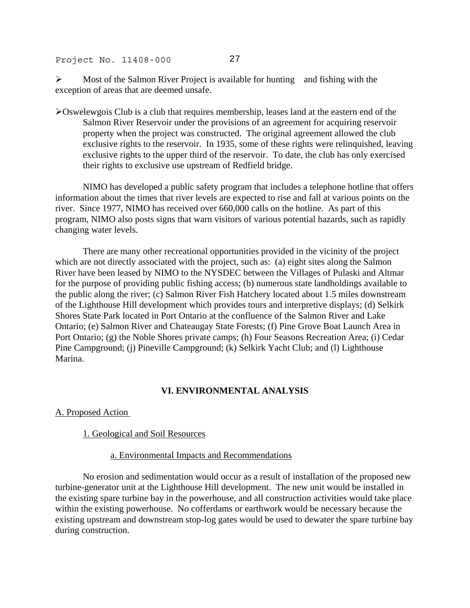$\triangleright$  Most of the Salmon River Project is available for hunting and fishing with the exception of areas that are deemed unsafe.

¾Oswelewgois Club is a club that requires membership, leases land at the eastern end of the Salmon River Reservoir under the provisions of an agreement for acquiring reservoir property when the project was constructed. The original agreement allowed the club exclusive rights to the reservoir. In 1935, some of these rights were relinquished, leaving exclusive rights to the upper third of the reservoir. To date, the club has only exercised their rights to exclusive use upstream of Redfield bridge.

 NIMO has developed a public safety program that includes a telephone hotline that offers information about the times that river levels are expected to rise and fall at various points on the river. Since 1977, NIMO has received over 660,000 calls on the hotline. As part of this program, NIMO also posts signs that warn visitors of various potential hazards, such as rapidly changing water levels.

 There are many other recreational opportunities provided in the vicinity of the project which are not directly associated with the project, such as: (a) eight sites along the Salmon River have been leased by NIMO to the NYSDEC between the Villages of Pulaski and Altmar for the purpose of providing public fishing access; (b) numerous state landholdings available to the public along the river; (c) Salmon River Fish Hatchery located about 1.5 miles downstream of the Lighthouse Hill development which provides tours and interpretive displays; (d) Selkirk Shores State Park located in Port Ontario at the confluence of the Salmon River and Lake Ontario; (e) Salmon River and Chateaugay State Forests; (f) Pine Grove Boat Launch Area in Port Ontario; (g) the Noble Shores private camps; (h) Four Seasons Recreation Area; (i) Cedar Pine Campground; (j) Pineville Campground; (k) Selkirk Yacht Club; and (l) Lighthouse Marina.

# **VI. ENVIRONMENTAL ANALYSIS**

## A. Proposed Action

## 1. Geological and Soil Resources

## a. Environmental Impacts and Recommendations

 No erosion and sedimentation would occur as a result of installation of the proposed new turbine-generator unit at the Lighthouse Hill development. The new unit would be installed in the existing spare turbine bay in the powerhouse, and all construction activities would take place within the existing powerhouse. No cofferdams or earthwork would be necessary because the existing upstream and downstream stop-log gates would be used to dewater the spare turbine bay during construction.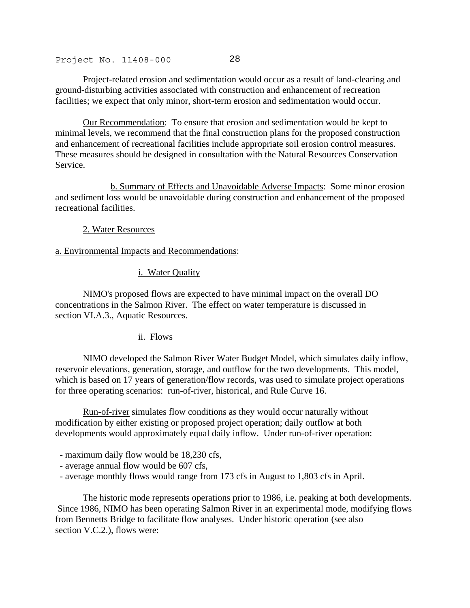Project-related erosion and sedimentation would occur as a result of land-clearing and ground-disturbing activities associated with construction and enhancement of recreation facilities; we expect that only minor, short-term erosion and sedimentation would occur.

Our Recommendation: To ensure that erosion and sedimentation would be kept to minimal levels, we recommend that the final construction plans for the proposed construction and enhancement of recreational facilities include appropriate soil erosion control measures. These measures should be designed in consultation with the Natural Resources Conservation Service.

 b. Summary of Effects and Unavoidable Adverse Impacts: Some minor erosion and sediment loss would be unavoidable during construction and enhancement of the proposed recreational facilities.

## 2. Water Resources

## a. Environmental Impacts and Recommendations:

## i. Water Quality

 NIMO's proposed flows are expected to have minimal impact on the overall DO concentrations in the Salmon River. The effect on water temperature is discussed in section VI.A.3., Aquatic Resources.

## ii. Flows

 NIMO developed the Salmon River Water Budget Model, which simulates daily inflow, reservoir elevations, generation, storage, and outflow for the two developments. This model, which is based on 17 years of generation/flow records, was used to simulate project operations for three operating scenarios: run-of-river, historical, and Rule Curve 16.

Run-of-river simulates flow conditions as they would occur naturally without modification by either existing or proposed project operation; daily outflow at both developments would approximately equal daily inflow. Under run-of-river operation:

- maximum daily flow would be 18,230 cfs,
- average annual flow would be 607 cfs,
- average monthly flows would range from 173 cfs in August to 1,803 cfs in April.

The historic mode represents operations prior to 1986, i.e. peaking at both developments. Since 1986, NIMO has been operating Salmon River in an experimental mode, modifying flows from Bennetts Bridge to facilitate flow analyses. Under historic operation (see also section V.C.2.), flows were: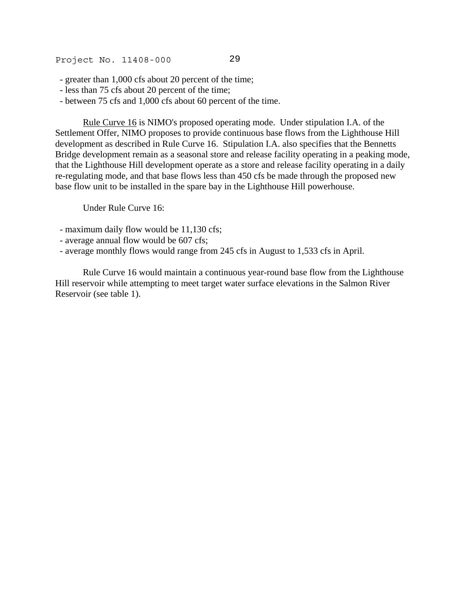- greater than 1,000 cfs about 20 percent of the time;
- less than 75 cfs about 20 percent of the time;
- between 75 cfs and 1,000 cfs about 60 percent of the time.

Rule Curve 16 is NIMO's proposed operating mode. Under stipulation I.A. of the Settlement Offer, NIMO proposes to provide continuous base flows from the Lighthouse Hill development as described in Rule Curve 16. Stipulation I.A. also specifies that the Bennetts Bridge development remain as a seasonal store and release facility operating in a peaking mode, that the Lighthouse Hill development operate as a store and release facility operating in a daily re-regulating mode, and that base flows less than 450 cfs be made through the proposed new base flow unit to be installed in the spare bay in the Lighthouse Hill powerhouse.

Under Rule Curve 16:

- maximum daily flow would be 11,130 cfs;
- average annual flow would be 607 cfs;
- average monthly flows would range from 245 cfs in August to 1,533 cfs in April.

 Rule Curve 16 would maintain a continuous year-round base flow from the Lighthouse Hill reservoir while attempting to meet target water surface elevations in the Salmon River Reservoir (see table 1).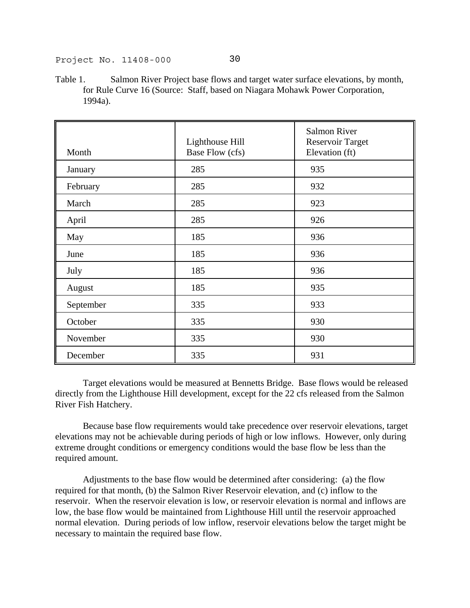- 
- Table 1. Salmon River Project base flows and target water surface elevations, by month, for Rule Curve 16 (Source: Staff, based on Niagara Mohawk Power Corporation, 1994a).

| Month     | Lighthouse Hill<br>Base Flow (cfs) | <b>Salmon River</b><br><b>Reservoir Target</b><br>Elevation (ft) |
|-----------|------------------------------------|------------------------------------------------------------------|
| January   | 285                                | 935                                                              |
| February  | 285                                | 932                                                              |
| March     | 285                                | 923                                                              |
| April     | 285                                | 926                                                              |
| May       | 185                                | 936                                                              |
| June      | 185                                | 936                                                              |
| July      | 185                                | 936                                                              |
| August    | 185                                | 935                                                              |
| September | 335                                | 933                                                              |
| October   | 335                                | 930                                                              |
| November  | 335                                | 930                                                              |
| December  | 335                                | 931                                                              |

 Target elevations would be measured at Bennetts Bridge. Base flows would be released directly from the Lighthouse Hill development, except for the 22 cfs released from the Salmon River Fish Hatchery.

 Because base flow requirements would take precedence over reservoir elevations, target elevations may not be achievable during periods of high or low inflows. However, only during extreme drought conditions or emergency conditions would the base flow be less than the required amount.

 Adjustments to the base flow would be determined after considering: (a) the flow required for that month, (b) the Salmon River Reservoir elevation, and (c) inflow to the reservoir. When the reservoir elevation is low, or reservoir elevation is normal and inflows are low, the base flow would be maintained from Lighthouse Hill until the reservoir approached normal elevation. During periods of low inflow, reservoir elevations below the target might be necessary to maintain the required base flow.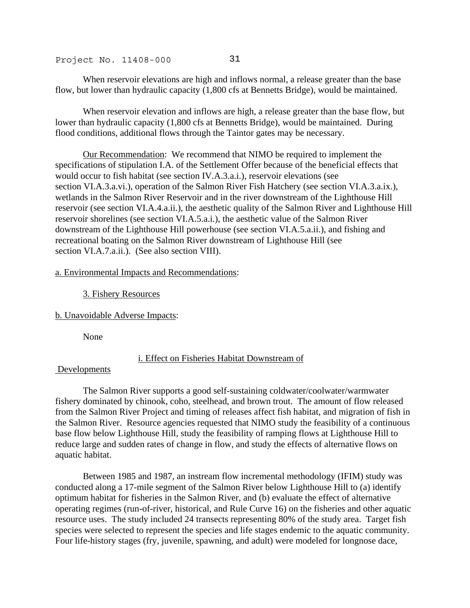When reservoir elevations are high and inflows normal, a release greater than the base flow, but lower than hydraulic capacity (1,800 cfs at Bennetts Bridge), would be maintained.

 When reservoir elevation and inflows are high, a release greater than the base flow, but lower than hydraulic capacity (1,800 cfs at Bennetts Bridge), would be maintained. During flood conditions, additional flows through the Taintor gates may be necessary.

Our Recommendation: We recommend that NIMO be required to implement the specifications of stipulation I.A. of the Settlement Offer because of the beneficial effects that would occur to fish habitat (see section IV.A.3.a.i.), reservoir elevations (see section VI.A.3.a.vi.), operation of the Salmon River Fish Hatchery (see section VI.A.3.a.ix.), wetlands in the Salmon River Reservoir and in the river downstream of the Lighthouse Hill reservoir (see section VI.A.4.a.ii.), the aesthetic quality of the Salmon River and Lighthouse Hill reservoir shorelines (see section VI.A.5.a.i.), the aesthetic value of the Salmon River downstream of the Lighthouse Hill powerhouse (see section VI.A.5.a.ii.), and fishing and recreational boating on the Salmon River downstream of Lighthouse Hill (see section VI.A.7.a.ii.). (See also section VIII).

## a. Environmental Impacts and Recommendations:

## 3. Fishery Resources

b. Unavoidable Adverse Impacts:

None

# i. Effect on Fisheries Habitat Downstream of

# Developments

 The Salmon River supports a good self-sustaining coldwater/coolwater/warmwater fishery dominated by chinook, coho, steelhead, and brown trout. The amount of flow released from the Salmon River Project and timing of releases affect fish habitat, and migration of fish in the Salmon River. Resource agencies requested that NIMO study the feasibility of a continuous base flow below Lighthouse Hill, study the feasibility of ramping flows at Lighthouse Hill to reduce large and sudden rates of change in flow, and study the effects of alternative flows on aquatic habitat.

 Between 1985 and 1987, an instream flow incremental methodology (IFIM) study was conducted along a 17-mile segment of the Salmon River below Lighthouse Hill to (a) identify optimum habitat for fisheries in the Salmon River, and (b) evaluate the effect of alternative operating regimes (run-of-river, historical, and Rule Curve 16) on the fisheries and other aquatic resource uses. The study included 24 transects representing 80% of the study area. Target fish species were selected to represent the species and life stages endemic to the aquatic community. Four life-history stages (fry, juvenile, spawning, and adult) were modeled for longnose dace,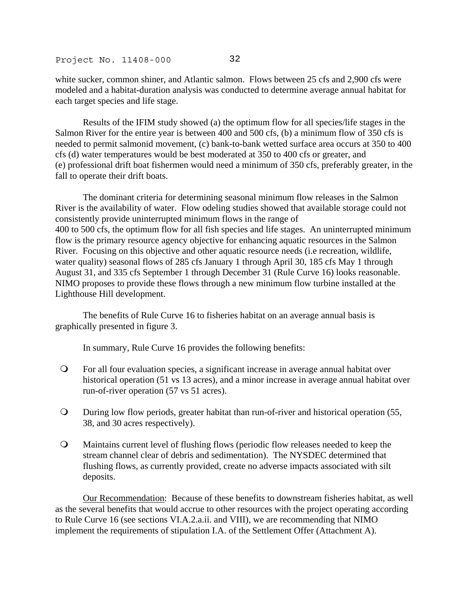white sucker, common shiner, and Atlantic salmon. Flows between 25 cfs and 2,900 cfs were modeled and a habitat-duration analysis was conducted to determine average annual habitat for each target species and life stage.

 Results of the IFIM study showed (a) the optimum flow for all species/life stages in the Salmon River for the entire year is between 400 and 500 cfs, (b) a minimum flow of 350 cfs is needed to permit salmonid movement, (c) bank-to-bank wetted surface area occurs at 350 to 400 cfs (d) water temperatures would be best moderated at 350 to 400 cfs or greater, and (e) professional drift boat fishermen would need a minimum of 350 cfs, preferably greater, in the fall to operate their drift boats.

 The dominant criteria for determining seasonal minimum flow releases in the Salmon River is the availability of water. Flow odeling studies showed that available storage could not consistently provide uninterrupted minimum flows in the range of 400 to 500 cfs, the optimum flow for all fish species and life stages. An uninterrupted minimum flow is the primary resource agency objective for enhancing aquatic resources in the Salmon River. Focusing on this objective and other aquatic resource needs (i.e recreation, wildlife, water quality) seasonal flows of 285 cfs January 1 through April 30, 185 cfs May 1 through August 31, and 335 cfs September 1 through December 31 (Rule Curve 16) looks reasonable. NIMO proposes to provide these flows through a new minimum flow turbine installed at the Lighthouse Hill development.

 The benefits of Rule Curve 16 to fisheries habitat on an average annual basis is graphically presented in figure 3.

In summary, Rule Curve 16 provides the following benefits:

- For all four evaluation species, a significant increase in average annual habitat over historical operation (51 vs 13 acres), and a minor increase in average annual habitat over run-of-river operation (57 vs 51 acres).
- During low flow periods, greater habitat than run-of-river and historical operation (55, 38, and 30 acres respectively).
- Maintains current level of flushing flows (periodic flow releases needed to keep the stream channel clear of debris and sedimentation). The NYSDEC determined that flushing flows, as currently provided, create no adverse impacts associated with silt deposits.

Our Recommendation: Because of these benefits to downstream fisheries habitat, as well as the several benefits that would accrue to other resources with the project operating according to Rule Curve 16 (see sections VI.A.2.a.ii. and VIII), we are recommending that NIMO implement the requirements of stipulation I.A. of the Settlement Offer (Attachment A).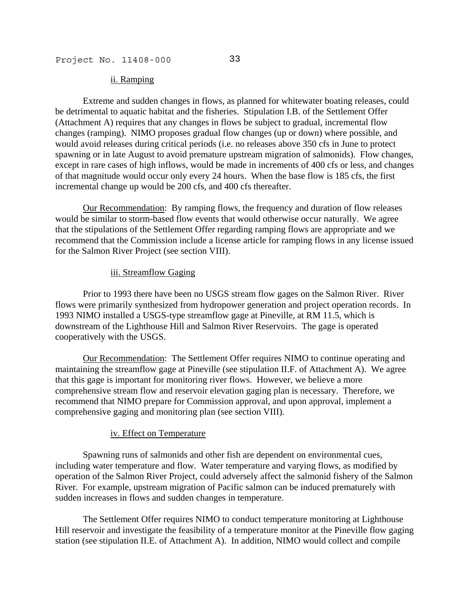#### ii. Ramping

 Extreme and sudden changes in flows, as planned for whitewater boating releases, could be detrimental to aquatic habitat and the fisheries. Stipulation I.B. of the Settlement Offer (Attachment A) requires that any changes in flows be subject to gradual, incremental flow changes (ramping). NIMO proposes gradual flow changes (up or down) where possible, and would avoid releases during critical periods (i.e. no releases above 350 cfs in June to protect spawning or in late August to avoid premature upstream migration of salmonids). Flow changes, except in rare cases of high inflows, would be made in increments of 400 cfs or less, and changes of that magnitude would occur only every 24 hours. When the base flow is 185 cfs, the first incremental change up would be 200 cfs, and 400 cfs thereafter.

Our Recommendation: By ramping flows, the frequency and duration of flow releases would be similar to storm-based flow events that would otherwise occur naturally. We agree that the stipulations of the Settlement Offer regarding ramping flows are appropriate and we recommend that the Commission include a license article for ramping flows in any license issued for the Salmon River Project (see section VIII).

#### iii. Streamflow Gaging

 Prior to 1993 there have been no USGS stream flow gages on the Salmon River. River flows were primarily synthesized from hydropower generation and project operation records. In 1993 NIMO installed a USGS-type streamflow gage at Pineville, at RM 11.5, which is downstream of the Lighthouse Hill and Salmon River Reservoirs. The gage is operated cooperatively with the USGS.

Our Recommendation: The Settlement Offer requires NIMO to continue operating and maintaining the streamflow gage at Pineville (see stipulation II.F. of Attachment A). We agree that this gage is important for monitoring river flows. However, we believe a more comprehensive stream flow and reservoir elevation gaging plan is necessary. Therefore, we recommend that NIMO prepare for Commission approval, and upon approval, implement a comprehensive gaging and monitoring plan (see section VIII).

#### iv. Effect on Temperature

 Spawning runs of salmonids and other fish are dependent on environmental cues, including water temperature and flow. Water temperature and varying flows, as modified by operation of the Salmon River Project, could adversely affect the salmonid fishery of the Salmon River. For example, upstream migration of Pacific salmon can be induced prematurely with sudden increases in flows and sudden changes in temperature.

 The Settlement Offer requires NIMO to conduct temperature monitoring at Lighthouse Hill reservoir and investigate the feasibility of a temperature monitor at the Pineville flow gaging station (see stipulation II.E. of Attachment A). In addition, NIMO would collect and compile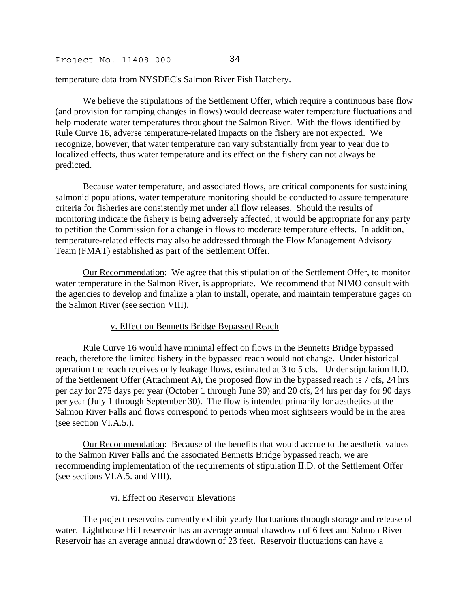temperature data from NYSDEC's Salmon River Fish Hatchery.

 We believe the stipulations of the Settlement Offer, which require a continuous base flow (and provision for ramping changes in flows) would decrease water temperature fluctuations and help moderate water temperatures throughout the Salmon River. With the flows identified by Rule Curve 16, adverse temperature-related impacts on the fishery are not expected. We recognize, however, that water temperature can vary substantially from year to year due to localized effects, thus water temperature and its effect on the fishery can not always be predicted.

 Because water temperature, and associated flows, are critical components for sustaining salmonid populations, water temperature monitoring should be conducted to assure temperature criteria for fisheries are consistently met under all flow releases. Should the results of monitoring indicate the fishery is being adversely affected, it would be appropriate for any party to petition the Commission for a change in flows to moderate temperature effects. In addition, temperature-related effects may also be addressed through the Flow Management Advisory Team (FMAT) established as part of the Settlement Offer.

Our Recommendation: We agree that this stipulation of the Settlement Offer, to monitor water temperature in the Salmon River, is appropriate. We recommend that NIMO consult with the agencies to develop and finalize a plan to install, operate, and maintain temperature gages on the Salmon River (see section VIII).

## v. Effect on Bennetts Bridge Bypassed Reach

 Rule Curve 16 would have minimal effect on flows in the Bennetts Bridge bypassed reach, therefore the limited fishery in the bypassed reach would not change. Under historical operation the reach receives only leakage flows, estimated at 3 to 5 cfs. Under stipulation II.D. of the Settlement Offer (Attachment A), the proposed flow in the bypassed reach is 7 cfs, 24 hrs per day for 275 days per year (October 1 through June 30) and 20 cfs, 24 hrs per day for 90 days per year (July 1 through September 30). The flow is intended primarily for aesthetics at the Salmon River Falls and flows correspond to periods when most sightseers would be in the area (see section VI.A.5.).

Our Recommendation: Because of the benefits that would accrue to the aesthetic values to the Salmon River Falls and the associated Bennetts Bridge bypassed reach, we are recommending implementation of the requirements of stipulation II.D. of the Settlement Offer (see sections VI.A.5. and VIII).

#### vi. Effect on Reservoir Elevations

 The project reservoirs currently exhibit yearly fluctuations through storage and release of water. Lighthouse Hill reservoir has an average annual drawdown of 6 feet and Salmon River Reservoir has an average annual drawdown of 23 feet. Reservoir fluctuations can have a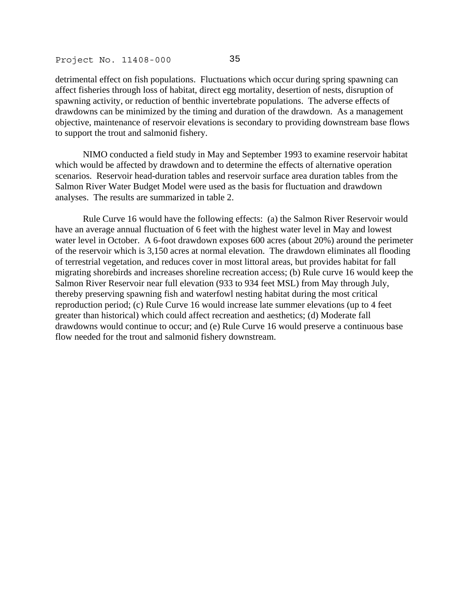detrimental effect on fish populations. Fluctuations which occur during spring spawning can affect fisheries through loss of habitat, direct egg mortality, desertion of nests, disruption of spawning activity, or reduction of benthic invertebrate populations. The adverse effects of drawdowns can be minimized by the timing and duration of the drawdown. As a management objective, maintenance of reservoir elevations is secondary to providing downstream base flows to support the trout and salmonid fishery.

 NIMO conducted a field study in May and September 1993 to examine reservoir habitat which would be affected by drawdown and to determine the effects of alternative operation scenarios. Reservoir head-duration tables and reservoir surface area duration tables from the Salmon River Water Budget Model were used as the basis for fluctuation and drawdown analyses. The results are summarized in table 2.

 Rule Curve 16 would have the following effects: (a) the Salmon River Reservoir would have an average annual fluctuation of 6 feet with the highest water level in May and lowest water level in October. A 6-foot drawdown exposes 600 acres (about 20%) around the perimeter of the reservoir which is 3,150 acres at normal elevation. The drawdown eliminates all flooding of terrestrial vegetation, and reduces cover in most littoral areas, but provides habitat for fall migrating shorebirds and increases shoreline recreation access; (b) Rule curve 16 would keep the Salmon River Reservoir near full elevation (933 to 934 feet MSL) from May through July, thereby preserving spawning fish and waterfowl nesting habitat during the most critical reproduction period; (c) Rule Curve 16 would increase late summer elevations (up to 4 feet greater than historical) which could affect recreation and aesthetics; (d) Moderate fall drawdowns would continue to occur; and (e) Rule Curve 16 would preserve a continuous base flow needed for the trout and salmonid fishery downstream.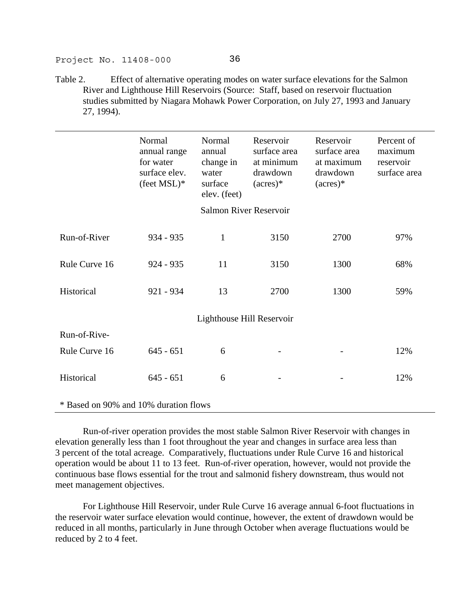Table 2. Effect of alternative operating modes on water surface elevations for the Salmon River and Lighthouse Hill Reservoirs (Source: Staff, based on reservoir fluctuation studies submitted by Niagara Mohawk Power Corporation, on July 27, 1993 and January 27, 1994).

|                                       | Normal<br>annual range<br>for water<br>surface elev.<br>$(\text{feet} \, \text{MSL})^*$ | Normal<br>annual<br>change in<br>water<br>surface<br>elev. (feet) | Reservoir<br>surface area<br>at minimum<br>drawdown<br>$(\text{acres})^*$ | Reservoir<br>surface area<br>at maximum<br>drawdown<br>$(\text{acres})^*$ | Percent of<br>maximum<br>reservoir<br>surface area |  |  |
|---------------------------------------|-----------------------------------------------------------------------------------------|-------------------------------------------------------------------|---------------------------------------------------------------------------|---------------------------------------------------------------------------|----------------------------------------------------|--|--|
| <b>Salmon River Reservoir</b>         |                                                                                         |                                                                   |                                                                           |                                                                           |                                                    |  |  |
|                                       |                                                                                         |                                                                   |                                                                           |                                                                           |                                                    |  |  |
| Run-of-River                          | $934 - 935$                                                                             | 1                                                                 | 3150                                                                      | 2700                                                                      | 97%                                                |  |  |
|                                       |                                                                                         |                                                                   |                                                                           |                                                                           |                                                    |  |  |
| Rule Curve 16                         | $924 - 935$                                                                             | 11                                                                | 3150                                                                      | 1300                                                                      | 68%                                                |  |  |
|                                       |                                                                                         |                                                                   |                                                                           |                                                                           |                                                    |  |  |
| Historical                            | $921 - 934$                                                                             | 13                                                                | 2700                                                                      | 1300                                                                      | 59%                                                |  |  |
|                                       |                                                                                         |                                                                   |                                                                           |                                                                           |                                                    |  |  |
|                                       |                                                                                         | Lighthouse Hill Reservoir                                         |                                                                           |                                                                           |                                                    |  |  |
| Run-of-Rive-                          |                                                                                         |                                                                   |                                                                           |                                                                           |                                                    |  |  |
|                                       |                                                                                         |                                                                   |                                                                           |                                                                           |                                                    |  |  |
| Rule Curve 16                         | $645 - 651$                                                                             | 6                                                                 |                                                                           |                                                                           | 12%                                                |  |  |
|                                       |                                                                                         |                                                                   |                                                                           |                                                                           |                                                    |  |  |
| Historical                            | $645 - 651$                                                                             | 6                                                                 |                                                                           |                                                                           | 12%                                                |  |  |
|                                       |                                                                                         |                                                                   |                                                                           |                                                                           |                                                    |  |  |
| * Based on 90% and 10% duration flows |                                                                                         |                                                                   |                                                                           |                                                                           |                                                    |  |  |

 Run-of-river operation provides the most stable Salmon River Reservoir with changes in elevation generally less than 1 foot throughout the year and changes in surface area less than 3 percent of the total acreage. Comparatively, fluctuations under Rule Curve 16 and historical operation would be about 11 to 13 feet. Run-of-river operation, however, would not provide the continuous base flows essential for the trout and salmonid fishery downstream, thus would not meet management objectives.

 For Lighthouse Hill Reservoir, under Rule Curve 16 average annual 6-foot fluctuations in the reservoir water surface elevation would continue, however, the extent of drawdown would be reduced in all months, particularly in June through October when average fluctuations would be reduced by 2 to 4 feet.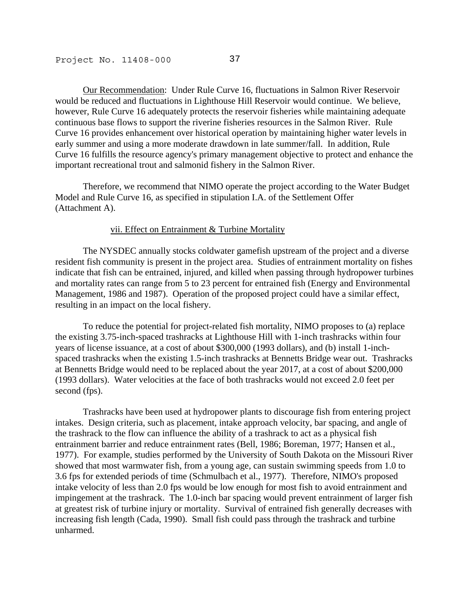Our Recommendation: Under Rule Curve 16, fluctuations in Salmon River Reservoir would be reduced and fluctuations in Lighthouse Hill Reservoir would continue. We believe, however, Rule Curve 16 adequately protects the reservoir fisheries while maintaining adequate continuous base flows to support the riverine fisheries resources in the Salmon River. Rule Curve 16 provides enhancement over historical operation by maintaining higher water levels in early summer and using a more moderate drawdown in late summer/fall. In addition, Rule Curve 16 fulfills the resource agency's primary management objective to protect and enhance the important recreational trout and salmonid fishery in the Salmon River.

 Therefore, we recommend that NIMO operate the project according to the Water Budget Model and Rule Curve 16, as specified in stipulation I.A. of the Settlement Offer (Attachment A).

#### vii. Effect on Entrainment & Turbine Mortality

 The NYSDEC annually stocks coldwater gamefish upstream of the project and a diverse resident fish community is present in the project area. Studies of entrainment mortality on fishes indicate that fish can be entrained, injured, and killed when passing through hydropower turbines and mortality rates can range from 5 to 23 percent for entrained fish (Energy and Environmental Management, 1986 and 1987). Operation of the proposed project could have a similar effect, resulting in an impact on the local fishery.

 To reduce the potential for project-related fish mortality, NIMO proposes to (a) replace the existing 3.75-inch-spaced trashracks at Lighthouse Hill with 1-inch trashracks within four years of license issuance, at a cost of about \$300,000 (1993 dollars), and (b) install 1-inchspaced trashracks when the existing 1.5-inch trashracks at Bennetts Bridge wear out. Trashracks at Bennetts Bridge would need to be replaced about the year 2017, at a cost of about \$200,000 (1993 dollars). Water velocities at the face of both trashracks would not exceed 2.0 feet per second (fps).

 Trashracks have been used at hydropower plants to discourage fish from entering project intakes. Design criteria, such as placement, intake approach velocity, bar spacing, and angle of the trashrack to the flow can influence the ability of a trashrack to act as a physical fish entrainment barrier and reduce entrainment rates (Bell, 1986; Boreman, 1977; Hansen et al., 1977). For example, studies performed by the University of South Dakota on the Missouri River showed that most warmwater fish, from a young age, can sustain swimming speeds from 1.0 to 3.6 fps for extended periods of time (Schmulbach et al., 1977). Therefore, NIMO's proposed intake velocity of less than 2.0 fps would be low enough for most fish to avoid entrainment and impingement at the trashrack. The 1.0-inch bar spacing would prevent entrainment of larger fish at greatest risk of turbine injury or mortality. Survival of entrained fish generally decreases with increasing fish length (Cada, 1990). Small fish could pass through the trashrack and turbine unharmed.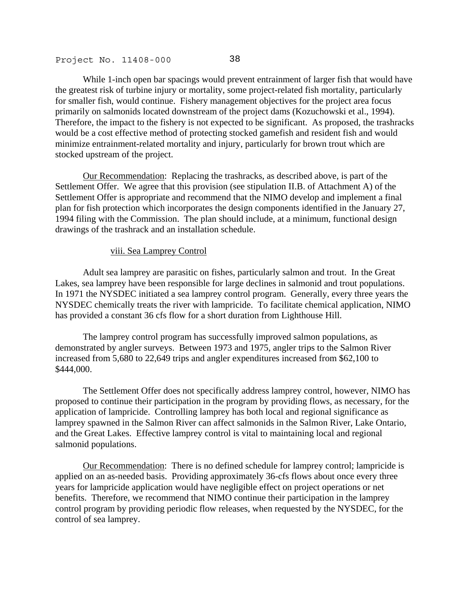While 1-inch open bar spacings would prevent entrainment of larger fish that would have the greatest risk of turbine injury or mortality, some project-related fish mortality, particularly for smaller fish, would continue. Fishery management objectives for the project area focus primarily on salmonids located downstream of the project dams (Kozuchowski et al., 1994). Therefore, the impact to the fishery is not expected to be significant. As proposed, the trashracks would be a cost effective method of protecting stocked gamefish and resident fish and would minimize entrainment-related mortality and injury, particularly for brown trout which are stocked upstream of the project.

Our Recommendation: Replacing the trashracks, as described above, is part of the Settlement Offer. We agree that this provision (see stipulation II.B. of Attachment A) of the Settlement Offer is appropriate and recommend that the NIMO develop and implement a final plan for fish protection which incorporates the design components identified in the January 27, 1994 filing with the Commission. The plan should include, at a minimum, functional design drawings of the trashrack and an installation schedule.

## viii. Sea Lamprey Control

 Adult sea lamprey are parasitic on fishes, particularly salmon and trout. In the Great Lakes, sea lamprey have been responsible for large declines in salmonid and trout populations. In 1971 the NYSDEC initiated a sea lamprey control program. Generally, every three years the NYSDEC chemically treats the river with lampricide. To facilitate chemical application, NIMO has provided a constant 36 cfs flow for a short duration from Lighthouse Hill.

 The lamprey control program has successfully improved salmon populations, as demonstrated by angler surveys. Between 1973 and 1975, angler trips to the Salmon River increased from 5,680 to 22,649 trips and angler expenditures increased from \$62,100 to \$444,000.

 The Settlement Offer does not specifically address lamprey control, however, NIMO has proposed to continue their participation in the program by providing flows, as necessary, for the application of lampricide. Controlling lamprey has both local and regional significance as lamprey spawned in the Salmon River can affect salmonids in the Salmon River, Lake Ontario, and the Great Lakes. Effective lamprey control is vital to maintaining local and regional salmonid populations.

Our Recommendation: There is no defined schedule for lamprey control; lampricide is applied on an as-needed basis. Providing approximately 36-cfs flows about once every three years for lampricide application would have negligible effect on project operations or net benefits. Therefore, we recommend that NIMO continue their participation in the lamprey control program by providing periodic flow releases, when requested by the NYSDEC, for the control of sea lamprey.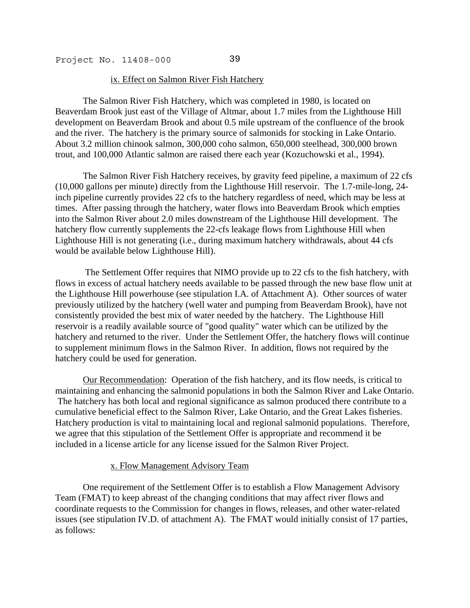#### ix. Effect on Salmon River Fish Hatchery

 The Salmon River Fish Hatchery, which was completed in 1980, is located on Beaverdam Brook just east of the Village of Altmar, about 1.7 miles from the Lighthouse Hill development on Beaverdam Brook and about 0.5 mile upstream of the confluence of the brook and the river. The hatchery is the primary source of salmonids for stocking in Lake Ontario. About 3.2 million chinook salmon, 300,000 coho salmon, 650,000 steelhead, 300,000 brown trout, and 100,000 Atlantic salmon are raised there each year (Kozuchowski et al., 1994).

 The Salmon River Fish Hatchery receives, by gravity feed pipeline, a maximum of 22 cfs (10,000 gallons per minute) directly from the Lighthouse Hill reservoir. The 1.7-mile-long, 24 inch pipeline currently provides 22 cfs to the hatchery regardless of need, which may be less at times. After passing through the hatchery, water flows into Beaverdam Brook which empties into the Salmon River about 2.0 miles downstream of the Lighthouse Hill development. The hatchery flow currently supplements the 22-cfs leakage flows from Lighthouse Hill when Lighthouse Hill is not generating (i.e., during maximum hatchery withdrawals, about 44 cfs would be available below Lighthouse Hill).

 The Settlement Offer requires that NIMO provide up to 22 cfs to the fish hatchery, with flows in excess of actual hatchery needs available to be passed through the new base flow unit at the Lighthouse Hill powerhouse (see stipulation I.A. of Attachment A). Other sources of water previously utilized by the hatchery (well water and pumping from Beaverdam Brook), have not consistently provided the best mix of water needed by the hatchery. The Lighthouse Hill reservoir is a readily available source of "good quality" water which can be utilized by the hatchery and returned to the river. Under the Settlement Offer, the hatchery flows will continue to supplement minimum flows in the Salmon River. In addition, flows not required by the hatchery could be used for generation.

Our Recommendation: Operation of the fish hatchery, and its flow needs, is critical to maintaining and enhancing the salmonid populations in both the Salmon River and Lake Ontario. The hatchery has both local and regional significance as salmon produced there contribute to a cumulative beneficial effect to the Salmon River, Lake Ontario, and the Great Lakes fisheries. Hatchery production is vital to maintaining local and regional salmonid populations. Therefore, we agree that this stipulation of the Settlement Offer is appropriate and recommend it be included in a license article for any license issued for the Salmon River Project.

#### x. Flow Management Advisory Team

 One requirement of the Settlement Offer is to establish a Flow Management Advisory Team (FMAT) to keep abreast of the changing conditions that may affect river flows and coordinate requests to the Commission for changes in flows, releases, and other water-related issues (see stipulation IV.D. of attachment A). The FMAT would initially consist of 17 parties, as follows: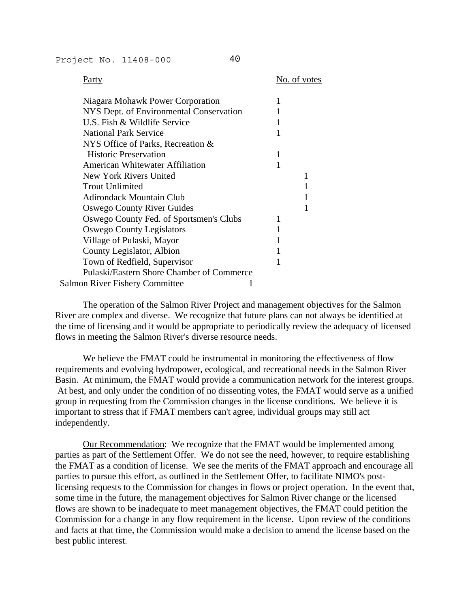Party No. of votes

| Niagara Mohawk Power Corporation          |  |
|-------------------------------------------|--|
| NYS Dept. of Environmental Conservation   |  |
| U.S. Fish & Wildlife Service              |  |
| <b>National Park Service</b>              |  |
| NYS Office of Parks, Recreation &         |  |
| <b>Historic Preservation</b>              |  |
| <b>American Whitewater Affiliation</b>    |  |
| New York Rivers United                    |  |
| <b>Trout Unlimited</b>                    |  |
| Adirondack Mountain Club                  |  |
| <b>Oswego County River Guides</b>         |  |
| Oswego County Fed. of Sportsmen's Clubs   |  |
| <b>Oswego County Legislators</b>          |  |
| Village of Pulaski, Mayor                 |  |
| County Legislator, Albion                 |  |
| Town of Redfield, Supervisor              |  |
| Pulaski/Eastern Shore Chamber of Commerce |  |
| <b>Salmon River Fishery Committee</b>     |  |
|                                           |  |

 The operation of the Salmon River Project and management objectives for the Salmon River are complex and diverse. We recognize that future plans can not always be identified at the time of licensing and it would be appropriate to periodically review the adequacy of licensed flows in meeting the Salmon River's diverse resource needs.

 We believe the FMAT could be instrumental in monitoring the effectiveness of flow requirements and evolving hydropower, ecological, and recreational needs in the Salmon River Basin. At minimum, the FMAT would provide a communication network for the interest groups. At best, and only under the condition of no dissenting votes, the FMAT would serve as a unified group in requesting from the Commission changes in the license conditions. We believe it is important to stress that if FMAT members can't agree, individual groups may still act independently.

Our Recommendation: We recognize that the FMAT would be implemented among parties as part of the Settlement Offer. We do not see the need, however, to require establishing the FMAT as a condition of license. We see the merits of the FMAT approach and encourage all parties to pursue this effort, as outlined in the Settlement Offer, to facilitate NIMO's postlicensing requests to the Commission for changes in flows or project operation. In the event that, some time in the future, the management objectives for Salmon River change or the licensed flows are shown to be inadequate to meet management objectives, the FMAT could petition the Commission for a change in any flow requirement in the license. Upon review of the conditions and facts at that time, the Commission would make a decision to amend the license based on the best public interest.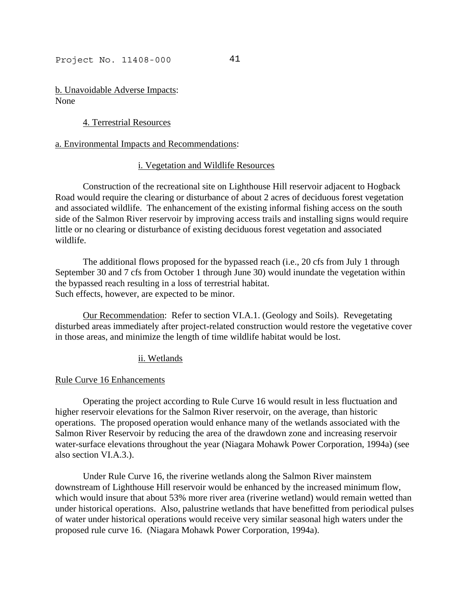b. Unavoidable Adverse Impacts: None

# 4. Terrestrial Resources

## a. Environmental Impacts and Recommendations:

## i. Vegetation and Wildlife Resources

 Construction of the recreational site on Lighthouse Hill reservoir adjacent to Hogback Road would require the clearing or disturbance of about 2 acres of deciduous forest vegetation and associated wildlife. The enhancement of the existing informal fishing access on the south side of the Salmon River reservoir by improving access trails and installing signs would require little or no clearing or disturbance of existing deciduous forest vegetation and associated wildlife.

 The additional flows proposed for the bypassed reach (i.e., 20 cfs from July 1 through September 30 and 7 cfs from October 1 through June 30) would inundate the vegetation within the bypassed reach resulting in a loss of terrestrial habitat. Such effects, however, are expected to be minor.

Our Recommendation: Refer to section VI.A.1. (Geology and Soils). Revegetating disturbed areas immediately after project-related construction would restore the vegetative cover in those areas, and minimize the length of time wildlife habitat would be lost.

## ii. Wetlands

## Rule Curve 16 Enhancements

 Operating the project according to Rule Curve 16 would result in less fluctuation and higher reservoir elevations for the Salmon River reservoir, on the average, than historic operations. The proposed operation would enhance many of the wetlands associated with the Salmon River Reservoir by reducing the area of the drawdown zone and increasing reservoir water-surface elevations throughout the year (Niagara Mohawk Power Corporation, 1994a) (see also section VI.A.3.).

 Under Rule Curve 16, the riverine wetlands along the Salmon River mainstem downstream of Lighthouse Hill reservoir would be enhanced by the increased minimum flow, which would insure that about 53% more river area (riverine wetland) would remain wetted than under historical operations. Also, palustrine wetlands that have benefitted from periodical pulses of water under historical operations would receive very similar seasonal high waters under the proposed rule curve 16. (Niagara Mohawk Power Corporation, 1994a).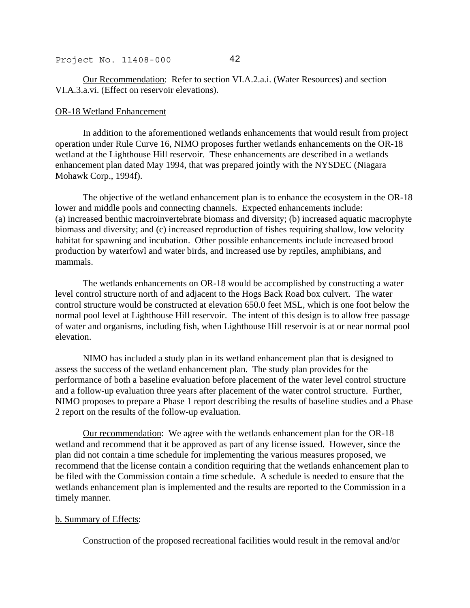Our Recommendation: Refer to section VI.A.2.a.i. (Water Resources) and section VI.A.3.a.vi. (Effect on reservoir elevations).

#### OR-18 Wetland Enhancement

 In addition to the aforementioned wetlands enhancements that would result from project operation under Rule Curve 16, NIMO proposes further wetlands enhancements on the OR-18 wetland at the Lighthouse Hill reservoir. These enhancements are described in a wetlands enhancement plan dated May 1994, that was prepared jointly with the NYSDEC (Niagara Mohawk Corp., 1994f).

 The objective of the wetland enhancement plan is to enhance the ecosystem in the OR-18 lower and middle pools and connecting channels. Expected enhancements include: (a) increased benthic macroinvertebrate biomass and diversity; (b) increased aquatic macrophyte biomass and diversity; and (c) increased reproduction of fishes requiring shallow, low velocity habitat for spawning and incubation. Other possible enhancements include increased brood production by waterfowl and water birds, and increased use by reptiles, amphibians, and mammals.

 The wetlands enhancements on OR-18 would be accomplished by constructing a water level control structure north of and adjacent to the Hogs Back Road box culvert. The water control structure would be constructed at elevation 650.0 feet MSL, which is one foot below the normal pool level at Lighthouse Hill reservoir. The intent of this design is to allow free passage of water and organisms, including fish, when Lighthouse Hill reservoir is at or near normal pool elevation.

 NIMO has included a study plan in its wetland enhancement plan that is designed to assess the success of the wetland enhancement plan. The study plan provides for the performance of both a baseline evaluation before placement of the water level control structure and a follow-up evaluation three years after placement of the water control structure. Further, NIMO proposes to prepare a Phase 1 report describing the results of baseline studies and a Phase 2 report on the results of the follow-up evaluation.

Our recommendation: We agree with the wetlands enhancement plan for the OR-18 wetland and recommend that it be approved as part of any license issued. However, since the plan did not contain a time schedule for implementing the various measures proposed, we recommend that the license contain a condition requiring that the wetlands enhancement plan to be filed with the Commission contain a time schedule. A schedule is needed to ensure that the wetlands enhancement plan is implemented and the results are reported to the Commission in a timely manner.

## b. Summary of Effects:

Construction of the proposed recreational facilities would result in the removal and/or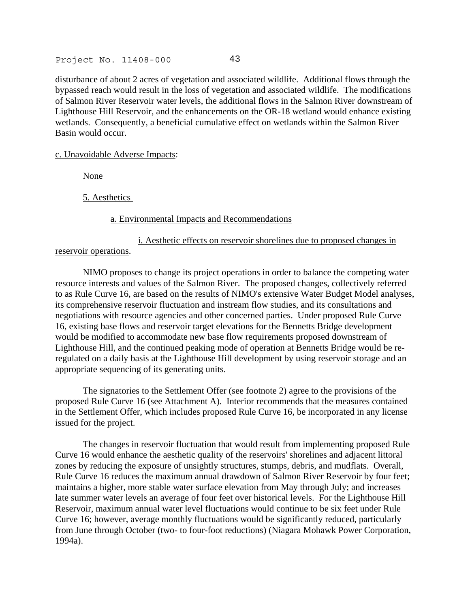disturbance of about 2 acres of vegetation and associated wildlife. Additional flows through the bypassed reach would result in the loss of vegetation and associated wildlife. The modifications of Salmon River Reservoir water levels, the additional flows in the Salmon River downstream of Lighthouse Hill Reservoir, and the enhancements on the OR-18 wetland would enhance existing wetlands. Consequently, a beneficial cumulative effect on wetlands within the Salmon River Basin would occur.

c. Unavoidable Adverse Impacts:

None

5. Aesthetics

a. Environmental Impacts and Recommendations

## i. Aesthetic effects on reservoir shorelines due to proposed changes in reservoir operations.

 NIMO proposes to change its project operations in order to balance the competing water resource interests and values of the Salmon River. The proposed changes, collectively referred to as Rule Curve 16, are based on the results of NIMO's extensive Water Budget Model analyses, its comprehensive reservoir fluctuation and instream flow studies, and its consultations and negotiations with resource agencies and other concerned parties. Under proposed Rule Curve 16, existing base flows and reservoir target elevations for the Bennetts Bridge development would be modified to accommodate new base flow requirements proposed downstream of Lighthouse Hill, and the continued peaking mode of operation at Bennetts Bridge would be reregulated on a daily basis at the Lighthouse Hill development by using reservoir storage and an appropriate sequencing of its generating units.

 The signatories to the Settlement Offer (see footnote 2) agree to the provisions of the proposed Rule Curve 16 (see Attachment A). Interior recommends that the measures contained in the Settlement Offer, which includes proposed Rule Curve 16, be incorporated in any license issued for the project.

 The changes in reservoir fluctuation that would result from implementing proposed Rule Curve 16 would enhance the aesthetic quality of the reservoirs' shorelines and adjacent littoral zones by reducing the exposure of unsightly structures, stumps, debris, and mudflats. Overall, Rule Curve 16 reduces the maximum annual drawdown of Salmon River Reservoir by four feet; maintains a higher, more stable water surface elevation from May through July; and increases late summer water levels an average of four feet over historical levels. For the Lighthouse Hill Reservoir, maximum annual water level fluctuations would continue to be six feet under Rule Curve 16; however, average monthly fluctuations would be significantly reduced, particularly from June through October (two- to four-foot reductions) (Niagara Mohawk Power Corporation, 1994a).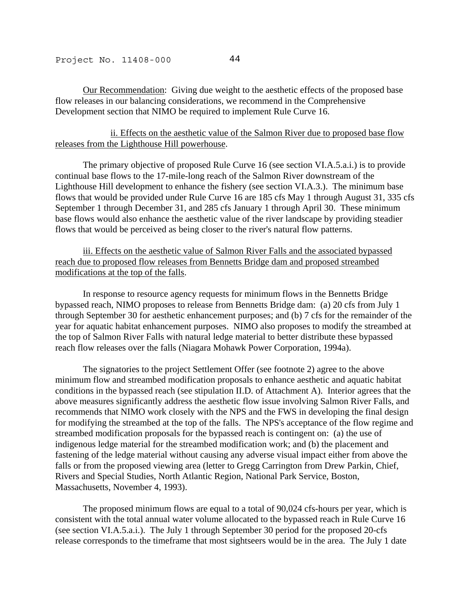Our Recommendation: Giving due weight to the aesthetic effects of the proposed base flow releases in our balancing considerations, we recommend in the Comprehensive Development section that NIMO be required to implement Rule Curve 16.

# ii. Effects on the aesthetic value of the Salmon River due to proposed base flow releases from the Lighthouse Hill powerhouse.

 The primary objective of proposed Rule Curve 16 (see section VI.A.5.a.i.) is to provide continual base flows to the 17-mile-long reach of the Salmon River downstream of the Lighthouse Hill development to enhance the fishery (see section VI.A.3.). The minimum base flows that would be provided under Rule Curve 16 are 185 cfs May 1 through August 31, 335 cfs September 1 through December 31, and 285 cfs January 1 through April 30. These minimum base flows would also enhance the aesthetic value of the river landscape by providing steadier flows that would be perceived as being closer to the river's natural flow patterns.

iii. Effects on the aesthetic value of Salmon River Falls and the associated bypassed reach due to proposed flow releases from Bennetts Bridge dam and proposed streambed modifications at the top of the falls.

 In response to resource agency requests for minimum flows in the Bennetts Bridge bypassed reach, NIMO proposes to release from Bennetts Bridge dam: (a) 20 cfs from July 1 through September 30 for aesthetic enhancement purposes; and (b) 7 cfs for the remainder of the year for aquatic habitat enhancement purposes. NIMO also proposes to modify the streambed at the top of Salmon River Falls with natural ledge material to better distribute these bypassed reach flow releases over the falls (Niagara Mohawk Power Corporation, 1994a).

 The signatories to the project Settlement Offer (see footnote 2) agree to the above minimum flow and streambed modification proposals to enhance aesthetic and aquatic habitat conditions in the bypassed reach (see stipulation II.D. of Attachment A). Interior agrees that the above measures significantly address the aesthetic flow issue involving Salmon River Falls, and recommends that NIMO work closely with the NPS and the FWS in developing the final design for modifying the streambed at the top of the falls. The NPS's acceptance of the flow regime and streambed modification proposals for the bypassed reach is contingent on: (a) the use of indigenous ledge material for the streambed modification work; and (b) the placement and fastening of the ledge material without causing any adverse visual impact either from above the falls or from the proposed viewing area (letter to Gregg Carrington from Drew Parkin, Chief, Rivers and Special Studies, North Atlantic Region, National Park Service, Boston, Massachusetts, November 4, 1993).

 The proposed minimum flows are equal to a total of 90,024 cfs-hours per year, which is consistent with the total annual water volume allocated to the bypassed reach in Rule Curve 16 (see section VI.A.5.a.i.). The July 1 through September 30 period for the proposed 20-cfs release corresponds to the timeframe that most sightseers would be in the area. The July 1 date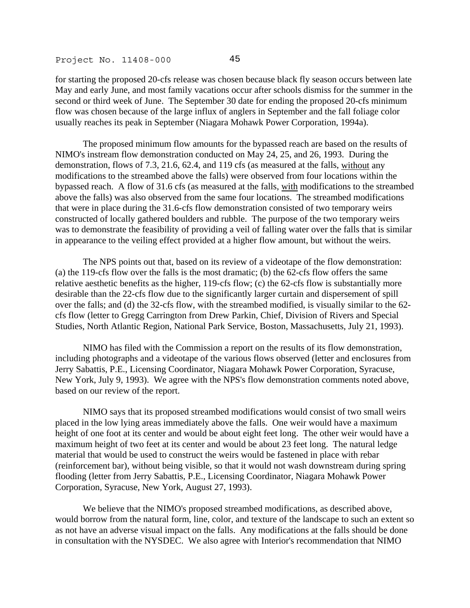for starting the proposed 20-cfs release was chosen because black fly season occurs between late May and early June, and most family vacations occur after schools dismiss for the summer in the second or third week of June. The September 30 date for ending the proposed 20-cfs minimum flow was chosen because of the large influx of anglers in September and the fall foliage color usually reaches its peak in September (Niagara Mohawk Power Corporation, 1994a).

 The proposed minimum flow amounts for the bypassed reach are based on the results of NIMO's instream flow demonstration conducted on May 24, 25, and 26, 1993. During the demonstration, flows of 7.3, 21.6, 62.4, and 119 cfs (as measured at the falls, without any modifications to the streambed above the falls) were observed from four locations within the bypassed reach. A flow of 31.6 cfs (as measured at the falls, with modifications to the streambed above the falls) was also observed from the same four locations. The streambed modifications that were in place during the 31.6-cfs flow demonstration consisted of two temporary weirs constructed of locally gathered boulders and rubble. The purpose of the two temporary weirs was to demonstrate the feasibility of providing a veil of falling water over the falls that is similar in appearance to the veiling effect provided at a higher flow amount, but without the weirs.

 The NPS points out that, based on its review of a videotape of the flow demonstration: (a) the 119-cfs flow over the falls is the most dramatic; (b) the 62-cfs flow offers the same relative aesthetic benefits as the higher, 119-cfs flow; (c) the 62-cfs flow is substantially more desirable than the 22-cfs flow due to the significantly larger curtain and dispersement of spill over the falls; and (d) the 32-cfs flow, with the streambed modified, is visually similar to the 62 cfs flow (letter to Gregg Carrington from Drew Parkin, Chief, Division of Rivers and Special Studies, North Atlantic Region, National Park Service, Boston, Massachusetts, July 21, 1993).

 NIMO has filed with the Commission a report on the results of its flow demonstration, including photographs and a videotape of the various flows observed (letter and enclosures from Jerry Sabattis, P.E., Licensing Coordinator, Niagara Mohawk Power Corporation, Syracuse, New York, July 9, 1993). We agree with the NPS's flow demonstration comments noted above, based on our review of the report.

 NIMO says that its proposed streambed modifications would consist of two small weirs placed in the low lying areas immediately above the falls. One weir would have a maximum height of one foot at its center and would be about eight feet long. The other weir would have a maximum height of two feet at its center and would be about 23 feet long. The natural ledge material that would be used to construct the weirs would be fastened in place with rebar (reinforcement bar), without being visible, so that it would not wash downstream during spring flooding (letter from Jerry Sabattis, P.E., Licensing Coordinator, Niagara Mohawk Power Corporation, Syracuse, New York, August 27, 1993).

 We believe that the NIMO's proposed streambed modifications, as described above, would borrow from the natural form, line, color, and texture of the landscape to such an extent so as not have an adverse visual impact on the falls. Any modifications at the falls should be done in consultation with the NYSDEC. We also agree with Interior's recommendation that NIMO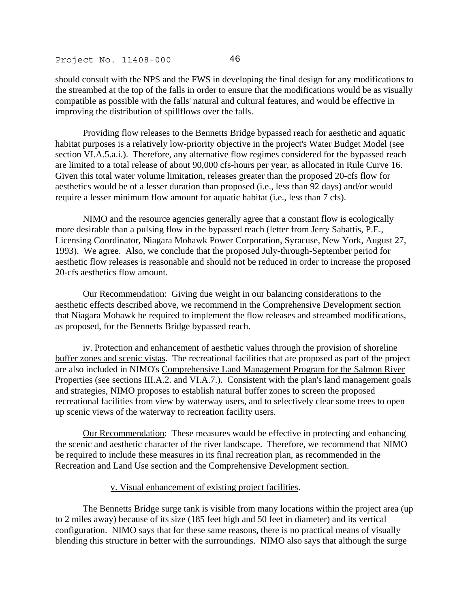should consult with the NPS and the FWS in developing the final design for any modifications to the streambed at the top of the falls in order to ensure that the modifications would be as visually compatible as possible with the falls' natural and cultural features, and would be effective in improving the distribution of spillflows over the falls.

 Providing flow releases to the Bennetts Bridge bypassed reach for aesthetic and aquatic habitat purposes is a relatively low-priority objective in the project's Water Budget Model (see section VI.A.5.a.i.). Therefore, any alternative flow regimes considered for the bypassed reach are limited to a total release of about 90,000 cfs-hours per year, as allocated in Rule Curve 16. Given this total water volume limitation, releases greater than the proposed 20-cfs flow for aesthetics would be of a lesser duration than proposed (i.e., less than 92 days) and/or would require a lesser minimum flow amount for aquatic habitat (i.e., less than 7 cfs).

 NIMO and the resource agencies generally agree that a constant flow is ecologically more desirable than a pulsing flow in the bypassed reach (letter from Jerry Sabattis, P.E., Licensing Coordinator, Niagara Mohawk Power Corporation, Syracuse, New York, August 27, 1993). We agree. Also, we conclude that the proposed July-through-September period for aesthetic flow releases is reasonable and should not be reduced in order to increase the proposed 20-cfs aesthetics flow amount.

Our Recommendation: Giving due weight in our balancing considerations to the aesthetic effects described above, we recommend in the Comprehensive Development section that Niagara Mohawk be required to implement the flow releases and streambed modifications, as proposed, for the Bennetts Bridge bypassed reach.

iv. Protection and enhancement of aesthetic values through the provision of shoreline buffer zones and scenic vistas. The recreational facilities that are proposed as part of the project are also included in NIMO's Comprehensive Land Management Program for the Salmon River Properties (see sections III.A.2. and VI.A.7.). Consistent with the plan's land management goals and strategies, NIMO proposes to establish natural buffer zones to screen the proposed recreational facilities from view by waterway users, and to selectively clear some trees to open up scenic views of the waterway to recreation facility users.

Our Recommendation: These measures would be effective in protecting and enhancing the scenic and aesthetic character of the river landscape. Therefore, we recommend that NIMO be required to include these measures in its final recreation plan, as recommended in the Recreation and Land Use section and the Comprehensive Development section.

### v. Visual enhancement of existing project facilities.

 The Bennetts Bridge surge tank is visible from many locations within the project area (up to 2 miles away) because of its size (185 feet high and 50 feet in diameter) and its vertical configuration. NIMO says that for these same reasons, there is no practical means of visually blending this structure in better with the surroundings. NIMO also says that although the surge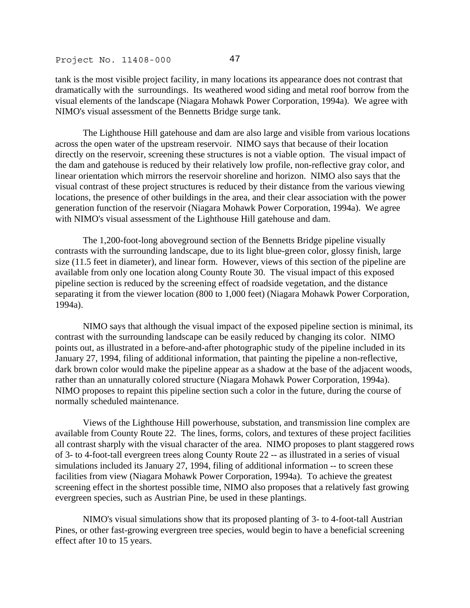tank is the most visible project facility, in many locations its appearance does not contrast that dramatically with the surroundings. Its weathered wood siding and metal roof borrow from the visual elements of the landscape (Niagara Mohawk Power Corporation, 1994a). We agree with NIMO's visual assessment of the Bennetts Bridge surge tank.

 The Lighthouse Hill gatehouse and dam are also large and visible from various locations across the open water of the upstream reservoir. NIMO says that because of their location directly on the reservoir, screening these structures is not a viable option. The visual impact of the dam and gatehouse is reduced by their relatively low profile, non-reflective gray color, and linear orientation which mirrors the reservoir shoreline and horizon. NIMO also says that the visual contrast of these project structures is reduced by their distance from the various viewing locations, the presence of other buildings in the area, and their clear association with the power generation function of the reservoir (Niagara Mohawk Power Corporation, 1994a). We agree with NIMO's visual assessment of the Lighthouse Hill gatehouse and dam.

 The 1,200-foot-long aboveground section of the Bennetts Bridge pipeline visually contrasts with the surrounding landscape, due to its light blue-green color, glossy finish, large size (11.5 feet in diameter), and linear form. However, views of this section of the pipeline are available from only one location along County Route 30. The visual impact of this exposed pipeline section is reduced by the screening effect of roadside vegetation, and the distance separating it from the viewer location (800 to 1,000 feet) (Niagara Mohawk Power Corporation, 1994a).

 NIMO says that although the visual impact of the exposed pipeline section is minimal, its contrast with the surrounding landscape can be easily reduced by changing its color. NIMO points out, as illustrated in a before-and-after photographic study of the pipeline included in its January 27, 1994, filing of additional information, that painting the pipeline a non-reflective, dark brown color would make the pipeline appear as a shadow at the base of the adjacent woods, rather than an unnaturally colored structure (Niagara Mohawk Power Corporation, 1994a). NIMO proposes to repaint this pipeline section such a color in the future, during the course of normally scheduled maintenance.

 Views of the Lighthouse Hill powerhouse, substation, and transmission line complex are available from County Route 22. The lines, forms, colors, and textures of these project facilities all contrast sharply with the visual character of the area. NIMO proposes to plant staggered rows of 3- to 4-foot-tall evergreen trees along County Route 22 -- as illustrated in a series of visual simulations included its January 27, 1994, filing of additional information -- to screen these facilities from view (Niagara Mohawk Power Corporation, 1994a). To achieve the greatest screening effect in the shortest possible time, NIMO also proposes that a relatively fast growing evergreen species, such as Austrian Pine, be used in these plantings.

 NIMO's visual simulations show that its proposed planting of 3- to 4-foot-tall Austrian Pines, or other fast-growing evergreen tree species, would begin to have a beneficial screening effect after 10 to 15 years.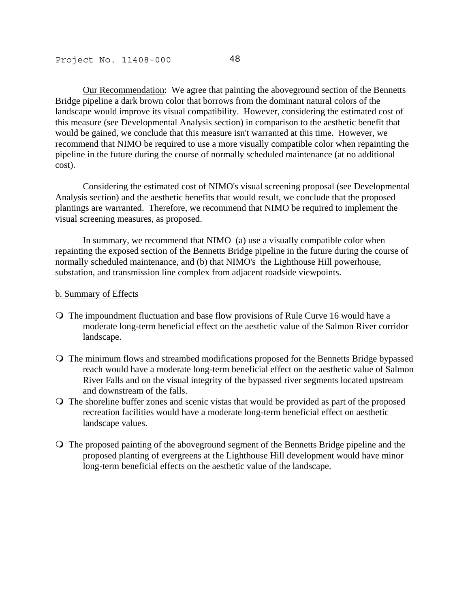Our Recommendation: We agree that painting the aboveground section of the Bennetts Bridge pipeline a dark brown color that borrows from the dominant natural colors of the landscape would improve its visual compatibility. However, considering the estimated cost of this measure (see Developmental Analysis section) in comparison to the aesthetic benefit that would be gained, we conclude that this measure isn't warranted at this time. However, we recommend that NIMO be required to use a more visually compatible color when repainting the pipeline in the future during the course of normally scheduled maintenance (at no additional cost).

 Considering the estimated cost of NIMO's visual screening proposal (see Developmental Analysis section) and the aesthetic benefits that would result, we conclude that the proposed plantings are warranted. Therefore, we recommend that NIMO be required to implement the visual screening measures, as proposed.

 In summary, we recommend that NIMO (a) use a visually compatible color when repainting the exposed section of the Bennetts Bridge pipeline in the future during the course of normally scheduled maintenance, and (b) that NIMO's the Lighthouse Hill powerhouse, substation, and transmission line complex from adjacent roadside viewpoints.

#### b. Summary of Effects

- The impoundment fluctuation and base flow provisions of Rule Curve 16 would have a moderate long-term beneficial effect on the aesthetic value of the Salmon River corridor landscape.
- The minimum flows and streambed modifications proposed for the Bennetts Bridge bypassed reach would have a moderate long-term beneficial effect on the aesthetic value of Salmon River Falls and on the visual integrity of the bypassed river segments located upstream and downstream of the falls.
- The shoreline buffer zones and scenic vistas that would be provided as part of the proposed recreation facilities would have a moderate long-term beneficial effect on aesthetic landscape values.
- The proposed painting of the aboveground segment of the Bennetts Bridge pipeline and the proposed planting of evergreens at the Lighthouse Hill development would have minor long-term beneficial effects on the aesthetic value of the landscape.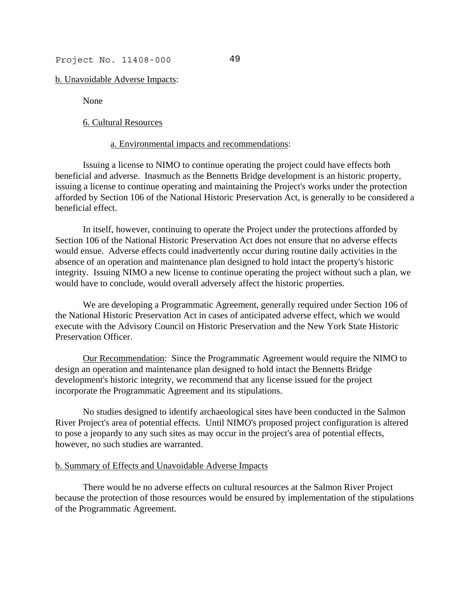b. Unavoidable Adverse Impacts:

None

#### 6. Cultural Resources

#### a. Environmental impacts and recommendations:

 Issuing a license to NIMO to continue operating the project could have effects both beneficial and adverse. Inasmuch as the Bennetts Bridge development is an historic property, issuing a license to continue operating and maintaining the Project's works under the protection afforded by Section 106 of the National Historic Preservation Act, is generally to be considered a beneficial effect.

 In itself, however, continuing to operate the Project under the protections afforded by Section 106 of the National Historic Preservation Act does not ensure that no adverse effects would ensue. Adverse effects could inadvertently occur during routine daily activities in the absence of an operation and maintenance plan designed to hold intact the property's historic integrity. Issuing NIMO a new license to continue operating the project without such a plan, we would have to conclude, would overall adversely affect the historic properties.

 We are developing a Programmatic Agreement, generally required under Section 106 of the National Historic Preservation Act in cases of anticipated adverse effect, which we would execute with the Advisory Council on Historic Preservation and the New York State Historic Preservation Officer.

Our Recommendation: Since the Programmatic Agreement would require the NIMO to design an operation and maintenance plan designed to hold intact the Bennetts Bridge development's historic integrity, we recommend that any license issued for the project incorporate the Programmatic Agreement and its stipulations.

 No studies designed to identify archaeological sites have been conducted in the Salmon River Project's area of potential effects. Until NIMO's proposed project configuration is altered to pose a jeopardy to any such sites as may occur in the project's area of potential effects, however, no such studies are warranted.

### b. Summary of Effects and Unavoidable Adverse Impacts

 There would be no adverse effects on cultural resources at the Salmon River Project because the protection of those resources would be ensured by implementation of the stipulations of the Programmatic Agreement.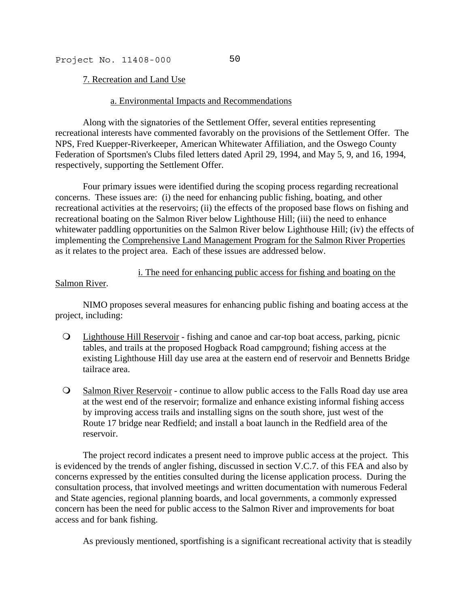7. Recreation and Land Use

### a. Environmental Impacts and Recommendations

 Along with the signatories of the Settlement Offer, several entities representing recreational interests have commented favorably on the provisions of the Settlement Offer. The NPS, Fred Kuepper-Riverkeeper, American Whitewater Affiliation, and the Oswego County Federation of Sportsmen's Clubs filed letters dated April 29, 1994, and May 5, 9, and 16, 1994, respectively, supporting the Settlement Offer.

 Four primary issues were identified during the scoping process regarding recreational concerns. These issues are: (i) the need for enhancing public fishing, boating, and other recreational activities at the reservoirs; (ii) the effects of the proposed base flows on fishing and recreational boating on the Salmon River below Lighthouse Hill; (iii) the need to enhance whitewater paddling opportunities on the Salmon River below Lighthouse Hill; (iv) the effects of implementing the Comprehensive Land Management Program for the Salmon River Properties as it relates to the project area. Each of these issues are addressed below.

## i. The need for enhancing public access for fishing and boating on the

## Salmon River.

 NIMO proposes several measures for enhancing public fishing and boating access at the project, including:

- Lighthouse Hill Reservoir fishing and canoe and car-top boat access, parking, picnic tables, and trails at the proposed Hogback Road campground; fishing access at the existing Lighthouse Hill day use area at the eastern end of reservoir and Bennetts Bridge tailrace area.
- Salmon River Reservoir continue to allow public access to the Falls Road day use area at the west end of the reservoir; formalize and enhance existing informal fishing access by improving access trails and installing signs on the south shore, just west of the Route 17 bridge near Redfield; and install a boat launch in the Redfield area of the reservoir.

 The project record indicates a present need to improve public access at the project. This is evidenced by the trends of angler fishing, discussed in section V.C.7. of this FEA and also by concerns expressed by the entities consulted during the license application process. During the consultation process, that involved meetings and written documentation with numerous Federal and State agencies, regional planning boards, and local governments, a commonly expressed concern has been the need for public access to the Salmon River and improvements for boat access and for bank fishing.

As previously mentioned, sportfishing is a significant recreational activity that is steadily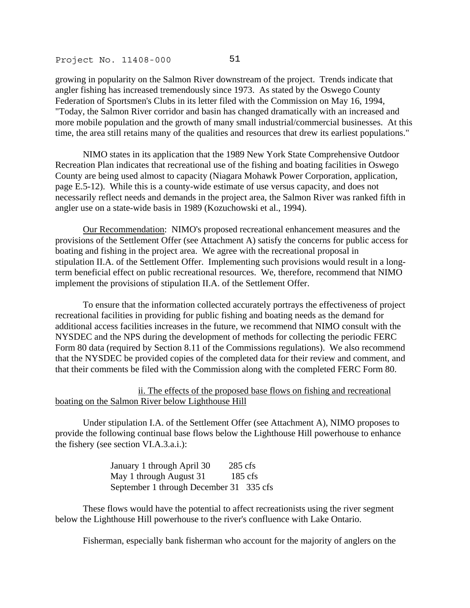growing in popularity on the Salmon River downstream of the project. Trends indicate that angler fishing has increased tremendously since 1973. As stated by the Oswego County Federation of Sportsmen's Clubs in its letter filed with the Commission on May 16, 1994, "Today, the Salmon River corridor and basin has changed dramatically with an increased and more mobile population and the growth of many small industrial/commercial businesses. At this time, the area still retains many of the qualities and resources that drew its earliest populations."

 NIMO states in its application that the 1989 New York State Comprehensive Outdoor Recreation Plan indicates that recreational use of the fishing and boating facilities in Oswego County are being used almost to capacity (Niagara Mohawk Power Corporation, application, page E.5-12). While this is a county-wide estimate of use versus capacity, and does not necessarily reflect needs and demands in the project area, the Salmon River was ranked fifth in angler use on a state-wide basis in 1989 (Kozuchowski et al., 1994).

Our Recommendation: NIMO's proposed recreational enhancement measures and the provisions of the Settlement Offer (see Attachment A) satisfy the concerns for public access for boating and fishing in the project area. We agree with the recreational proposal in stipulation II.A. of the Settlement Offer. Implementing such provisions would result in a longterm beneficial effect on public recreational resources. We, therefore, recommend that NIMO implement the provisions of stipulation II.A. of the Settlement Offer.

 To ensure that the information collected accurately portrays the effectiveness of project recreational facilities in providing for public fishing and boating needs as the demand for additional access facilities increases in the future, we recommend that NIMO consult with the NYSDEC and the NPS during the development of methods for collecting the periodic FERC Form 80 data (required by Section 8.11 of the Commissions regulations). We also recommend that the NYSDEC be provided copies of the completed data for their review and comment, and that their comments be filed with the Commission along with the completed FERC Form 80.

 ii. The effects of the proposed base flows on fishing and recreational boating on the Salmon River below Lighthouse Hill

 Under stipulation I.A. of the Settlement Offer (see Attachment A), NIMO proposes to provide the following continual base flows below the Lighthouse Hill powerhouse to enhance the fishery (see section VI.A.3.a.i.):

> January 1 through April 30 285 cfs May 1 through August 31 185 cfs September 1 through December 31 335 cfs

 These flows would have the potential to affect recreationists using the river segment below the Lighthouse Hill powerhouse to the river's confluence with Lake Ontario.

Fisherman, especially bank fisherman who account for the majority of anglers on the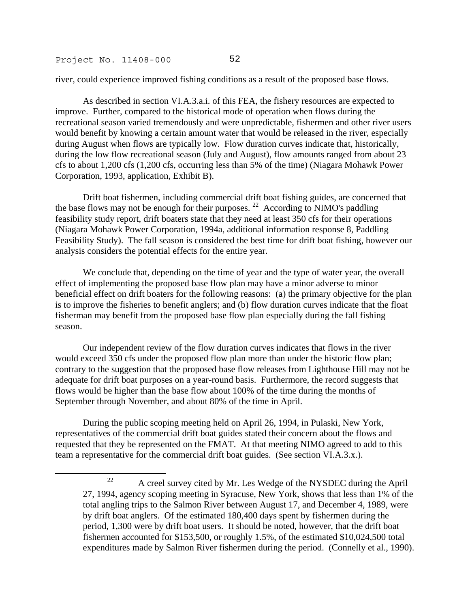.

river, could experience improved fishing conditions as a result of the proposed base flows.

 As described in section VI.A.3.a.i. of this FEA, the fishery resources are expected to improve. Further, compared to the historical mode of operation when flows during the recreational season varied tremendously and were unpredictable, fishermen and other river users would benefit by knowing a certain amount water that would be released in the river, especially during August when flows are typically low. Flow duration curves indicate that, historically, during the low flow recreational season (July and August), flow amounts ranged from about 23 cfs to about 1,200 cfs (1,200 cfs, occurring less than 5% of the time) (Niagara Mohawk Power Corporation, 1993, application, Exhibit B).

 Drift boat fishermen, including commercial drift boat fishing guides, are concerned that the base flows may not be enough for their purposes. <sup>22</sup> According to NIMO's paddling feasibility study report, drift boaters state that they need at least 350 cfs for their operations (Niagara Mohawk Power Corporation, 1994a, additional information response 8, Paddling Feasibility Study). The fall season is considered the best time for drift boat fishing, however our analysis considers the potential effects for the entire year.

 We conclude that, depending on the time of year and the type of water year, the overall effect of implementing the proposed base flow plan may have a minor adverse to minor beneficial effect on drift boaters for the following reasons: (a) the primary objective for the plan is to improve the fisheries to benefit anglers; and (b) flow duration curves indicate that the float fisherman may benefit from the proposed base flow plan especially during the fall fishing season.

 Our independent review of the flow duration curves indicates that flows in the river would exceed 350 cfs under the proposed flow plan more than under the historic flow plan; contrary to the suggestion that the proposed base flow releases from Lighthouse Hill may not be adequate for drift boat purposes on a year-round basis. Furthermore, the record suggests that flows would be higher than the base flow about 100% of the time during the months of September through November, and about 80% of the time in April.

 During the public scoping meeting held on April 26, 1994, in Pulaski, New York, representatives of the commercial drift boat guides stated their concern about the flows and requested that they be represented on the FMAT. At that meeting NIMO agreed to add to this team a representative for the commercial drift boat guides. (See section VI.A.3.x.).

<span id="page-78-0"></span> $22$  A creel survey cited by Mr. Les Wedge of the NYSDEC during the April 27, 1994, agency scoping meeting in Syracuse, New York, shows that less than 1% of the total angling trips to the Salmon River between August 17, and December 4, 1989, were by drift boat anglers. Of the estimated 180,400 days spent by fishermen during the period, 1,300 were by drift boat users. It should be noted, however, that the drift boat fishermen accounted for \$153,500, or roughly 1.5%, of the estimated \$10,024,500 total expenditures made by Salmon River fishermen during the period. (Connelly et al., 1990).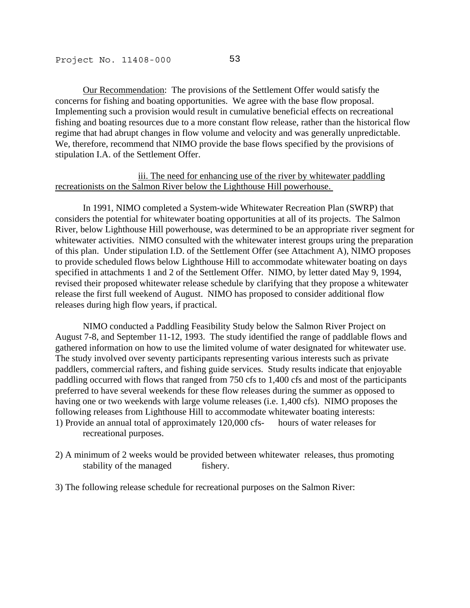Our Recommendation: The provisions of the Settlement Offer would satisfy the concerns for fishing and boating opportunities. We agree with the base flow proposal. Implementing such a provision would result in cumulative beneficial effects on recreational fishing and boating resources due to a more constant flow release, rather than the historical flow regime that had abrupt changes in flow volume and velocity and was generally unpredictable. We, therefore, recommend that NIMO provide the base flows specified by the provisions of stipulation I.A. of the Settlement Offer.

## iii. The need for enhancing use of the river by whitewater paddling recreationists on the Salmon River below the Lighthouse Hill powerhouse.

 In 1991, NIMO completed a System-wide Whitewater Recreation Plan (SWRP) that considers the potential for whitewater boating opportunities at all of its projects. The Salmon River, below Lighthouse Hill powerhouse, was determined to be an appropriate river segment for whitewater activities. NIMO consulted with the whitewater interest groups uring the preparation of this plan. Under stipulation I.D. of the Settlement Offer (see Attachment A), NIMO proposes to provide scheduled flows below Lighthouse Hill to accommodate whitewater boating on days specified in attachments 1 and 2 of the Settlement Offer. NIMO, by letter dated May 9, 1994, revised their proposed whitewater release schedule by clarifying that they propose a whitewater release the first full weekend of August. NIMO has proposed to consider additional flow releases during high flow years, if practical.

 NIMO conducted a Paddling Feasibility Study below the Salmon River Project on August 7-8, and September 11-12, 1993. The study identified the range of paddlable flows and gathered information on how to use the limited volume of water designated for whitewater use. The study involved over seventy participants representing various interests such as private paddlers, commercial rafters, and fishing guide services. Study results indicate that enjoyable paddling occurred with flows that ranged from 750 cfs to 1,400 cfs and most of the participants preferred to have several weekends for these flow releases during the summer as opposed to having one or two weekends with large volume releases (i.e. 1,400 cfs). NIMO proposes the following releases from Lighthouse Hill to accommodate whitewater boating interests: 1) Provide an annual total of approximately 120,000 cfs- hours of water releases for recreational purposes.

- 2) A minimum of 2 weeks would be provided between whitewater releases, thus promoting stability of the managed fishery.
- 3) The following release schedule for recreational purposes on the Salmon River: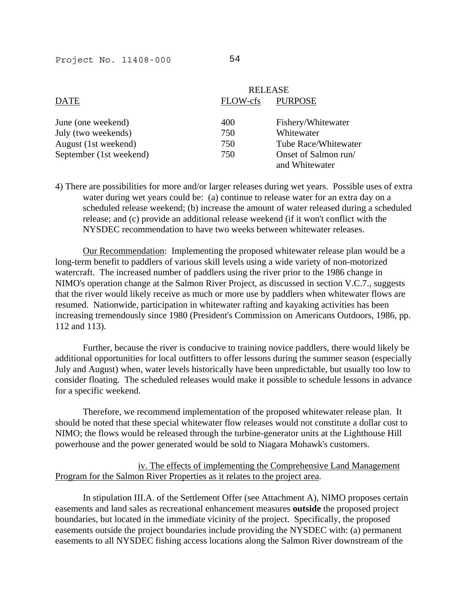| <b>RELEASE</b> |                                        |
|----------------|----------------------------------------|
| FLOW-cfs       | <b>PURPOSE</b>                         |
| 400            | Fishery/Whitewater                     |
| 750            | Whitewater                             |
| 750            | Tube Race/Whitewater                   |
| 750            | Onset of Salmon run/<br>and Whitewater |
|                |                                        |

4) There are possibilities for more and/or larger releases during wet years. Possible uses of extra water during wet years could be: (a) continue to release water for an extra day on a scheduled release weekend; (b) increase the amount of water released during a scheduled release; and (c) provide an additional release weekend (if it won't conflict with the NYSDEC recommendation to have two weeks between whitewater releases.

Our Recommendation: Implementing the proposed whitewater release plan would be a long-term benefit to paddlers of various skill levels using a wide variety of non-motorized watercraft. The increased number of paddlers using the river prior to the 1986 change in NIMO's operation change at the Salmon River Project, as discussed in section V.C.7., suggests that the river would likely receive as much or more use by paddlers when whitewater flows are resumed. Nationwide, participation in whitewater rafting and kayaking activities has been increasing tremendously since 1980 (President's Commission on Americans Outdoors, 1986, pp. 112 and 113).

 Further, because the river is conducive to training novice paddlers, there would likely be additional opportunities for local outfitters to offer lessons during the summer season (especially July and August) when, water levels historically have been unpredictable, but usually too low to consider floating. The scheduled releases would make it possible to schedule lessons in advance for a specific weekend.

 Therefore, we recommend implementation of the proposed whitewater release plan. It should be noted that these special whitewater flow releases would not constitute a dollar cost to NIMO; the flows would be released through the turbine-generator units at the Lighthouse Hill powerhouse and the power generated would be sold to Niagara Mohawk's customers.

# iv. The effects of implementing the Comprehensive Land Management Program for the Salmon River Properties as it relates to the project area.

 In stipulation III.A. of the Settlement Offer (see Attachment A), NIMO proposes certain easements and land sales as recreational enhancement measures **outside** the proposed project boundaries, but located in the immediate vicinity of the project. Specifically, the proposed easements outside the project boundaries include providing the NYSDEC with: (a) permanent easements to all NYSDEC fishing access locations along the Salmon River downstream of the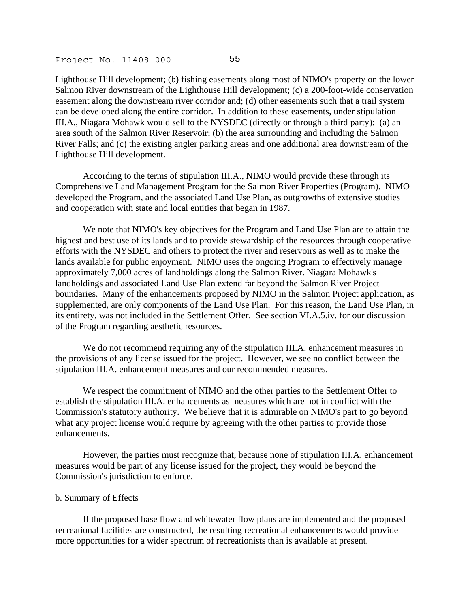Lighthouse Hill development; (b) fishing easements along most of NIMO's property on the lower Salmon River downstream of the Lighthouse Hill development; (c) a 200-foot-wide conservation easement along the downstream river corridor and; (d) other easements such that a trail system can be developed along the entire corridor. In addition to these easements, under stipulation III.A., Niagara Mohawk would sell to the NYSDEC (directly or through a third party): (a) an area south of the Salmon River Reservoir; (b) the area surrounding and including the Salmon River Falls; and (c) the existing angler parking areas and one additional area downstream of the Lighthouse Hill development.

 According to the terms of stipulation III.A., NIMO would provide these through its Comprehensive Land Management Program for the Salmon River Properties (Program). NIMO developed the Program, and the associated Land Use Plan, as outgrowths of extensive studies and cooperation with state and local entities that began in 1987.

 We note that NIMO's key objectives for the Program and Land Use Plan are to attain the highest and best use of its lands and to provide stewardship of the resources through cooperative efforts with the NYSDEC and others to protect the river and reservoirs as well as to make the lands available for public enjoyment. NIMO uses the ongoing Program to effectively manage approximately 7,000 acres of landholdings along the Salmon River. Niagara Mohawk's landholdings and associated Land Use Plan extend far beyond the Salmon River Project boundaries. Many of the enhancements proposed by NIMO in the Salmon Project application, as supplemented, are only components of the Land Use Plan. For this reason, the Land Use Plan, in its entirety, was not included in the Settlement Offer. See section VI.A.5.iv. for our discussion of the Program regarding aesthetic resources.

 We do not recommend requiring any of the stipulation III.A. enhancement measures in the provisions of any license issued for the project. However, we see no conflict between the stipulation III.A. enhancement measures and our recommended measures.

 We respect the commitment of NIMO and the other parties to the Settlement Offer to establish the stipulation III.A. enhancements as measures which are not in conflict with the Commission's statutory authority. We believe that it is admirable on NIMO's part to go beyond what any project license would require by agreeing with the other parties to provide those enhancements.

 However, the parties must recognize that, because none of stipulation III.A. enhancement measures would be part of any license issued for the project, they would be beyond the Commission's jurisdiction to enforce.

### b. Summary of Effects

 If the proposed base flow and whitewater flow plans are implemented and the proposed recreational facilities are constructed, the resulting recreational enhancements would provide more opportunities for a wider spectrum of recreationists than is available at present.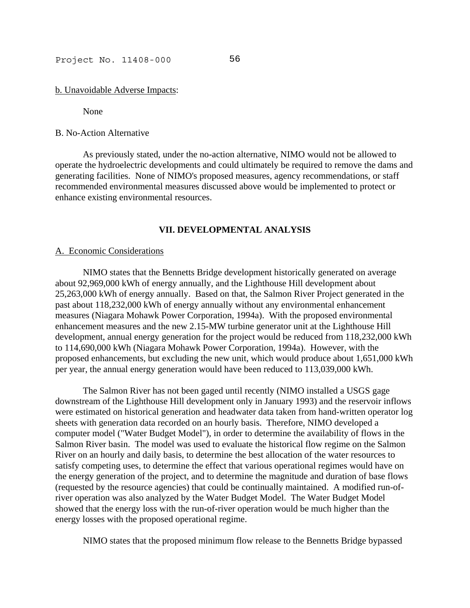b. Unavoidable Adverse Impacts:

None

### B. No-Action Alternative

 As previously stated, under the no-action alternative, NIMO would not be allowed to operate the hydroelectric developments and could ultimately be required to remove the dams and generating facilities. None of NIMO's proposed measures, agency recommendations, or staff recommended environmental measures discussed above would be implemented to protect or enhance existing environmental resources.

## **VII. DEVELOPMENTAL ANALYSIS**

#### A. Economic Considerations

 NIMO states that the Bennetts Bridge development historically generated on average about 92,969,000 kWh of energy annually, and the Lighthouse Hill development about 25,263,000 kWh of energy annually. Based on that, the Salmon River Project generated in the past about 118,232,000 kWh of energy annually without any environmental enhancement measures (Niagara Mohawk Power Corporation, 1994a). With the proposed environmental enhancement measures and the new 2.15-MW turbine generator unit at the Lighthouse Hill development, annual energy generation for the project would be reduced from 118,232,000 kWh to 114,690,000 kWh (Niagara Mohawk Power Corporation, 1994a). However, with the proposed enhancements, but excluding the new unit, which would produce about 1,651,000 kWh per year, the annual energy generation would have been reduced to 113,039,000 kWh.

 The Salmon River has not been gaged until recently (NIMO installed a USGS gage downstream of the Lighthouse Hill development only in January 1993) and the reservoir inflows were estimated on historical generation and headwater data taken from hand-written operator log sheets with generation data recorded on an hourly basis. Therefore, NIMO developed a computer model ("Water Budget Model"), in order to determine the availability of flows in the Salmon River basin. The model was used to evaluate the historical flow regime on the Salmon River on an hourly and daily basis, to determine the best allocation of the water resources to satisfy competing uses, to determine the effect that various operational regimes would have on the energy generation of the project, and to determine the magnitude and duration of base flows (requested by the resource agencies) that could be continually maintained. A modified run-ofriver operation was also analyzed by the Water Budget Model. The Water Budget Model showed that the energy loss with the run-of-river operation would be much higher than the energy losses with the proposed operational regime.

NIMO states that the proposed minimum flow release to the Bennetts Bridge bypassed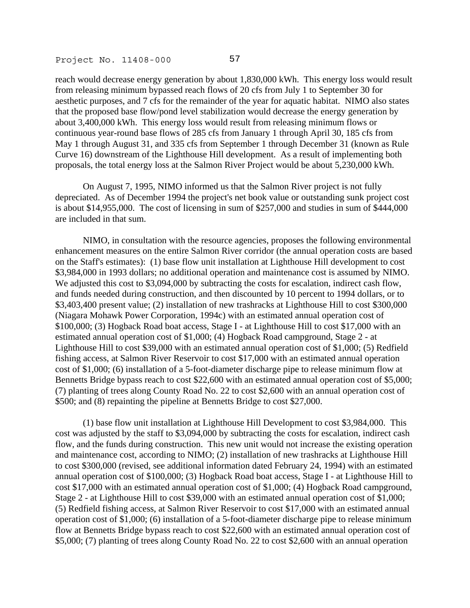reach would decrease energy generation by about 1,830,000 kWh. This energy loss would result from releasing minimum bypassed reach flows of 20 cfs from July 1 to September 30 for aesthetic purposes, and 7 cfs for the remainder of the year for aquatic habitat. NIMO also states that the proposed base flow/pond level stabilization would decrease the energy generation by about 3,400,000 kWh. This energy loss would result from releasing minimum flows or continuous year-round base flows of 285 cfs from January 1 through April 30, 185 cfs from May 1 through August 31, and 335 cfs from September 1 through December 31 (known as Rule Curve 16) downstream of the Lighthouse Hill development. As a result of implementing both proposals, the total energy loss at the Salmon River Project would be about 5,230,000 kWh.

 On August 7, 1995, NIMO informed us that the Salmon River project is not fully depreciated. As of December 1994 the project's net book value or outstanding sunk project cost is about \$14,955,000. The cost of licensing in sum of \$257,000 and studies in sum of \$444,000 are included in that sum.

 NIMO, in consultation with the resource agencies, proposes the following environmental enhancement measures on the entire Salmon River corridor (the annual operation costs are based on the Staff's estimates): (1) base flow unit installation at Lighthouse Hill development to cost \$3,984,000 in 1993 dollars; no additional operation and maintenance cost is assumed by NIMO. We adjusted this cost to \$3,094,000 by subtracting the costs for escalation, indirect cash flow, and funds needed during construction, and then discounted by 10 percent to 1994 dollars, or to \$3,403,400 present value; (2) installation of new trashracks at Lighthouse Hill to cost \$300,000 (Niagara Mohawk Power Corporation, 1994c) with an estimated annual operation cost of \$100,000; (3) Hogback Road boat access, Stage I - at Lighthouse Hill to cost \$17,000 with an estimated annual operation cost of \$1,000; (4) Hogback Road campground, Stage 2 - at Lighthouse Hill to cost \$39,000 with an estimated annual operation cost of \$1,000; (5) Redfield fishing access, at Salmon River Reservoir to cost \$17,000 with an estimated annual operation cost of \$1,000; (6) installation of a 5-foot-diameter discharge pipe to release minimum flow at Bennetts Bridge bypass reach to cost \$22,600 with an estimated annual operation cost of \$5,000; (7) planting of trees along County Road No. 22 to cost \$2,600 with an annual operation cost of \$500; and (8) repainting the pipeline at Bennetts Bridge to cost \$27,000.

 (1) base flow unit installation at Lighthouse Hill Development to cost \$3,984,000. This cost was adjusted by the staff to \$3,094,000 by subtracting the costs for escalation, indirect cash flow, and the funds during construction. This new unit would not increase the existing operation and maintenance cost, according to NIMO; (2) installation of new trashracks at Lighthouse Hill to cost \$300,000 (revised, see additional information dated February 24, 1994) with an estimated annual operation cost of \$100,000; (3) Hogback Road boat access, Stage I - at Lighthouse Hill to cost \$17,000 with an estimated annual operation cost of \$1,000; (4) Hogback Road campground, Stage 2 - at Lighthouse Hill to cost \$39,000 with an estimated annual operation cost of \$1,000; (5) Redfield fishing access, at Salmon River Reservoir to cost \$17,000 with an estimated annual operation cost of \$1,000; (6) installation of a 5-foot-diameter discharge pipe to release minimum flow at Bennetts Bridge bypass reach to cost \$22,600 with an estimated annual operation cost of \$5,000; (7) planting of trees along County Road No. 22 to cost \$2,600 with an annual operation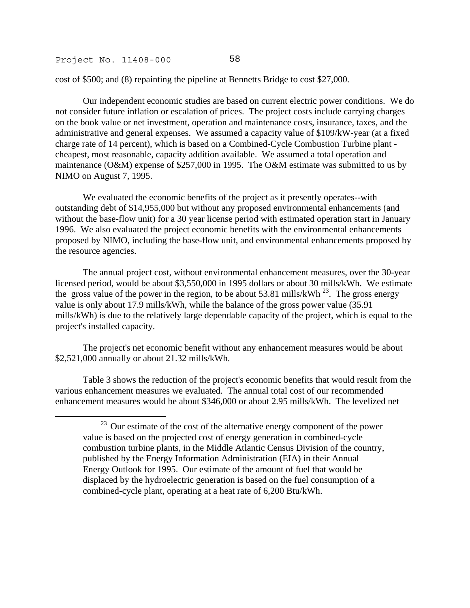j

cost of \$500; and (8) repainting the pipeline at Bennetts Bridge to cost \$27,000.

 Our independent economic studies are based on current electric power conditions. We do not consider future inflation or escalation of prices. The project costs include carrying charges on the book value or net investment, operation and maintenance costs, insurance, taxes, and the administrative and general expenses. We assumed a capacity value of \$109/kW-year (at a fixed charge rate of 14 percent), which is based on a Combined-Cycle Combustion Turbine plant cheapest, most reasonable, capacity addition available. We assumed a total operation and maintenance (O&M) expense of \$257,000 in 1995. The O&M estimate was submitted to us by NIMO on August 7, 1995.

 We evaluated the economic benefits of the project as it presently operates--with outstanding debt of \$14,955,000 but without any proposed environmental enhancements (and without the base-flow unit) for a 30 year license period with estimated operation start in January 1996. We also evaluated the project economic benefits with the environmental enhancements proposed by NIMO, including the base-flow unit, and environmental enhancements proposed by the resource agencies.

 The annual project cost, without environmental enhancement measures, over the 30-year licensed period, would be about \$3,550,000 in 1995 dollars or about 30 mills/kWh. We estimate the gross value of the power in the region, to be about 53.81 mills/kWh  $^{23}$ . The gross energy value is only about 17.9 mills/kWh, while the balance of the gross power value (35.91 mills/kWh) is due to the relatively large dependable capacity of the project, which is equal to the project's installed capacity.

 The project's net economic benefit without any enhancement measures would be about \$2,521,000 annually or about 21.32 mills/kWh.

 Table 3 shows the reduction of the project's economic benefits that would result from the various enhancement measures we evaluated. The annual total cost of our recommended enhancement measures would be about \$346,000 or about 2.95 mills/kWh. The levelized net

<span id="page-84-0"></span><sup>&</sup>lt;sup>23</sup> Our estimate of the cost of the alternative energy component of the power value is based on the projected cost of energy generation in combined-cycle combustion turbine plants, in the Middle Atlantic Census Division of the country, published by the Energy Information Administration (EIA) in their Annual Energy Outlook for 1995. Our estimate of the amount of fuel that would be displaced by the hydroelectric generation is based on the fuel consumption of a combined-cycle plant, operating at a heat rate of 6,200 Btu/kWh.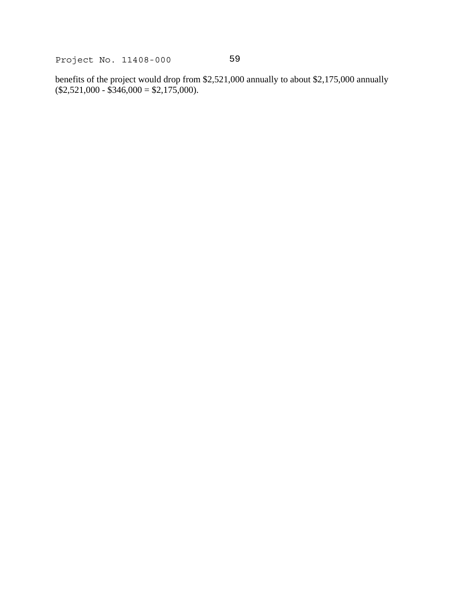benefits of the project would drop from \$2,521,000 annually to about \$2,175,000 annually  $($2,521,000 - $346,000 = $2,175,000).$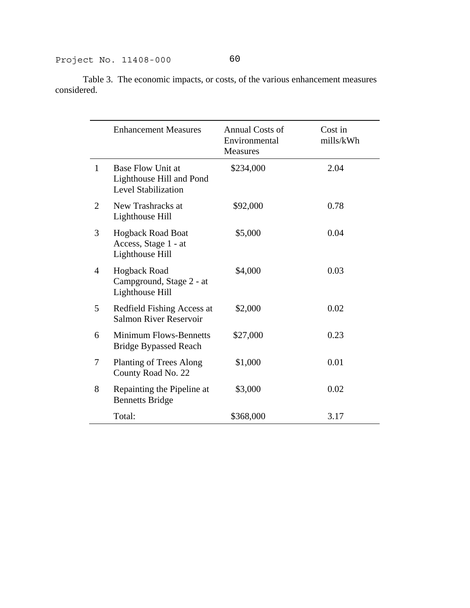Table 3. The economic impacts, or costs, of the various enhancement measures considered.

|   | <b>Enhancement Measures</b>                                                        | Annual Costs of<br>Environmental<br><b>Measures</b> | Cost in<br>mills/kWh |
|---|------------------------------------------------------------------------------------|-----------------------------------------------------|----------------------|
| 1 | <b>Base Flow Unit at</b><br>Lighthouse Hill and Pond<br><b>Level Stabilization</b> | \$234,000                                           | 2.04                 |
| 2 | New Trashracks at<br>Lighthouse Hill                                               | \$92,000                                            | 0.78                 |
| 3 | <b>Hogback Road Boat</b><br>Access, Stage 1 - at<br>Lighthouse Hill                | \$5,000                                             | 0.04                 |
| 4 | <b>Hogback Road</b><br>Campground, Stage 2 - at<br>Lighthouse Hill                 | \$4,000                                             | 0.03                 |
| 5 | Redfield Fishing Access at<br>Salmon River Reservoir                               | \$2,000                                             | 0.02                 |
| 6 | <b>Minimum Flows-Bennetts</b><br><b>Bridge Bypassed Reach</b>                      | \$27,000                                            | 0.23                 |
| 7 | <b>Planting of Trees Along</b><br>County Road No. 22                               | \$1,000                                             | 0.01                 |
| 8 | Repainting the Pipeline at<br><b>Bennetts Bridge</b>                               | \$3,000                                             | 0.02                 |
|   | Total:                                                                             | \$368,000                                           | 3.17                 |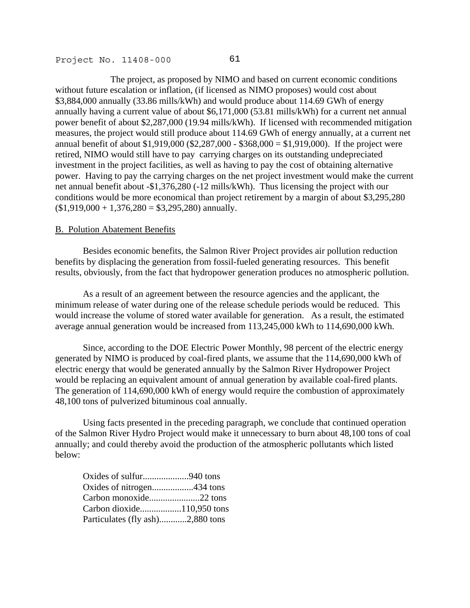The project, as proposed by NIMO and based on current economic conditions without future escalation or inflation, (if licensed as NIMO proposes) would cost about \$3,884,000 annually (33.86 mills/kWh) and would produce about 114.69 GWh of energy annually having a current value of about \$6,171,000 (53.81 mills/kWh) for a current net annual power benefit of about \$2,287,000 (19.94 mills/kWh). If licensed with recommended mitigation measures, the project would still produce about 114.69 GWh of energy annually, at a current net annual benefit of about \$1,919,000 (\$2,287,000 - \$368,000 = \$1,919,000). If the project were retired, NIMO would still have to pay carrying charges on its outstanding undepreciated investment in the project facilities, as well as having to pay the cost of obtaining alternative power. Having to pay the carrying charges on the net project investment would make the current net annual benefit about -\$1,376,280 (-12 mills/kWh). Thus licensing the project with our conditions would be more economical than project retirement by a margin of about \$3,295,280  $($1,919,000 + 1,376,280 = $3,295,280)$  annually.

#### B. Polution Abatement Benefits

 Besides economic benefits, the Salmon River Project provides air pollution reduction benefits by displacing the generation from fossil-fueled generating resources. This benefit results, obviously, from the fact that hydropower generation produces no atmospheric pollution.

 As a result of an agreement between the resource agencies and the applicant, the minimum release of water during one of the release schedule periods would be reduced. This would increase the volume of stored water available for generation. As a result, the estimated average annual generation would be increased from 113,245,000 kWh to 114,690,000 kWh.

 Since, according to the DOE Electric Power Monthly, 98 percent of the electric energy generated by NIMO is produced by coal-fired plants, we assume that the 114,690,000 kWh of electric energy that would be generated annually by the Salmon River Hydropower Project would be replacing an equivalent amount of annual generation by available coal-fired plants. The generation of 114,690,000 kWh of energy would require the combustion of approximately 48,100 tons of pulverized bituminous coal annually.

 Using facts presented in the preceding paragraph, we conclude that continued operation of the Salmon River Hydro Project would make it unnecessary to burn about 48,100 tons of coal annually; and could thereby avoid the production of the atmospheric pollutants which listed below:

| Oxides of sulfur940 tons         |  |
|----------------------------------|--|
|                                  |  |
|                                  |  |
|                                  |  |
| Particulates (fly ash)2,880 tons |  |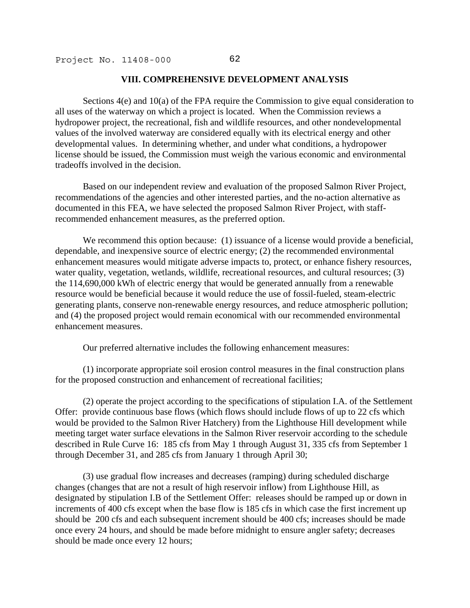### **VIII. COMPREHENSIVE DEVELOPMENT ANALYSIS**

 Sections 4(e) and 10(a) of the FPA require the Commission to give equal consideration to all uses of the waterway on which a project is located. When the Commission reviews a hydropower project, the recreational, fish and wildlife resources, and other nondevelopmental values of the involved waterway are considered equally with its electrical energy and other developmental values. In determining whether, and under what conditions, a hydropower license should be issued, the Commission must weigh the various economic and environmental tradeoffs involved in the decision.

 Based on our independent review and evaluation of the proposed Salmon River Project, recommendations of the agencies and other interested parties, and the no-action alternative as documented in this FEA, we have selected the proposed Salmon River Project, with staffrecommended enhancement measures, as the preferred option.

We recommend this option because: (1) issuance of a license would provide a beneficial, dependable, and inexpensive source of electric energy; (2) the recommended environmental enhancement measures would mitigate adverse impacts to, protect, or enhance fishery resources, water quality, vegetation, wetlands, wildlife, recreational resources, and cultural resources; (3) the 114,690,000 kWh of electric energy that would be generated annually from a renewable resource would be beneficial because it would reduce the use of fossil-fueled, steam-electric generating plants, conserve non-renewable energy resources, and reduce atmospheric pollution; and (4) the proposed project would remain economical with our recommended environmental enhancement measures.

Our preferred alternative includes the following enhancement measures:

 (1) incorporate appropriate soil erosion control measures in the final construction plans for the proposed construction and enhancement of recreational facilities;

 (2) operate the project according to the specifications of stipulation I.A. of the Settlement Offer: provide continuous base flows (which flows should include flows of up to 22 cfs which would be provided to the Salmon River Hatchery) from the Lighthouse Hill development while meeting target water surface elevations in the Salmon River reservoir according to the schedule described in Rule Curve 16: 185 cfs from May 1 through August 31, 335 cfs from September 1 through December 31, and 285 cfs from January 1 through April 30;

 (3) use gradual flow increases and decreases (ramping) during scheduled discharge changes (changes that are not a result of high reservoir inflow) from Lighthouse Hill, as designated by stipulation I.B of the Settlement Offer: releases should be ramped up or down in increments of 400 cfs except when the base flow is 185 cfs in which case the first increment up should be 200 cfs and each subsequent increment should be 400 cfs; increases should be made once every 24 hours, and should be made before midnight to ensure angler safety; decreases should be made once every 12 hours;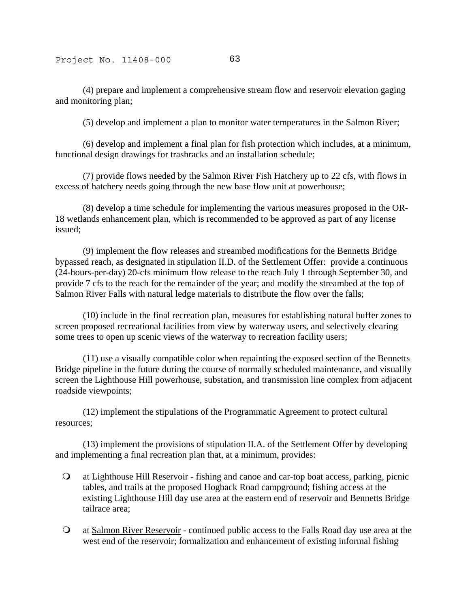(4) prepare and implement a comprehensive stream flow and reservoir elevation gaging and monitoring plan;

(5) develop and implement a plan to monitor water temperatures in the Salmon River;

 (6) develop and implement a final plan for fish protection which includes, at a minimum, functional design drawings for trashracks and an installation schedule;

 (7) provide flows needed by the Salmon River Fish Hatchery up to 22 cfs, with flows in excess of hatchery needs going through the new base flow unit at powerhouse;

 (8) develop a time schedule for implementing the various measures proposed in the OR-18 wetlands enhancement plan, which is recommended to be approved as part of any license issued;

 (9) implement the flow releases and streambed modifications for the Bennetts Bridge bypassed reach, as designated in stipulation II.D. of the Settlement Offer: provide a continuous (24-hours-per-day) 20-cfs minimum flow release to the reach July 1 through September 30, and provide 7 cfs to the reach for the remainder of the year; and modify the streambed at the top of Salmon River Falls with natural ledge materials to distribute the flow over the falls;

 (10) include in the final recreation plan, measures for establishing natural buffer zones to screen proposed recreational facilities from view by waterway users, and selectively clearing some trees to open up scenic views of the waterway to recreation facility users;

 (11) use a visually compatible color when repainting the exposed section of the Bennetts Bridge pipeline in the future during the course of normally scheduled maintenance, and visuallly screen the Lighthouse Hill powerhouse, substation, and transmission line complex from adjacent roadside viewpoints;

 (12) implement the stipulations of the Programmatic Agreement to protect cultural resources;

 (13) implement the provisions of stipulation II.A. of the Settlement Offer by developing and implementing a final recreation plan that, at a minimum, provides:

- at Lighthouse Hill Reservoir fishing and canoe and car-top boat access, parking, picnic tables, and trails at the proposed Hogback Road campground; fishing access at the existing Lighthouse Hill day use area at the eastern end of reservoir and Bennetts Bridge tailrace area;
- at Salmon River Reservoir continued public access to the Falls Road day use area at the west end of the reservoir; formalization and enhancement of existing informal fishing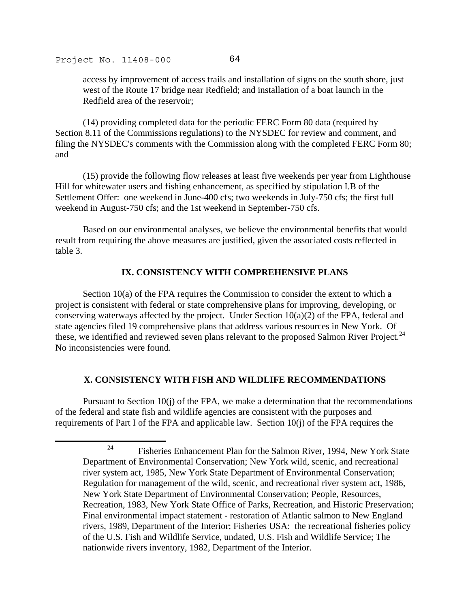.

access by improvement of access trails and installation of signs on the south shore, just west of the Route 17 bridge near Redfield; and installation of a boat launch in the Redfield area of the reservoir;

 (14) providing completed data for the periodic FERC Form 80 data (required by Section 8.11 of the Commissions regulations) to the NYSDEC for review and comment, and filing the NYSDEC's comments with the Commission along with the completed FERC Form 80; and

 (15) provide the following flow releases at least five weekends per year from Lighthouse Hill for whitewater users and fishing enhancement, as specified by stipulation I.B of the Settlement Offer: one weekend in June-400 cfs; two weekends in July-750 cfs; the first full weekend in August-750 cfs; and the 1st weekend in September-750 cfs.

 Based on our environmental analyses, we believe the environmental benefits that would result from requiring the above measures are justified, given the associated costs reflected in table 3.

# **IX. CONSISTENCY WITH COMPREHENSIVE PLANS**

 Section 10(a) of the FPA requires the Commission to consider the extent to which a project is consistent with federal or state comprehensive plans for improving, developing, or conserving waterways affected by the project. Under Section  $10(a)(2)$  of the FPA, federal and state agencies filed 19 comprehensive plans that address various resources in New York. Of these, we identified and reviewed seven plans relevant to the proposed Salmon River Project.<sup>24</sup> No inconsistencies were found.

# **X. CONSISTENCY WITH FISH AND WILDLIFE RECOMMENDATIONS**

 Pursuant to Section 10(j) of the FPA, we make a determination that the recommendations of the federal and state fish and wildlife agencies are consistent with the purposes and requirements of Part I of the FPA and applicable law. Section 10(j) of the FPA requires the

<span id="page-90-0"></span><sup>&</sup>lt;sup>24</sup> Fisheries Enhancement Plan for the Salmon River, 1994, New York State Department of Environmental Conservation; New York wild, scenic, and recreational river system act, 1985, New York State Department of Environmental Conservation; Regulation for management of the wild, scenic, and recreational river system act, 1986, New York State Department of Environmental Conservation; People, Resources, Recreation, 1983, New York State Office of Parks, Recreation, and Historic Preservation; Final environmental impact statement - restoration of Atlantic salmon to New England rivers, 1989, Department of the Interior; Fisheries USA: the recreational fisheries policy of the U.S. Fish and Wildlife Service, undated, U.S. Fish and Wildlife Service; The nationwide rivers inventory, 1982, Department of the Interior.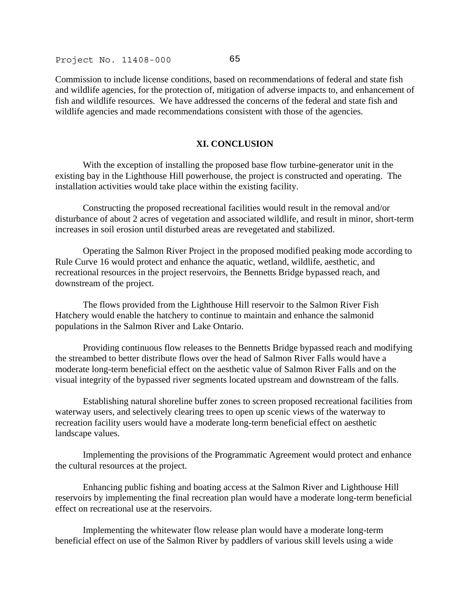Commission to include license conditions, based on recommendations of federal and state fish and wildlife agencies, for the protection of, mitigation of adverse impacts to, and enhancement of fish and wildlife resources. We have addressed the concerns of the federal and state fish and wildlife agencies and made recommendations consistent with those of the agencies.

## **XI. CONCLUSION**

 With the exception of installing the proposed base flow turbine-generator unit in the existing bay in the Lighthouse Hill powerhouse, the project is constructed and operating. The installation activities would take place within the existing facility.

 Constructing the proposed recreational facilities would result in the removal and/or disturbance of about 2 acres of vegetation and associated wildlife, and result in minor, short-term increases in soil erosion until disturbed areas are revegetated and stabilized.

 Operating the Salmon River Project in the proposed modified peaking mode according to Rule Curve 16 would protect and enhance the aquatic, wetland, wildlife, aesthetic, and recreational resources in the project reservoirs, the Bennetts Bridge bypassed reach, and downstream of the project.

 The flows provided from the Lighthouse Hill reservoir to the Salmon River Fish Hatchery would enable the hatchery to continue to maintain and enhance the salmonid populations in the Salmon River and Lake Ontario.

 Providing continuous flow releases to the Bennetts Bridge bypassed reach and modifying the streambed to better distribute flows over the head of Salmon River Falls would have a moderate long-term beneficial effect on the aesthetic value of Salmon River Falls and on the visual integrity of the bypassed river segments located upstream and downstream of the falls.

 Establishing natural shoreline buffer zones to screen proposed recreational facilities from waterway users, and selectively clearing trees to open up scenic views of the waterway to recreation facility users would have a moderate long-term beneficial effect on aesthetic landscape values.

 Implementing the provisions of the Programmatic Agreement would protect and enhance the cultural resources at the project.

 Enhancing public fishing and boating access at the Salmon River and Lighthouse Hill reservoirs by implementing the final recreation plan would have a moderate long-term beneficial effect on recreational use at the reservoirs.

 Implementing the whitewater flow release plan would have a moderate long-term beneficial effect on use of the Salmon River by paddlers of various skill levels using a wide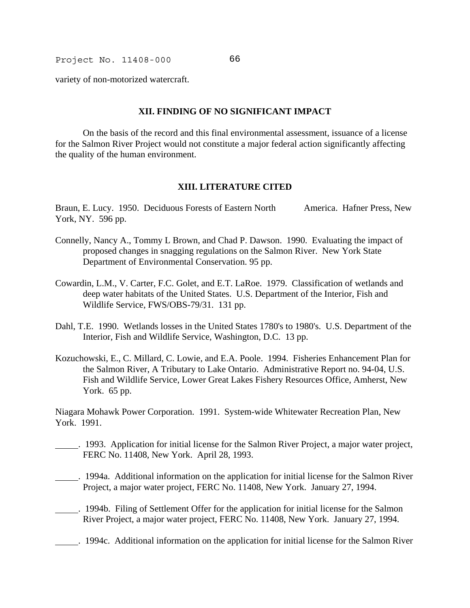variety of non-motorized watercraft.

### **XII. FINDING OF NO SIGNIFICANT IMPACT**

 On the basis of the record and this final environmental assessment, issuance of a license for the Salmon River Project would not constitute a major federal action significantly affecting the quality of the human environment.

### **XIII. LITERATURE CITED**

Braun, E. Lucy. 1950. Deciduous Forests of Eastern North America. Hafner Press, New York, NY. 596 pp.

- Connelly, Nancy A., Tommy L Brown, and Chad P. Dawson. 1990. Evaluating the impact of proposed changes in snagging regulations on the Salmon River. New York State Department of Environmental Conservation. 95 pp.
- Cowardin, L.M., V. Carter, F.C. Golet, and E.T. LaRoe. 1979. Classification of wetlands and deep water habitats of the United States. U.S. Department of the Interior, Fish and Wildlife Service, FWS/OBS-79/31. 131 pp.
- Dahl, T.E. 1990. Wetlands losses in the United States 1780's to 1980's. U.S. Department of the Interior, Fish and Wildlife Service, Washington, D.C. 13 pp.
- Kozuchowski, E., C. Millard, C. Lowie, and E.A. Poole. 1994. Fisheries Enhancement Plan for the Salmon River, A Tributary to Lake Ontario. Administrative Report no. 94-04, U.S. Fish and Wildlife Service, Lower Great Lakes Fishery Resources Office, Amherst, New York. 65 pp.

Niagara Mohawk Power Corporation. 1991. System-wide Whitewater Recreation Plan, New York. 1991.

- . 1993. Application for initial license for the Salmon River Project, a major water project, FERC No. 11408, New York. April 28, 1993.
- . 1994a. Additional information on the application for initial license for the Salmon River Project, a major water project, FERC No. 11408, New York. January 27, 1994.
- . 1994b. Filing of Settlement Offer for the application for initial license for the Salmon River Project, a major water project, FERC No. 11408, New York. January 27, 1994.
- . 1994c. Additional information on the application for initial license for the Salmon River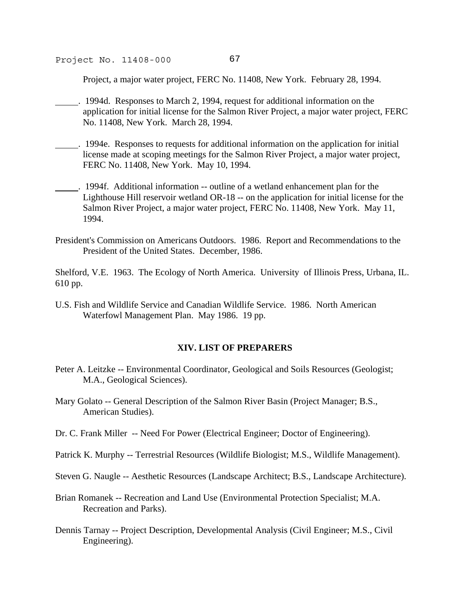Project, a major water project, FERC No. 11408, New York. February 28, 1994.

- . 1994d. Responses to March 2, 1994, request for additional information on the application for initial license for the Salmon River Project, a major water project, FERC No. 11408, New York. March 28, 1994.
- . 1994e. Responses to requests for additional information on the application for initial license made at scoping meetings for the Salmon River Project, a major water project, FERC No. 11408, New York. May 10, 1994.
- . 1994f. Additional information -- outline of a wetland enhancement plan for the Lighthouse Hill reservoir wetland OR-18 -- on the application for initial license for the Salmon River Project, a major water project, FERC No. 11408, New York. May 11, 1994.
- President's Commission on Americans Outdoors. 1986. Report and Recommendations to the President of the United States. December, 1986.

Shelford, V.E. 1963. The Ecology of North America. University of Illinois Press, Urbana, IL. 610 pp.

U.S. Fish and Wildlife Service and Canadian Wildlife Service. 1986. North American Waterfowl Management Plan. May 1986. 19 pp.

### **XIV. LIST OF PREPARERS**

- Peter A. Leitzke -- Environmental Coordinator, Geological and Soils Resources (Geologist; M.A., Geological Sciences).
- Mary Golato -- General Description of the Salmon River Basin (Project Manager; B.S., American Studies).
- Dr. C. Frank Miller -- Need For Power (Electrical Engineer; Doctor of Engineering).
- Patrick K. Murphy -- Terrestrial Resources (Wildlife Biologist; M.S., Wildlife Management).
- Steven G. Naugle -- Aesthetic Resources (Landscape Architect; B.S., Landscape Architecture).
- Brian Romanek -- Recreation and Land Use (Environmental Protection Specialist; M.A. Recreation and Parks).
- Dennis Tarnay -- Project Description, Developmental Analysis (Civil Engineer; M.S., Civil Engineering).